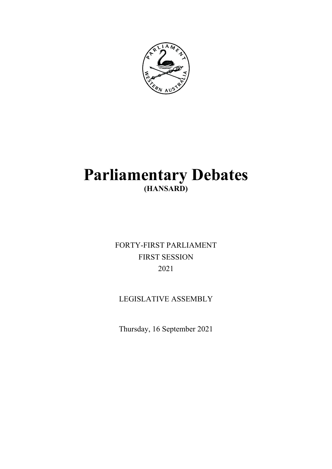

# **Parliamentary Debates (HANSARD)**

FORTY-FIRST PARLIAMENT FIRST SESSION 2021

## LEGISLATIVE ASSEMBLY

Thursday, 16 September 2021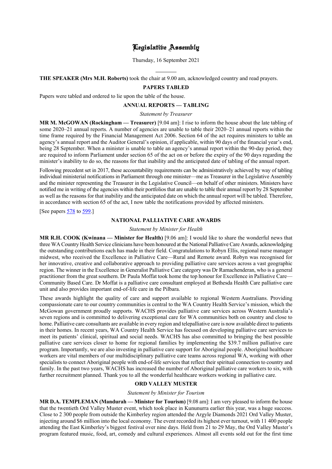### Legislative Assembly

Thursday, 16 September 2021

**THE SPEAKER (Mrs M.H. Roberts)** took the chair at 9.00 am, acknowledged country and read prayers.

l

### **PAPERS TABLED**

Papers were tabled and ordered to lie upon the table of the house.

#### **ANNUAL REPORTS — TABLING**

*Statement by Treasurer*

**MR M. McGOWAN (Rockingham — Treasurer)** [9.04 am]: I rise to inform the house about the late tabling of some 2020–21 annual reports. A number of agencies are unable to table their 2020–21 annual reports within the time frame required by the Financial Management Act 2006. Section 64 of the act requires ministers to table an agency's annual report and the Auditor General's opinion, if applicable, within 90 days of the financial year's end, being 28 September. When a minister is unable to table an agency's annual report within the 90-day period, they are required to inform Parliament under section 65 of the act on or before the expiry of the 90 days regarding the minister's inability to do so, the reasons for that inability and the anticipated date of tabling of the annual report.

Following precedent set in 2017, these accountability requirements can be administratively achieved by way of tabling individual ministerial notifications in Parliament through one minister—me as Treasurer in the Legislative Assembly and the minister representing the Treasurer in the Legislative Council—on behalf of other ministers. Ministers have notified me in writing of the agencies within their portfolios that are unable to table their annual report by 28 September as well as the reasons for that inability and the anticipated date on which the annual report will be tabled. Therefore, in accordance with section 65 of the act, I now table the notifications provided by affected ministers.

[See papers [578](https://www.parliament.wa.gov.au/publications/tabledpapers.nsf/displaypaper/4110578a670e765199b0ed64482587530007e4f5/$file/tp+578.pdf) t[o 599.](https://www.parliament.wa.gov.au/publications/tabledpapers.nsf/displaypaper/4110599a3f5fd4b8b65ab61d482587530007e90b/$file/tp+599.pdf)]

### **NATIONAL PALLIATIVE CARE AWARDS**

#### *Statement by Minister for Health*

**MR R.H. COOK (Kwinana — Minister for Health)** [9.06 am]: I would like to share the wonderful news that three WA Country Health Service clinicians have been honoured at the National Palliative Care Awards, acknowledging the outstanding contributions each has made in their field. Congratulations to Robyn Ellis, regional nurse manager midwest, who received the Excellence in Palliative Care—Rural and Remote award. Robyn was recognised for her innovative, creative and collaborative approach to providing palliative care services across a vast geographic region. The winner in the Excellence in Generalist Palliative Care category was Dr Ramachenderan, who is a general practitioner from the great southern. Dr Paula Moffat took home the top honour for Excellence in Palliative Care— Community Based Care. Dr Moffat is a palliative care consultant employed at Bethesda Health Care palliative care unit and also provides important end-of-life care in the Pilbara.

These awards highlight the quality of care and support available to regional Western Australians. Providing compassionate care to our country communities is central to the WA Country Health Service's mission, which the McGowan government proudly supports. WACHS provides palliative care services across Western Australia's seven regions and is committed to delivering exceptional care for WA communities both on country and close to home. Palliative care consultants are available in every region and telepalliative care is now available direct to patients in their homes. In recent years, WA Country Health Service has focused on developing palliative care services to meet its patients' clinical, spiritual and social needs. WACHS has also committed to bringing the best possible palliative care services closer to home for regional families by implementing the \$39.7 million palliative care program. Importantly, we are also investing in palliative care support for Aboriginal people. Aboriginal healthcare workers are vital members of our multidisciplinary palliative care teams across regional WA, working with other specialists to connect Aboriginal people with end-of-life services that reflect their spiritual connection to country and family. In the past two years, WACHS has increased the number of Aboriginal palliative care workers to six, with further recruitment planned. Thank you to all the wonderful healthcare workers working in palliative care.

### **ORD VALLEY MUSTER**

#### *Statement by Minister for Tourism*

**MR D.A. TEMPLEMAN (Mandurah — Minister for Tourism)** [9.08 am]: I am very pleased to inform the house that the twentieth Ord Valley Muster event, which took place in Kununurra earlier this year, was a huge success. Close to 2 300 people from outside the Kimberley region attended the Argyle Diamonds 2021 Ord Valley Muster, injecting around \$6 million into the local economy. The event recorded its highest ever turnout, with 11 400 people attending the East Kimberley's biggest festival over nine days. Held from 21 to 29 May, the Ord Valley Muster's program featured music, food, art, comedy and cultural experiences. Almost all events sold out for the first time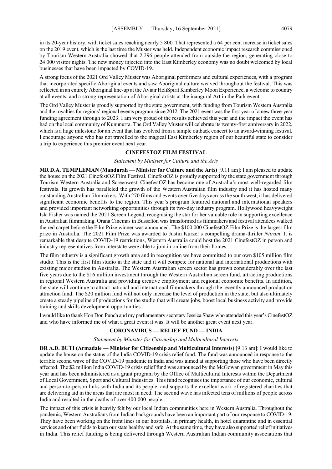in its 20-year history, with ticket sales reaching nearly 5 800. That represented a 64 per cent increase in ticket sales on the 2019 event, which is the last time the Muster was held. Independent economic impact research commissioned by Tourism Western Australia showed that 2 296 people attended from outside the region, generating close to 24 000 visitor nights. The new money injected into the East Kimberley economy was no doubt welcomed by local businesses that have been impacted by COVID-19.

A strong focus of the 2021 Ord Valley Muster was Aboriginal performers and cultural experiences, with a program that incorporated specific Aboriginal events and saw Aboriginal culture weaved throughout the festival. This was reflected in an entirely Aboriginal line-up at the Aviair HeliSpirit Kimberley Moon Experience, a welcome to country at all events, and a strong representation of Aboriginal artists at the inaugural Art in the Park event.

The Ord Valley Muster is proudly supported by the state government, with funding from Tourism Western Australia and the royalties for regions' regional events program since 2012. The 2021 event was the first year of a new three-year funding agreement through to 2023. I am very proud of the results achieved this year and the impact the event has had on the local community of Kununurra. The Ord Valley Muster will celebrate its twenty-first anniversary in 2022, which is a huge milestone for an event that has evolved from a simple outback concert to an award-winning festival. I encourage anyone who has not travelled to the magical East Kimberley region of our beautiful state to consider a trip to experience this premier event next year.

### **CINEFESTOZ FILM FESTIVAL**

#### *Statement by Minister for Culture and the Arts*

**MR D.A. TEMPLEMAN (Mandurah — Minister for Culture and the Arts)** [9.11 am]: I am pleased to update the house on the 2021 CinefestOZ Film Festival. CinefestOZ is proudly supported by the state government through Tourism Western Australia and Screenwest. CinefestOZ has become one of Australia's most well-regarded film festivals. Its growth has paralleled the growth of the Western Australian film industry and it has hosted many outstanding Australian filmmakers. With 270 films and events over five days across the south west, it has delivered significant economic benefits to the region. This year's program featured national and international speakers and provided important networking opportunities through its two-day industry program. Hollywood heavyweight Isla Fisher was named the 2021 Screen Legend, recognising the star for her valuable role in supporting excellence in Australian filmmaking. Orana Cinemas in Busselton was transformed as filmmakers and festival attendees walked the red carpet before the Film Prize winner was announced. The \$100 000 CinefestOZ Film Prize is the largest film prize in Australia. The 2021 Film Prize was awarded to Justin Kurzel's compelling drama-thriller *Nitram*. It is remarkable that despite COVID-19 restrictions, Western Australia could host the 2021 CinefestOZ in person and industry representatives from interstate were able to join in online from their homes.

The film industry is a significant growth area and in recognition we have committed to our own \$105 million film studio. This is the first film studio in the state and it will compete for national and international productions with existing major studios in Australia. The Western Australian screen sector has grown considerably over the last five years due to the \$16 million investment through the Western Australian screen fund, attracting productions in regional Western Australia and providing creative employment and regional economic benefits. In addition, the state will continue to attract national and international filmmakers through the recently announced production attraction fund. The \$20 million fund will not only increase the level of production in the state, but also ultimately create a steady pipeline of productions for the studio that will create jobs, boost local business activity and provide training and skills development opportunities.

I would like to thank Hon Don Punch and my parliamentary secretary Jessica Shaw who attended this year's CinefestOZ and who have informed me of what a great event it was. It will be another great event next year.

#### **CORONAVIRUS — RELIEF FUND — INDIA**

#### *Statement by Minister for Citizenship and Multicultural Interests*

**DR A.D. BUTI (Armadale — Minister for Citizenship and Multicultural Interests)** [9.13 am]: I would like to update the house on the status of the India COVID-19 crisis relief fund. The fund was announced in response to the terrible second wave of the COVID-19 pandemic in India and was aimed at supporting those who have been directly affected. The \$2 million India COVID-19 crisis relief fund was announced by the McGowan government in May this year and has been administered as a grant program by the Office of Multicultural Interests within the Department of Local Government, Sport and Cultural Industries. This fund recognises the importance of our economic, cultural and person-to-person links with India and its people, and supports the excellent work of registered charities that are delivering aid in the areas that are most in need. The second wave has infected tens of millions of people across India and resulted in the deaths of over 400 000 people.

The impact of this crisis is heavily felt by our local Indian communities here in Western Australia. Throughout the pandemic, Western Australians from Indian backgrounds have been an important part of our response to COVID-19. They have been working on the front lines in our hospitals, in primary health, in hotel quarantine and in essential services and other fields to keep our state healthy and safe. At the same time, they have also supported relief initiatives in India. This relief funding is being delivered through Western Australian Indian community associations that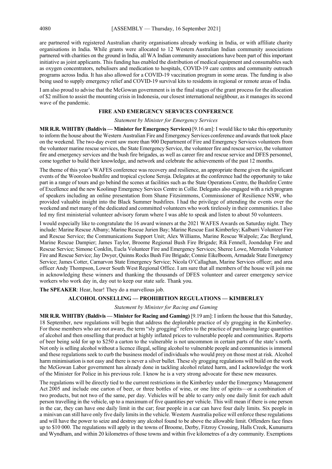are partnered with registered Australian charity organisations already working in India, or with affiliate charity organisations in India. While grants were allocated to 12 Western Australian Indian community associations partnered with charities on the ground in India, all WA Indian community associations have been part of this important initiative as joint applicants. This funding has enabled the distribution of medical equipment and consumables such as oxygen concentrators, nebulisers and medication to hospitals, COVID-19 care centres and community outreach programs across India. It has also allowed for a COVID-19 vaccination program in some areas. The funding is also being used to supply emergency relief and COVID-19 survival kits to residents in regional or remote areas of India.

I am also proud to advise that the McGowan government is in the final stages of the grant process for the allocation of \$2 million to assist the mounting crisis in Indonesia, our closest international neighbour, as it manages its second wave of the pandemic.

### **FIRE AND EMERGENCY SERVICES CONFERENCE**

#### *Statement by Minister for Emergency Services*

**MR R.R. WHITBY (Baldivis — Minister for Emergency Services)** [9.16 am]: I would like to take this opportunity to inform the house about the Western Australian Fire and Emergency Services conference and awards that took place on the weekend. The two-day event saw more than 900 Department of Fire and Emergency Services volunteers from the volunteer marine rescue services, the State Emergency Service, the volunteer fire and rescue service, the volunteer fire and emergency services and the bush fire brigades, as well as career fire and rescue service and DFES personnel, come together to build their knowledge, and network and celebrate the achievements of the past 12 months.

The theme of this year's WAFES conference was recovery and resilience, an appropriate theme given the significant events of the Wooroloo bushfire and tropical cyclone Seroja. Delegates at the conference had the opportunity to take part in a range of tours and go behind the scenes at facilities such as the State Operations Centre, the Bushfire Centre of Excellence and the new Koolinup Emergency Services Centre in Collie. Delegates also engaged with a rich program of speakers including an online presentation from Shane Fitzsimmons, Commissioner of Resilience NSW, who provided valuable insight into the Black Summer bushfires. I had the privilege of attending the events over the weekend and met many of the dedicated and committed volunteers who work tirelessly in their communities. I also led my first ministerial volunteer advisory forum where I was able to speak and listen to about 50 volunteers.

I would especially like to congratulate the 16 award winners at the 2021 WAFES Awards on Saturday night. They include: Marine Rescue Albany; Marine Rescue Jurien Bay; Marine Rescue East Kimberley; Kalbarri Volunteer Fire and Rescue Service; the Communications Support Unit; Alex Williams, Marine Rescue Walpole; Zac Berglund, Marine Rescue Dampier; James Taylor, Broome Regional Bush Fire Brigade; Rik Fennell, Joondalup Fire and Rescue Service; Simone Conklin, Eucla Volunteer Fire and Emergency Services; Sheree Lowe, Merredin Volunteer Fire and Rescue Service; Jay Dwyer, Quinns Rocks Bush Fire Brigade; Connie Eikelboom, Armadale State Emergency Service; James Cotter, Carnarvon State Emergency Service; Nicola O'Callaghan, Marine Services officer; and area officer Andy Thompson, Lower South West Regional Office. I am sure that all members of the house will join me in acknowledging these winners and thanking the thousands of DFES volunteer and career emergency service workers who work day in, day out to keep our state safe. Thank you.

**The SPEAKER**: Hear, hear! They do a marvellous job.

### **ALCOHOL ONSELLING — PROHIBITION REGULATIONS — KIMBERLEY**

#### *Statement by Minister for Racing and Gaming*

**MR R.R. WHITBY (Baldivis — Minister for Racing and Gaming)** [9.19 am]: I inform the house that this Saturday, 18 September, new regulations will begin that address the deplorable practice of sly grogging in the Kimberley. For those members who are not aware, the term "sly grogging" refers to the practice of purchasing large quantities of alcohol and then onselling that product at highly inflated prices to vulnerable people and communities. Reports of beer being sold for up to \$250 a carton to the vulnerable is not uncommon in certain parts of the state's north. Not only is selling alcohol without a licence illegal, selling alcohol to vulnerable people and communities is immoral and these regulations seek to curb the business model of individuals who would prey on those most at risk. Alcohol harm minimisation is not easy and there is never a silver bullet. These sly grogging regulations will build on the work the McGowan Labor government has already done in tackling alcohol related harm, and I acknowledge the work of the Minister for Police in his previous role. I know he is a very strong advocate for these new measures.

The regulations will be directly tied to the current restrictions in the Kimberley under the Emergency Management Act 2005 and include one carton of beer, or three bottles of wine, or one litre of spirits—or a combination of two products, but not two of the same, per day. Vehicles will be able to carry only one daily limit for each adult person travelling in the vehicle, up to a maximum of five quantities per vehicle. This will mean if there is one person in the car, they can have one daily limit in the car; four people in a car can have four daily limits. Six people in a minivan can still have only five daily limits in the vehicle. Western Australia police will enforce these regulations and will have the power to seize and destroy any alcohol found to be above the allowable limit. Offenders face fines up to \$10 000. The regulations will apply in the towns of Broome, Derby, Fitzroy Crossing, Halls Creek, Kununurra and Wyndham, and within 20 kilometres of those towns and within five kilometres of a dry community. Exemptions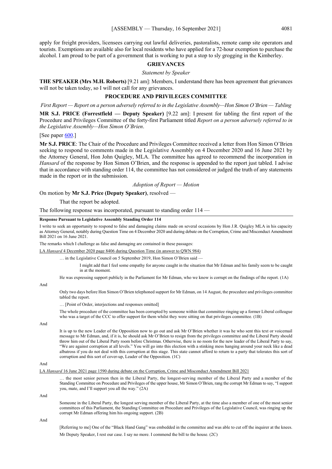apply for freight providers, licensees carrying out lawful deliveries, pastoralists, remote camp site operators and tourists. Exemptions are available also for local residents who have applied for a 72-hour exemption to purchase the alcohol. I am proud to be part of a government that is working to put a stop to sly grogging in the Kimberley.

#### **GRIEVANCES**

*Statement by Speaker*

**THE SPEAKER (Mrs M.H. Roberts)** [9.21 am]: Members, I understand there has been agreement that grievances will not be taken today, so I will not call for any grievances.

#### **PROCEDURE AND PRIVILEGES COMMITTEE**

*First Report — Report on a person adversely referred to in the Legislative Assembly—Hon Simon O'Brien — Tabling*

**MR S.J. PRICE (Forrestfield — Deputy Speaker)** [9.22 am]: I present for tabling the first report of the Procedure and Privileges Committee of the forty-first Parliament titled *Report on a person adversely referred to in the Legislative Assembly—Hon Simon O'Brien*.

[See paper [600.](https://www.parliament.wa.gov.au/publications/tabledpapers.nsf/displaypaper/4110600a43f75caa19920fe6482587530007e933/$file/tp+600.pdf)]

**Mr S.J. PRICE**: The Chair of the Procedure and Privileges Committee received a letter from Hon Simon O'Brien seeking to respond to comments made in the Legislative Assembly on 4 December 2020 and 16 June 2021 by the Attorney General, Hon John Quigley, MLA. The committee has agreed to recommend the incorporation in *Hansard* of the response by Hon Simon O'Brien, and the response is appended to the report just tabled. I advise that in accordance with standing order 114, the committee has not considered or judged the truth of any statements made in the report or in the submission.

*Adoption of Report — Motion*

On motion by **Mr S.J. Price (Deputy Speaker)**, resolved —

That the report be adopted.

The following response was incorporated, pursuant to standing order 114 —

#### **Response Pursuant to Legislative Assembly Standing Order 114**

I write to seek an opportunity to respond to false and damaging claims made on several occasions by Hon J.R. Quigley MLA in his capacity as Attorney General, notably during Question Time on 4 December 2020 and during debate on the Corruption, Crime and Misconduct Amendment Bill 2021 on 16 June 2021.

The remarks which I challenge as false and damaging are contained in these passages:

LA *Hansard* 4 December 2020 page 8406 during Question Time (in answer to QWN 984)

… in the Legislative Council on 5 September 2019, Hon Simon O'Brien said —

I might add that I feel some empathy for anyone caught in the situation that Mr Edman and his family seem to be caught in at the moment.

He was expressing support publicly in the Parliament for Mr Edman, who we know is corrupt on the findings of the report. (1A)

And

Only two days before Hon Simon O'Brien telephoned support for Mr Edman, on 14 August, the procedure and privileges committee tabled the report.

… [Point of Order, interjections and responses omitted]

The whole procedure of the committee has been corrupted by someone within that committee ringing up a former Liberal colleague who was a target of the CCC to offer support for them whilst they were sitting on that privileges committee. (1B)

And

It is up to the new Leader of the Opposition now to go out and ask Mr O'Brien whether it was he who sent this text or voicemail message to Mr Edman, and, if it is, he should ask Mr O'Brien to resign from the privileges committee and the Liberal Party should throw him out of the Liberal Party room before Christmas. Otherwise, there is no room for the new leader of the Liberal Party to say, "We are against corruption at all levels." You will go into this election with a stinking mess hanging around your neck like a dead albatross if you do not deal with this corruption at this stage. This state cannot afford to return to a party that tolerates this sort of corruption and this sort of cover-up, Leader of the Opposition. (1C)

And

LA *Hansard* 16 June 2021 page 1590 during debate on the Corruption, Crime and Misconduct Amendment Bill 2021

… the most senior person then in the Liberal Party, the longest-serving member of the Liberal Party and a member of the Standing Committee on Procedure and Privileges of the upper house, Mr Simon O'Brien, rang the corrupt Mr Edman to say, "I support you, mate, and I'll support you all the way." (2A)

And

Someone in the Liberal Party, the longest serving member of the Liberal Party, at the time also a member of one of the most senior committees of this Parliament, the Standing Committee on Procedure and Privileges of the Legislative Council, was ringing up the corrupt Mr Edman offering him his ongoing support. (2B)

And

[Referring to me] One of the "Black Hand Gang" was embedded in the committee and was able to cut off the inquirer at the knees. Mr Deputy Speaker, I rest our case. I say no more. I commend the bill to the house. (2C)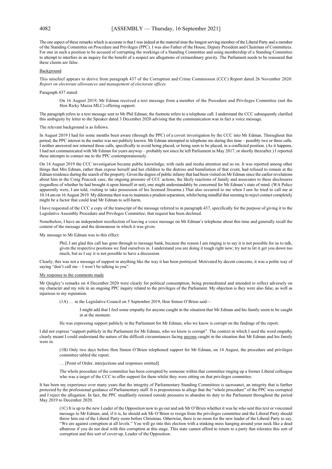The one aspect of these remarks which is accurate is that I was indeed at the material time the longest serving member of the Liberal Party and a member of the Standing Committee on Procedure and Privileges (PPC). I was also Father of the House, Deputy President and Chairman of Committees. For one in such a position to be accused of corrupting the workings of a Standing Committee and using membership of a Standing Committee to attempt to interfere in an inquiry for the benefit of a suspect are allegations of extraordinary gravity. The Parliament needs to be reassured that these claims are false.

#### Background

This mischief appears to derive from paragraph 437 of the Corruption and Crime Commission (CCC) Report dated 26 November 2020: *Report on electorate allowances and management of electorate offices.*

Paragraph 437 stated:

On 16 August 2019, Mr Edman received a text message from a member of the Procedure and Privileges Committee (not the Hon Ricky Mazza MLC) offering support.

The paragraph refers to a text message sent to Mr Phil Edman; the footnote refers to a telephone call. I understand the CCC subsequently clarified this ambiguity by letter to the Speaker dated 3 December 2020 advising that the communication was in fact a voice message.

#### The relevant background is as follows:

In August 2019 I had for some months been aware (through the PPC) of a covert investigation by the CCC into Mr Edman. Throughout this period, the PPC interest in the matter was not publicly known. Mr Edman attempted to telephone me during this time – possibly two or three calls. I neither answered nor returned those calls, specifically to avoid being placed, or being seen to be placed, in a conflicted position. (As it happens, I had not communicated with Mr Edman for years anyway – probably not since he left Parliament in May 2017, or shortly thereafter.) I reported these attempts to contact me to the PPC contemporaneously.

On 14 August 2019 the CCC investigation became public knowledge, with raids and media attention and so on. It was reported among other things that Mrs Edman, rather than expose herself and her children to the distress and humiliation of that event, had refused to remain at the Edman residence during the search of the property. Given the degree of public infamy that had been visited on Mr Edman since the earlier revelations about him in the Craig Peacock case, the ongoing pressure of CCC actions, the likely reactions of family and associates to these disclosures (regardless of whether he had brought it upon himself or not), one might understandably be concerned for Mr Edman's state of mind. (WA Police apparently were, I am told, visiting to take possession of his licensed firearms.) That also occurred to me when I saw he tried to call me at 10.14 am on 16 August 2019. My dilemma then was to maintain a prudent separation, whilst being mindful that seeming to reject contact completely might be a factor that could lead Mr Edman to self-harm.

I have requested of the CCC a copy of the transcript of the message referred to in paragraph 437, specifically for the purpose of giving it to the Legislative Assembly Procedure and Privileges Committee; that request has been declined.

Nonetheless, I have an independent recollection of leaving a voice message on Mr Edman's telephone about this time and generally recall the content of the message and the demeanour in which it was given.

My message to Mr Edman was to this effect:

Phil, I am glad this call has gone through to message bank, because the reason I am ringing is to say it is not possible for us to talk, given the respective positions we find ourselves in. I understand you are doing it tough right now; try not to let it get you down too much, but as I say it is not possible to have a discussion.

Clearly, this was not a message of support in anything like the way it has been portrayed. Motivated by decent concerns, it was a polite way of saying "don't call me  $-$  I won't be talking to you".

#### My response to the comments made

Mr Quigley's remarks on 4 December 2020 were clearly for political consumption, being premeditated and intended to reflect adversely on my character and my role in an ongoing PPC inquiry related to the privileges of the Parliament. My objection is they were also false, as well as injurious to my reputation.

(1A) … in the Legislative Council on 5 September 2019, Hon Simon O'Brien said—

- I might add that I feel some empathy for anyone caught in the situation that Mr Edman and his family seem to be caught in at the moment.
- He was expressing support publicly in the Parliament for Mr Edman, who we know is corrupt on the findings of the report.

I did not express "support publicly in the Parliament for Mr Edman, who we know is corrupt". The context in which I used the word empathy clearly meant I could understand the nature of the difficult circumstances facing anyone caught in the situation that Mr Edman and his family were in.

(1B) Only two days before Hon Simon O'Brien telephoned support for Mr Edman, on 14 August, the procedure and privileges committee tabled the report.

… [Point of Order, interjections and responses omitted]

The whole procedure of the committee has been corrupted by someone within that committee ringing up a former Liberal colleague who was a target of the CCC to offer support for them whilst they were sitting on that privileges committee.

It has been my experience over many years that the integrity of Parliamentary Standing Committees is sacrosanct, an integrity that is further protected by the professional guidance of Parliamentary staff. It is preposterous to allege that the "whole procedure" of the PPC was corrupted and I reject the allegation. In fact, the PPC steadfastly resisted outside pressures to abandon its duty to the Parliament throughout the period May 2019 to December 2020.

(1C) It is up to the new Leader of the Opposition now to go out and ask Mr O'Brien whether it was he who sent this text or voicemail message to Mr Edman, and, if it is, he should ask Mr O'Brien to resign from the privileges committee and the Liberal Party should throw him out of the Liberal Party room before Christmas. Otherwise, there is no room for the new leader of the Liberal Party to say, "We are against corruption at all levels." You will go into this election with a stinking mess hanging around your neck like a dead albatross if you do not deal with this corruption at this stage. This state cannot afford to return to a party that tolerates this sort of corruption and this sort of cover-up, Leader of the Opposition.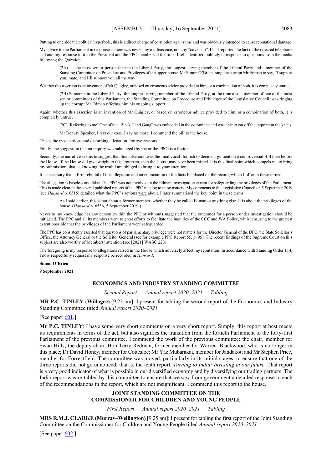Putting to one side the political hyperbole, this is a direct charge of corruption against me and was obviously intended to cause reputational damage.

My advice to the Parliament in response is there was never any malfeasance, nor any "cover-up". I had reported the fact of the rejected telephone call and my response to it to the President and the PPC members at the time. I self-identified publicly in response to questions from the media following the Question.

(2A) … the most senior person then in the Liberal Party, the longest-serving member of the Liberal Party and a member of the Standing Committee on Procedure and Privileges of the upper house, Mr Simon O'Brien, rang the corrupt Mr Edman to say, "I support you, mate, and I'll support you all the way."

Whether this assertion is an invention of Mr Quigley, or based on erroneous advice provided to him, or a combination of both, it is completely untrue.

(2B) Someone in the Liberal Party, the longest serving member of the Liberal Party, at the time also a member of one of the most senior committees of this Parliament, the Standing Committee on Procedure and Privileges of the Legislative Council, was ringing up the corrupt Mr Edman offering him his ongoing support.

Again, whether this assertion is an invention of Mr Quigley, or based on erroneous advice provided to him, or a combination of both, it is completely untrue.

(2C) [Referring to me] One of the "Black Hand Gang" was embedded in the committee and was able to cut off the inquirer at the knees.

Mr Deputy Speaker, I rest our case. I say no more. I commend the bill to the house.

This is the most serious and disturbing allegation, for two reasons.

Firstly, the suggestion that an inquiry was sabotaged (by me or the PPC) is a fiction.

Secondly, the narrative seems to suggest that this falsehood was the final vocal flourish to decide argument on a controversial Bill then before the House. If the House did give weight to this argument, then the House may have been misled. It is this final point which compels me to bring my submission; that is, knowing the truth I am obliged to bring it to your attention.

It is necessary that a firm rebuttal of this allegation and an enunciation of the facts be placed on the record, which I offer in these terms:

The allegation is baseless and false. The PPC was not involved in the Edman investigation except for safeguarding the privileges of the Parliament. This is made clear in the several published reports of the PPC relating to these matters. My comments to the Legislative Council on 5 September 2019 (see *Hansard* p. 6515) detailed what the PPC's actions were about. I later summarised the key point in these terms:

As I said earlier, this is not about a former member, whether they be called Edman or anything else. It is about the privileges of the house. (*Hansard* p. 6536, 5 September 2019.)

Never to my knowledge has any person (within the PPC or without) suggested that the outcomes for a person under investigation should be mitigated. The PPC and all its members went to great efforts to facilitate the inquiries of the CCC and WA Police, whilst ensuring to the greatest extent possible that the privileges of the Parliament were safeguarded.

The PPC has consistently asserted that questions of parliamentary privilege were not matters for the Director General of the DPC, the State Solicitor's Office, the Attorney General or the Solicitor General (see for example PPC Report 55, p. 95). The recent findings of the Supreme Court on this subject are also worthy of Members' attention (see [2021] WASC 223).

The foregoing is my response to allegations raised in the House which adversely affect my reputation. In accordance with Standing Order 114, I now respectfully request my response be recorded in *Hansard*.

#### **Simon O'Brien**

**9 September 2021**

### **ECONOMICS AND INDUSTRY STANDING COMMITTEE**

*Second Report — Annual report 2020–2021 — Tabling*

**MR P.C. TINLEY (Willagee)** [9.23 am]: I present for tabling the second report of the Economics and Industry Standing Committee titled *Annual report 2020–2021.*

[See paper [601.](https://www.parliament.wa.gov.au/publications/tabledpapers.nsf/displaypaper/4110601a1d5e502494299a34482587530007e960/$file/tp+601.pdf)]

**Mr P.C. TINLEY**: I have some very short comments on a very short report. Simply, this report at best meets its requirements in terms of the act, but also signifies the transition from the fortieth Parliament to the forty-first Parliament of the previous committee. I commend the work of the previous committee: the chair, member for Swan Hills; the deputy chair, Hon Terry Redman, former member for Warren–Blackwood, who is no longer in this place; Dr David Honey, member for Cottesloe; Mr Yaz Mubarakai, member for Jandakot; and Mr Stephen Price, member for Forrestfield. The committee was moved, particularly in its initial stages, to ensure that one of the three reports did not go unnoticed; that is, the tenth report, *Turning to India: Investing in our future*. That report is a very good indicator of what is possible in our diversified economy and by diversifying our trading partners. The India report was re-tabled by this committee to ensure that we saw from government a detailed response to each of the recommendations in the report, which are not insignificant. I commend this report to the house.

#### **JOINT STANDING COMMITTEE ON THE COMMISSIONER FOR CHILDREN AND YOUNG PEOPLE**

*First Report — Annual report 2020–2021 — Tabling*

**MRS R.M.J. CLARKE (Murray–Wellington)** [9.25 am]: I present for tabling the first report of the Joint Standing Committee on the Commissioner for Children and Young People titled *Annual report 2020–2021.*

[See paper [602.](https://www.parliament.wa.gov.au/publications/tabledpapers.nsf/displaypaper/4110602a794ea7f87b541e23482587530007e98d/$file/tp+602.pdf)]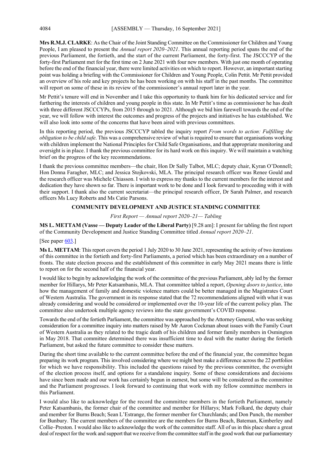**Mrs R.M.J. CLARKE**: As the Chair of the Joint Standing Committee on the Commissioner for Children and Young People, I am pleased to present the *Annual report 2020–2021*. This annual reporting period spans the end of the previous Parliament, the fortieth, and the start of the current Parliament, the forty-first. The JSCCCYP of the forty-first Parliament met for the first time on 2 June 2021 with four new members. With just one month of operating before the end of the financial year, there were limited activities on which to report. However, an important starting point was holding a briefing with the Commissioner for Children and Young People, Colin Pettit. Mr Pettit provided an overview of his role and key projects he has been working on with his staff in the past months. The committee will report on some of these in its review of the commissioner's annual report later in the year.

Mr Pettit's tenure will end in November and I take this opportunity to thank him for his dedicated service and for furthering the interests of children and young people in this state. In Mr Pettit's time as commissioner he has dealt with three different JSCCCYPs, from 2015 through to 2021. Although we bid him farewell towards the end of the year, we will follow with interest the outcomes and progress of the projects and initiatives he has established. We will also look into some of the concerns that have been aired with previous committees.

In this reporting period, the previous JSCCCYP tabled the inquiry report *From words to action: Fulfilling the obligation to be child safe*. This was a comprehensive review of what is required to ensure that organisations working with children implement the National Principles for Child Safe Organisations, and that appropriate monitoring and oversight is in place. I thank the previous committee for its hard work on this inquiry. We will maintain a watching brief on the progress of the key recommendations.

I thank the previous committee members—the chair, Hon Dr Sally Talbot, MLC; deputy chair, Kyran O'Donnell; Hon Donna Faragher, MLC; and Jessica Stojkovski, MLA. The principal research officer was Renee Gould and the research officer was Michele Chiasson. I wish to express my thanks to the current members for the interest and dedication they have shown so far. There is important work to be done and I look forward to proceeding with it with their support. I thank also the current secretariat—the principal research officer, Dr Sarah Palmer, and research officers Ms Lucy Roberts and Ms Catie Parsons.

### **COMMUNITY DEVELOPMENT AND JUSTICE STANDING COMMITTEE**

*First Report — Annual report 2020–21— Tabling*

**MS L. METTAM (Vasse — Deputy Leader of the Liberal Party)** [9.28 am]: I present for tabling the first report of the Community Development and Justice Standing Committee titled *Annual report 2020–21*.

### [See paper [603.](https://www.parliament.wa.gov.au/publications/tabledpapers.nsf/displaypaper/4110603a653b4289e5ac66a2482587530007e9a9/$file/tp+603.pdf)]

**Ms L. METTAM:** This report covers the period 1 July 2020 to 30 June 2021, representing the activity of two iterations of this committee in the fortieth and forty-first Parliaments, a period which has been extraordinary on a number of fronts. The state election process and the establishment of this committee in early May 2021 means there is little to report on for the second half of the financial year.

I would like to begin by acknowledging the work of the committee of the previous Parliament, ably led by the former member for Hillarys, Mr Peter Katsambanis, MLA. That committee tabled a report, *Opening doors to justice*, into how the management of family and domestic violence matters could be better managed in the Magistrates Court of Western Australia. The government in its response stated that the 72 recommendations aligned with what it was already considering and would be considered or implemented over the 10-year life of the current policy plan. The committee also undertook multiple agency reviews into the state government's COVID response.

Towards the end of the fortieth Parliament, the committee was approached by the Attorney General, who was seeking consideration for a committee inquiry into matters raised by Mr Aaron Cockman about issues with the Family Court of Western Australia as they related to the tragic death of his children and former family members in Osmington in May 2018. That committee determined there was insufficient time to deal with the matter during the fortieth Parliament, but asked the future committee to consider these matters.

During the short time available to the current committee before the end of the financial year, the committee began preparing its work program. This involved considering where we might best make a difference across the 22 portfolios for which we have responsibility. This included the questions raised by the previous committee, the oversight of the election process itself, and options for a standalone inquiry. Some of these considerations and decisions have since been made and our work has certainly begun in earnest, but some will be considered as the committee and the Parliament progresses. I look forward to continuing that work with my fellow committee members in this Parliament.

I would also like to acknowledge for the record the committee members in the fortieth Parliament, namely Peter Katsambanis, the former chair of the committee and member for Hillarys; Mark Folkard, the deputy chair and member for Burns Beach; Sean L'Estrange, the former member for Churchlands; and Don Punch, the member for Bunbury. The current members of the committee are the members for Burns Beach, Bateman, Kimberley and Collie–Preston. I would also like to acknowledge the work of the committee staff. All of us in this place share a great deal of respect for the work and support that we receive from the committee staff in the good work that our parliamentary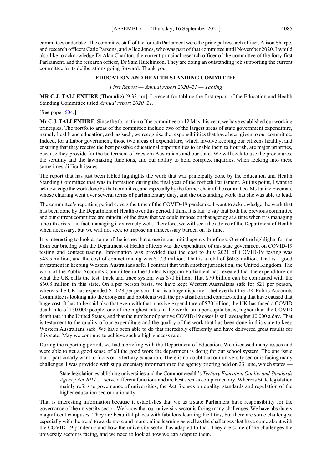committees undertake. The committee staff of the fortieth Parliament were the principal research officer, Alison Sharpe, and research officers Catie Parsons, and Alice Jones, who was part of that committee until November 2020. I would also like to acknowledge Dr Alan Charlton, the current principal research officer of the committee of the forty-first Parliament, and the research officer, Dr Sam Hutchinson. They are doing an outstanding job supporting the current committee in its deliberations going forward. Thank you.

### **EDUCATION AND HEALTH STANDING COMMITTEE**

#### *First Report — Annual report 2020–21 — Tabling*

**MR C.J. TALLENTIRE (Thornlie)** [9.33 am]: I present for tabling the first report of the Education and Health Standing Committee titled *Annual report 2020–21*.

[See paper [604.](https://www.parliament.wa.gov.au/publications/tabledpapers.nsf/displaypaper/4110604a981ca3e8b55f7eb4482587530007e9d5/$file/tp+604.pdf)]

**Mr C.J. TALLENTIRE**: Since the formation of the committee on 12 May this year, we have established our working principles. The portfolio areas of the committee include two of the largest areas of state government expenditure, namely health and education, and, as such, we recognise the responsibilities that have been given to our committee. Indeed, for a Labor government, those two areas of expenditure, which involve keeping our citizens healthy, and ensuring that they receive the best possible educational opportunities to enable them to flourish, are major priorities, because they provide for the betterment of Western Australians and our state. We will seek to use the procedures, the scrutiny and the lawmaking functions, and our ability to hold complex inquiries, when looking into these sometimes difficult issues.

The report that has just been tabled highlights the work that was principally done by the Education and Health Standing Committee that was in formation during the final year of the fortieth Parliament. At this point, I want to acknowledge the work done by that committee, and especially by the former chair of the committee, Ms Janine Freeman, whose chairing went over several terms of parliamentary duty, and the outstanding work that she was able to lead.

The committee's reporting period covers the time of the COVID-19 pandemic. I want to acknowledge the work that has been done by the Department of Health over this period. I think it is fair to say that both the previous committee and our current committee are mindful of the draw that we could impose on that agency at a time when it is managing a health crisis—in fact, managing it extremely well. Therefore, we will seek the advice of the Department of Health when necessary, but we will not seek to impose an unnecessary burden on its time.

It is interesting to look at some of the issues that arose in our initial agency briefings. One of the highlights for me from our briefing with the Department of Health officers was the expenditure of this state government on COVID-19 testing and contact tracing. Information was provided that the cost to July 2021 of COVID-19 testing was \$43.5 million, and the cost of contact tracing was \$17.3 million. That is a total of \$60.8 million. That is a good investment in keeping Western Australians safe. I contrast that with another jurisdiction, the United Kingdom. The work of the Public Accounts Committee in the United Kingdom Parliament has revealed that the expenditure on what the UK calls the test, track and trace system was \$70 billion. That \$70 billion can be contrasted with the \$60.8 million in this state. On a per person basis, we have kept Western Australians safe for \$21 per person, whereas the UK has expended \$1 028 per person. That is a huge disparity. I believe that the UK Public Accounts Committee is looking into the cronyism and problems with the privatisation and contract-letting that have caused that huge cost. It has to be said also that even with that massive expenditure of \$70 billion, the UK has faced a COVID death rate of 130 000 people, one of the highest rates in the world on a per capita basis, higher than the COVID death rate in the United States, and that the number of positive COVID-19 cases is still averaging 30 000 a day. That is testament to the quality of our expenditure and the quality of the work that has been done in this state to keep Western Australians safe. We have been able to do that incredibly efficiently and have delivered great results for this state. May we continue to achieve such a high success rate.

During the reporting period, we had a briefing with the Department of Education. We discussed many issues and were able to get a good sense of all the good work the department is doing for our school system. The one issue that I particularly want to focus on is tertiary education. There is no doubt that our university sector is facing many challenges. I was provided with supplementary information to the agency briefing held on 23 June, which states —

State legislation establishing universities and the Commonwealth's *Tertiary Education Quality and Standards Agency Act 2011* … serve different functions and are best seen as complementary. Whereas State legislation mainly refers to governance of universities, the Act focuses on quality, standards and regulation of the higher education sector nationally.

That is interesting information because it establishes that we as a state Parliament have responsibility for the governance of the university sector. We know that our university sector is facing many challenges. We have absolutely magnificent campuses. They are beautiful places with fabulous learning facilities, but there are some challenges, especially with the trend towards more and more online learning as well as the challenges that have come about with the COVID-19 pandemic and how the university sector has adapted to that. They are some of the challenges the university sector is facing, and we need to look at how we can adapt to them.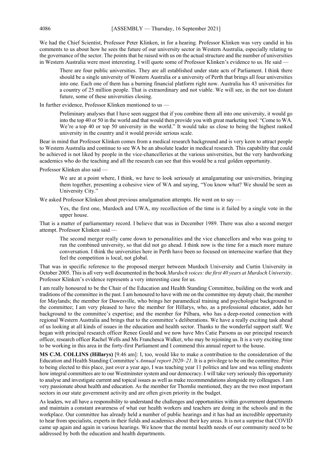We had the Chief Scientist, Professor Peter Klinken, in for a hearing. Professor Klinken was very candid in his comments to us about how he sees the future of our university sector in Western Australia, especially relating to the governance of the sector. The points that he raised with us on the actual structure and the number of universities in Western Australia were most interesting. I will quote some of Professor Klinken's evidence to us. He said -

There are four public universities. They are all established under state acts of Parliament. I think there should be a single university of Western Australia or a university of Perth that brings all four universities into one. Each one of them has a burning financial platform right now. Australia has 43 universities for a country of 25 million people. That is extraordinary and not viable. We will see, in the not too distant future, some of these universities closing.

In further evidence, Professor Klinken mentioned to us —

Preliminary analyses that I have seen suggest that if you combine them all into one university, it would go into the top 40 or 50 in the world and that would then provide you with great marketing tool: "Come to WA. We're a top 40 or top 50 university in the world." It would take us close to being the highest ranked university in the country and it would provide serious scale.

Bear in mind that Professor Klinken comes from a medical research background and is very keen to attract people to Western Australia and continue to see WA be an absolute leader in medical research. This capability that could be achieved is not liked by people in the vice-chancelleries at the various universities, but the very hardworking academics who do the teaching and all the research can see that this would be a real golden opportunity.

Professor Klinken also said —

We are at a point where, I think, we have to look seriously at amalgamating our universities, bringing them together, presenting a cohesive view of WA and saying, "You know what? We should be seen as University City."

We asked Professor Klinken about previous amalgamation attempts. He went on to say —

Yes, the first one, Murdoch and UWA, my recollection of the time is it failed by a single vote in the upper house.

That is a matter of parliamentary record. I believe that was in December 1989. There was also a second merger attempt. Professor Klinken said —

The second merger really came down to personalities and the vice chancellors and who was going to run the combined university, so that did not go ahead. I think now is the time for a much more mature conversation. I think the universities here in Perth have been so focused on internecine warfare that they feel the competition is local, not global.

That was in specific reference to the proposed merger between Murdoch University and Curtin University in October 2005. This is all very well documented in the book *Murdoch voices: the first 40 years at Murdoch University*. Professor Klinken's evidence represents a very interesting case for us.

I am really honoured to be the Chair of the Education and Health Standing Committee, building on the work and traditions of the committee in the past. I am honoured to have with me on the committee my deputy chair, the member for Maylands; the member for Dawesville, who brings her paramedical training and psychologist background to the committee; I am very pleased to have the member for Hillarys, who, as a professional educator, adds her background to the committee's expertise; and the member for Pilbara, who has a deep-rooted connection with regional Western Australia and brings that to the committee's deliberations. We have a really exciting task ahead of us looking at all kinds of issues in the education and health sector. Thanks to the wonderful support staff. We began with principal research officer Renee Gould and we now have Mrs Catie Parsons as our principal research officer, research officer Rachel Wells and Ms Franchesca Walker, who may be rejoining us. It is a very exciting time to be working in this area in the forty-first Parliament and I commend this annual report to the house.

**MS C.M. COLLINS (Hillarys)** [9.46 am]: I, too, would like to make a contribution to the consideration of the Education and Health Standing Committee's *Annual report 2020–21*. It is a privilege to be on the committee. Prior to being elected to this place, just over a year ago, I was teaching year 11 politics and law and was telling students how integral committees are to our Westminster system and our democracy. I will take very seriously this opportunity to analyse and investigate current and topical issues as well as make recommendations alongside my colleagues. I am very passionate about health and education. As the member for Thornlie mentioned, they are the two most important sectors in our state government activity and are often given priority in the budget.

As leaders, we all have a responsibility to understand the challenges and opportunities within government departments and maintain a constant awareness of what our health workers and teachers are doing in the schools and in the workplace. Our committee has already held a number of public hearings and it has had an incredible opportunity to hear from specialists, experts in their fields and academics about their key areas. It is not a surprise that COVID came up again and again in various hearings. We know that the mental health needs of our community need to be addressed by both the education and health departments.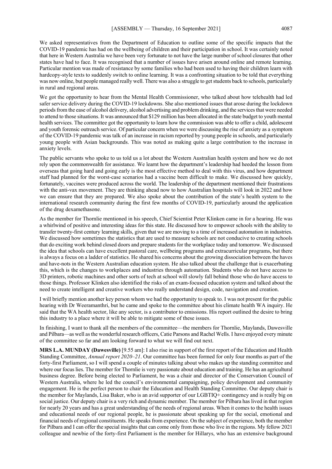We asked representatives from the Department of Education to outline some of the specific impacts that the COVID-19 pandemic has had on the wellbeing of children and their participation in school. It was certainly noted that here in Western Australia we have been very fortunate to not have the large number of school closures that other states have had to face. It was recognised that a number of issues have arisen around online and remote learning. Particular mention was made of resistance by some families who had been used to having their children learn with hardcopy-style texts to suddenly switch to online learning. It was a confronting situation to be told that everything was now online, but people managed really well. There was also a struggle to get students back to schools, particularly in rural and regional areas.

We got the opportunity to hear from the Mental Health Commissioner, who talked about how telehealth had led safer service delivery during the COVID-19 lockdowns. She also mentioned issues that arose during the lockdown periods from the ease of alcohol delivery, alcohol advertising and problem drinking, and the services that were needed to attend to those situations. It was announced that \$129 million has been allocated in the state budget to youth mental health services. The committee got the opportunity to learn how the commission was able to offer a child, adolescent and youth forensic outreach service. Of particular concern when we were discussing the rise of anxiety as a symptom of the COVID-19 pandemic was talk of an increase in racism reported by young people in schools, and particularly young people with Asian backgrounds. This was noted as making quite a large contribution to the increase in anxiety levels.

The public servants who spoke to us told us a lot about the Western Australian health system and how we do not rely upon the commonwealth for assistance. We learnt how the department's leadership had heeded the lesson from overseas that going hard and going early is the most effective method to deal with this virus, and how department staff had planned for the worst-case scenarios had a vaccine been difficult to make. We discussed how quickly, fortunately, vaccines were produced across the world. The leadership of the department mentioned their frustrations with the anti-vax movement. They are thinking ahead now to how Australian hospitals will look in 2022 and how we can ensure that they are prepared. We also spoke about the contribution of the state's health system to the international research community during the first few months of COVID-19, particularly around the application of the drug dexamethasone.

As the member for Thornlie mentioned in his speech, Chief Scientist Peter Klinken came in for a hearing. He was a whirlwind of positive and interesting ideas for this state. He discussed how to empower schools with the ability to transfer twenty-first century learning skills, given that we are moving to a time of increased automation in industries. We discussed how sometimes the statistics that are used to measure schools are not conducive to creating schools that do exciting work behind closed doors and prepare students for the workplace today and tomorrow. We discussed the idea that schools can have excellent pastoral care, wellbeing programs and extracurricular programs, but there is always a focus on a ladder of statistics. He shared his concerns about the growing dissociation between the haves and have-nots in the Western Australian education system. He also talked about the challenge that is exacerbating this, which is the changes to workplaces and industries through automation. Students who do not have access to 3D printers, robotic machines and other sorts of tech at school will slowly fall behind those who do have access to those things. Professor Klinken also identified the risks of an exam-focused education system and talked about the need to create intelligent and creative workers who really understand design, code, navigation and creation.

I will briefly mention another key person whom we had the opportunity to speak to. I was not present for the public hearing with Dr Weeramanthri, but he came and spoke to the committee about his climate health WA inquiry. He said that the WA health sector, like any sector, is a contributor to emissions. His report outlined the desire to bring this industry to a place where it will be able to mitigate some of these issues.

In finishing, I want to thank all the members of the committee—the members for Thornlie, Maylands, Dawesville and Pilbara—as well as the wonderful research officers, Catie Parsons and Rachel Wells. I have enjoyed every minute of the committee so far and am looking forward to what we will find out next.

**MRS L.A. MUNDAY (Dawesville)** [9.55 am]: I also rise in support of the first report of the Education and Health Standing Committee, *Annual report 2020–21*. Our committee has been formed for only four months as part of the forty-first Parliament, so I will spend a couple of minutes talking about who makes up the standing committee and where our focus lies. The member for Thornlie is very passionate about education and training. He has an agricultural business degree. Before being elected to Parliament, he was a chair and director of the Conservation Council of Western Australia, where he led the council's environmental campaigning, policy development and community engagement. He is the perfect person to chair the Education and Health Standing Committee. Our deputy chair is the member for Maylands, Lisa Baker, who is an avid supporter of our LGBTIQ+ contingency and is really big on social justice. Our deputy chair is a very rich and dynamic member. The member for Pilbara has lived in that region for nearly 20 years and has a great understanding of the needs of regional areas. When it comes to the health issues and educational needs of our regional people, he is passionate about speaking up for the social, emotional and financial needs of regional constituents. He speaks from experience. On the subject of experience, both the member for Pilbara and I can offer the special insights that can come only from those who live in the regions. My fellow 2021 colleague and newbie of the forty-first Parliament is the member for Hillarys, who has an extensive background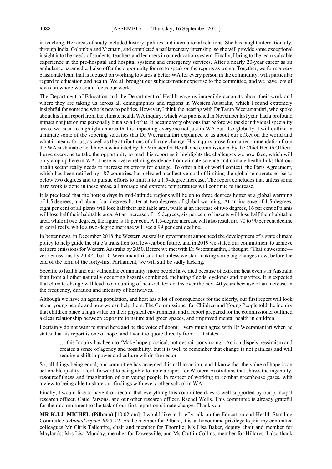in teaching. Her areas of study included history, politics and international relations. She has taught internationally, through India, Colombia and Vietnam, and completed a parliamentary internship, so she will provide some exceptional insight into the needs of students, teachers and lecturers in our education system. Finally, I bring to the team valuable experience in the pre-hospital and hospital systems and emergency services. After a nearly 20-year career as an ambulance paramedic, I also offer the opportunity for me to speak on the reports as we go. Together, we form a very passionate team that is focused on working towards a better WA for every person in the community, with particular regard to education and health. We all brought our subject-matter expertise to the committee, and we have lots of ideas on where we could focus our work.

The Department of Education and the Department of Health gave us incredible accounts about their work and where they are taking us across all demographics and regions in Western Australia, which I found extremely insightful for someone who is new to politics. However, I think the hearing with Dr Tarun Weeramanthri, who spoke about his final report from the climate health WA inquiry, which was published in November last year, had a profound impact not just on me personally but also all of us. It became very obvious that before we tackle individual speciality areas, we need to highlight an area that is impacting everyone not just in WA but also globally. I will outline in a minute some of the sobering statistics that Dr Weeramanthri explained to us about our effect on the world and what it means for us, as well as the attributions of climate change. His inquiry arose from a recommendation from the WA sustainable health review initiated by the Minister for Health and commissioned by the Chief Health Officer. I urge everyone to take the opportunity to read this report as it highlights the challenges we now face, which will only amp up here in WA. There is overwhelming evidence from climate science and climate health links that our health sector really needs to increase its efforts for change. To offer a bit of world context, the Paris Agreement, which has been ratified by 187 countries, has selected a collective goal of limiting the global temperature rise to below two degrees and to pursue efforts to limit it to a 1.5-degree increase. The report concludes that unless some hard work is done in these areas, all average and extreme temperatures will continue to increase.

It is predicted that the hottest days in mid-latitude regions will be up to three degrees hotter at a global warming of 1.5 degrees, and about four degrees hotter at two degrees of global warming. At an increase of 1.5 degrees, eight per cent of all plants will lose half their habitable area, while at an increase of two degrees, 16 per cent of plants will lose half their habitable area. At an increase of 1.5 degrees, six per cent of insects will lose half their habitable area, while at two degrees, the figure is 18 per cent. A 1.5-degree increase will also result in a 70 to 90 per cent decline in coral reefs, while a two-degree increase will see a 99 per cent decline.

In better news, in December 2018 the Western Australian government announced the development of a state climate policy to help guide the state's transition to a low-carbon future, and in 2019 we stated our commitment to achieve net zero emissions for Western Australia by 2050. Before we met with Dr Weeramanthri, I thought, "That's awesome zero emissions by 2050", but Dr Weeramanthri said that unless we start making some big changes now, before the end of the term of the forty-first Parliament, we will still be sadly lacking.

Specific to health and our vulnerable community, more people have died because of extreme heat events in Australia than from all other naturally occurring hazards combined, including floods, cyclones and bushfires. It is expected that climate change will lead to a doubling of heat-related deaths over the next 40 years because of an increase in the frequency, duration and intensity of heatwaves.

Although we have an ageing population, and heat has a lot of consequences for the elderly, our first report will look at our young people and how we can help them. The Commissioner for Children and Young People told the inquiry that children place a high value on their physical environment, and a report prepared for the commissioner outlined a clear relationship between exposure to nature and green spaces, and improved mental health in children.

I certainly do not want to stand here and be the voice of doom; I very much agree with Dr Weeramanthri when he states that his report is one of hope, and I want to quote directly from it. It states —

… this Inquiry has been to 'Make hope practical, not despair convincing'. Action dispels pessimism and creates a sense of agency and possibility, but it is well to remember that change is not painless and will require a shift in power and culture within the sector.

So, all things being equal, our committee has accepted this call to action, and I know that the value of hope is an actionable quality. I look forward to being able to table a report for Western Australians that shows the ingenuity, resourcefulness and imagination of our young people in respect of working to combat greenhouse gases, with a view to being able to share our findings with every other school in WA.

Finally, I would like to have it on record that everything this committee does is well supported by our principal research officer, Catie Parsons, and our other research officer, Rachel Wells. This committee is already grateful for their commitment to the task of our first report on climate change. Thank you.

**MR K.J.J. MICHEL (Pilbara)** [10.02 am]: I would like to briefly talk on the Education and Health Standing Committee's *Annual report 2020–21*. As the member for Pilbara, it is an honour and privilege to join my committee colleagues Mr Chris Tallentire, chair and member for Thornlie; Ms Lisa Baker, deputy chair and member for Maylands; Mrs Lisa Munday, member for Dawesville; and Ms Caitlin Collins, member for Hillarys. I also thank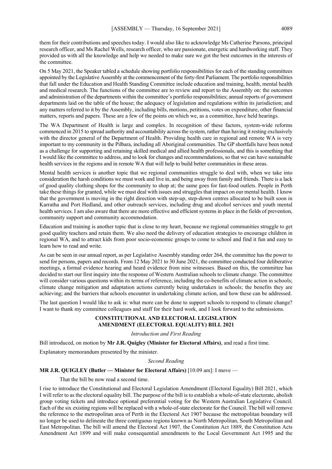them for their contributions and speeches today. I would also like to acknowledge Ms Catherine Parsons, principal research officer, and Ms Rachel Wells, research officer, who are passionate, energetic and hardworking staff. They provided us with all the knowledge and help we needed to make sure we got the best outcomes in the interests of the committee.

On 5 May 2021, the Speaker tabled a schedule showing portfolio responsibilities for each of the standing committees appointed by the Legislative Assembly at the commencement of the forty-first Parliament. The portfolio responsibilities that fall under the Education and Health Standing Committee include education and training, health, mental health and medical research. The functions of the committee are to review and report to the Assembly on: the outcomes and administration of the departments within the committee's portfolio responsibilities; annual reports of government departments laid on the table of the house; the adequacy of legislation and regulations within its jurisdiction; and any matters referred to it by the Assembly, including bills, motions, petitions, votes on expenditure, other financial matters, reports and papers. These are a few of the points on which we, as a committee, have held hearings.

The WA Department of Health is large and complex. In recognition of these factors, system-wide reforms commenced in 2015 to spread authority and accountability across the system, rather than having it resting exclusively with the director general of the Department of Health. Providing health care in regional and remote WA is very important to my community in the Pilbara, including all Aboriginal communities. The GP shortfalls have been noted as a challenge for supporting and retaining skilled medical and allied health professionals, and this is something that I would like the committee to address, and to look for changes and recommendations, so that we can have sustainable health services in the regions and in remote WA that will help to build better communities in these areas.

Mental health services is another topic that we regional communities struggle to deal with, when we take into consideration the harsh conditions we must work and live in, and being away from family and friends. There is a lack of good quality clothing shops for the community to shop at; the same goes for fast-food outlets. People in Perth take these things for granted, while we must deal with issues and struggles that impact on our mental health. I know that the government is moving in the right direction with step-up, step-down centres allocated to be built soon in Karratha and Port Hedland, and other outreach services, including drug and alcohol services and youth mental health services. I am also aware that there are more effective and efficient systems in place in the fields of prevention, community support and community accommodation.

Education and training is another topic that is close to my heart, because we regional communities struggle to get good quality teachers and retain them. We also need the delivery of education strategies to encourage children in regional WA, and to attract kids from poor socio-economic groups to come to school and find it fun and easy to learn how to read and write.

As can be seen in our annual report, as per Legislative Assembly standing order 264, the committee has the power to send for persons, papers and records. From 12 May 2021 to 30 June 2021, the committee conducted four deliberative meetings, a formal evidence hearing and heard evidence from nine witnesses. Based on this, the committee has decided to start our first inquiry into the response of Western Australian schools to climate change. The committee will consider various questions within its terms of reference, including the co-benefits of climate action in schools; climate change mitigation and adaptation actions currently being undertaken in schools; the benefits they are achieving; and the barriers that schools encounter in undertaking climate action, and how these can be addressed.

The last question I would like to ask is: what more can be done to support schools to respond to climate change? I want to thank my committee colleagues and staff for their hard work, and I look forward to the submissions.

### **CONSTITUTIONAL AND ELECTORAL LEGISLATION AMENDMENT (ELECTORAL EQUALITY) BILL 2021**

*Introduction and First Reading*

Bill introduced, on motion by **Mr J.R. Quigley (Minister for Electoral Affairs)**, and read a first time.

Explanatory memorandum presented by the minister.

*Second Reading*

#### **MR J.R. QUIGLEY (Butler — Minister for Electoral Affairs)** [10.09 am]: I move —

That the bill be now read a second time.

I rise to introduce the Constitutional and Electoral Legislation Amendment (Electoral Equality) Bill 2021, which I will refer to as the electoral equality bill. The purpose of the bill is to establish a whole-of-state electorate, abolish group voting tickets and introduce optional preferential voting for the Western Australian Legislative Council. Each of the six existing regions will be replaced with a whole-of-state electorate for the Council. The bill will remove the reference to the metropolitan area of Perth in the Electoral Act 1907 because the metropolitan boundary will no longer be used to delineate the three contiguous regions known as North Metropolitan, South Metropolitan and East Metropolitan. The bill will amend the Electoral Act 1907*,* the Constitution Act 1889, the Constitution Acts Amendment Act 1899 and will make consequential amendments to the Local Government Act 1995 and the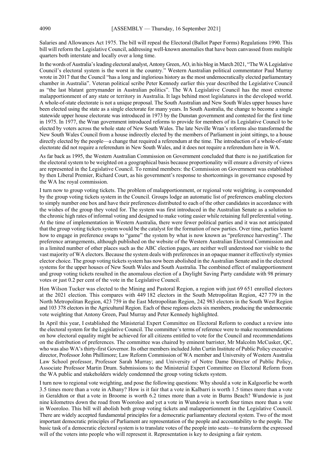Salaries and Allowances Act 1975. The bill will repeal the Electoral (Ballot Paper Forms) Regulations 1990. This bill will reform the Legislative Council, addressing well-known anomalies that have been canvassed from multiple quarters both interstate and locally over a long time.

In the words of Australia's leading electoral analyst, Antony Green, AO, in his blog in March 2021, "The WA Legislative Council's electoral system is the worst in the country." Western Australian political commentator Paul Murray wrote in 2017 that the Council "has a long and inglorious history as the most undemocratically elected parliamentary chamber in Australia". Veteran political scribe Peter Kennedy earlier this year described the Legislative Council as "the last blatant gerrymander in Australian politics". The WA Legislative Council has the most extreme malapportionment of any state or territory in Australia. It lags behind most legislatures in the developed world. A whole-of-state electorate is not a unique proposal. The South Australian and New South Wales upper houses have been elected using the state as a single electorate for many years. In South Australia, the change to become a single statewide upper house electorate was introduced in 1973 by the Dunstan government and contested for the first time in 1975. In 1977, the Wran government introduced reforms to provide for members of its Legislative Council to be elected by voters across the whole state of New South Wales. The late Neville Wran's reforms also transformed the New South Wales Council from a house indirectly elected by the members of Parliament in joint sittings, to a house directly elected by the people—a change that required a referendum at the time. The introduction of a whole-of-state electorate did not require a referendum in New South Wales, and it does not require a referendum here in WA.

As far back as 1995, the Western Australian Commission on Government concluded that there is no justification for the electoral system to be weighted on a geographical basis because proportionality will ensure a diversity of views are represented in the Legislative Council. To remind members: the Commission on Government was established by then Liberal Premier, Richard Court, as his government's response to shortcomings in governance exposed by the WA Inc royal commission.

I turn now to group voting tickets. The problem of malapportionment, or regional vote weighting, is compounded by the group voting tickets system in the Council. Groups lodge an automatic list of preferences enabling electors to simply number one box and have their preferences distributed to each of the other candidates in accordance with the wishes of the group they voted for. The system was first introduced in the Australian Senate as a solution to the chronic high rates of informal voting and designed to make voting easier while retaining full preferential voting. At the time of implementation in Western Australia, there were fewer political parties and it was not anticipated that the group voting tickets system would be the catalyst for the formation of new parties. Over time, parties learnt how to engage in preference swaps to "game" the system by what is now known as "preference harvesting". The preference arrangements, although published on the website of the Western Australian Electoral Commission and in a limited number of other places such as the ABC election pages, are neither well understood nor visible to the vast majority of WA electors. Because the system deals with preferences in an opaque manner it effectively stymies elector choice. The group voting tickets system has now been abolished in the Australian Senate and in the electoral systems for the upper houses of New South Wales and South Australia. The combined effect of malapportionment and group voting tickets resulted in the anomalous election of a Daylight Saving Party candidate with 98 primary votes or just 0.2 per cent of the vote in the Legislative Council.

Hon Wilson Tucker was elected to the Mining and Pastoral Region, a region with just 69 651 enrolled electors at the 2021 election. This compares with 449 182 electors in the South Metropolitan Region, 427 779 in the North Metropolitan Region, 423 759 in the East Metropolitan Region, 242 983 electors in the South West Region and 103 378 electors in the Agricultural Region. Each of these regions elects six members, producing the undemocratic vote weighting that Antony Green, Paul Murray and Peter Kennedy highlighted.

In April this year, I established the Ministerial Expert Committee on Electoral Reform to conduct a review into the electoral system for the Legislative Council. The committee's terms of reference were to make recommendations on how electoral equality might be achieved for all citizens entitled to vote for the Council and recommendations on the distribution of preferences. The committee was chaired by eminent barrister, Mr Malcolm McCusker, QC, who was also WA's thirty-first Governor. Its other members included John Curtin Institute of Public Policy executive director, Professor John Phillimore; Law Reform Commission of WA member and University of Western Australia Law School professor, Professor Sarah Murray; and University of Notre Dame Director of Public Policy, Associate Professor Martin Drum. Submissions to the Ministerial Expert Committee on Electoral Reform from the WA public and stakeholders widely condemned the group voting tickets system.

I turn now to regional vote weighting, and pose the following questions: Why should a vote in Kalgoorlie be worth 3.5 times more than a vote in Albany? How is it fair that a vote in Kalbarri is worth 1.5 times more than a vote in Geraldton or that a vote in Broome is worth 6.2 times more than a vote in Burns Beach? Wundowie is just nine kilometres down the road from Wooroloo and yet a vote in Wundowie is worth four times more than a vote in Wooroloo. This bill will abolish both group voting tickets and malapportionment in the Legislative Council. There are widely accepted fundamental principles for a democratic parliamentary electoral system. Two of the most important democratic principles of Parliament are representation of the people and accountability to the people. The basic task of a democratic electoral system is to translate votes of the people into seats—to transform the expressed will of the voters into people who will represent it. Representation is key to designing a fair system.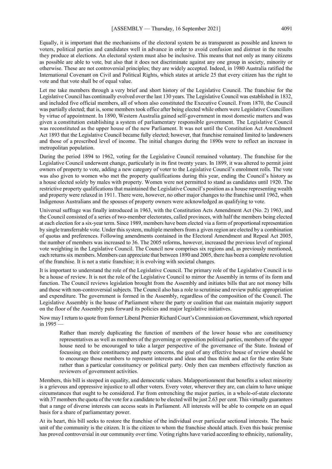Equally, it is important that the mechanisms of the electoral system be as transparent as possible and known to voters, political parties and candidates well in advance in order to avoid confusion and distrust in the results they produce at elections. An electoral system must also be inclusive. This means that not only as many citizens as possible are able to vote, but also that it does not discriminate against any one group in society, minority or otherwise. These are not controversial principles; they are widely accepted. Indeed, in 1980 Australia ratified the International Covenant on Civil and Political Rights, which states at article 25 that every citizen has the right to vote and that vote shall be of equal value.

Let me take members through a very brief and short history of the Legislative Council. The franchise for the Legislative Council has continually evolved over the last 130 years. The Legislative Council was established in 1832, and included five official members, all of whom also constituted the Executive Council. From 1870, the Council was partially elected; that is, some members took office after being elected while others were Legislative Councillors by virtue of appointment. In 1890, Western Australia gained self-government in most domestic matters and was given a constitution establishing a system of parliamentary responsible government. The Legislative Council was reconstituted as the upper house of the new Parliament. It was not until the Constitution Act Amendment Act 1893 that the Legislative Council became fully elected; however, that franchise remained limited to landowners and those of a prescribed level of income. The initial changes during the 1890s were to reflect an increase in metropolitan population.

During the period 1894 to 1962, voting for the Legislative Council remained voluntary. The franchise for the Legislative Council underwent change, particularly in its first twenty years. In 1899, it was altered to permit joint owners of property to vote, adding a new category of voter to the Legislative Council's enrolment rolls. The vote was also given to women who met the property qualifications during this year, ending the Council's history as a house elected solely by males with property. Women were not permitted to stand as candidates until 1920. The restrictive property qualifications that maintained the Legislative Council's position as a house representing wealth and property were relaxed in 1911. There were, however, no other major changes to the franchise until 1962, when Indigenous Australians and the spouses of property owners were acknowledged as qualifying to vote.

Universal suffrage was finally introduced in 1963, with the Constitution Acts Amendment Act (No. 2) 1963, and the Council consisted of a series of two-member electorates, called provinces, with half the members being elected at each election for a six-year term. Since 1989, members have been elected via a form of proportional representation by single transferrable vote. Under this system, multiple members from a given region are elected by a combination of quotas and preferences. Following amendments contained in the Electoral Amendment and Repeal Act 2005, the number of members was increased to 36. The 2005 reforms, however, increased the previous level of regional vote weighting in the Legislative Council. The Council now comprises six regions and, as previously mentioned, each returns six members. Members can appreciate that between 1890 and 2005, there has been a complete revolution of the franchise. It is not a static franchise; it is evolving with societal changes.

It is important to understand the role of the Legislative Council. The primary role of the Legislative Council is to be a house of review. It is not the role of the Legislative Council to mirror the Assembly in terms of its form and function. The Council reviews legislation brought from the Assembly and initiates bills that are not money bills and those with non-controversial subjects. The Council also has a role to scrutinise and review public appropriation and expenditure. The government is formed in the Assembly, regardless of the composition of the Council. The Legislative Assembly is the house of Parliament where the party or coalition that can maintain majority support on the floor of the Assembly puts forward its policies and major legislative initiatives.

Now may I return to quote from former Liberal Premier Richard Court's Commission on Government, which reported in 1995 —

Rather than merely duplicating the function of members of the lower house who are constituency representatives as well as members of the governing or opposition political parties, members of the upper house need to be encouraged to take a larger perspective of the governance of the State. Instead of focussing on their constituency and party concerns, the goal of any effective house of review should be to encourage those members to represent interests and ideas and thus think and act for the entire State rather than a particular constituency or political party. Only then can members effectively function as reviewers of government activities.

Members, this bill is steeped in equality, and democratic values. Malapportionment that benefits a select minority is a grievous and oppressive injustice to all other voters. Every voter, wherever they are, can claim to have unique circumstances that ought to be considered. Far from entrenching the major parties, in a whole-of-state electorate with 37 members the quota of the vote for a candidate to be elected will be just 2.63 per cent. This virtually guarantees that a range of diverse interests can access seats in Parliament. All interests will be able to compete on an equal basis for a share of parliamentary power.

At its heart, this bill seeks to restore the franchise of the individual over particular sectional interests. The basic unit of the community is the citizen. It is the citizen to whom the franchise should attach. Even this basic premise has proved controversial in our community over time. Voting rights have varied according to ethnicity, nationality,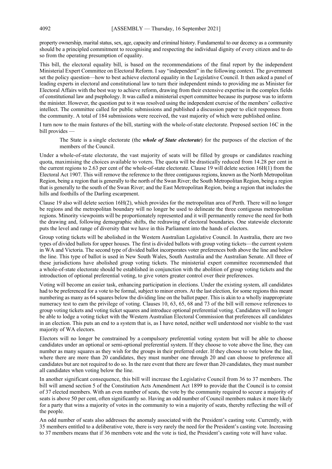property ownership, marital status, sex, age, capacity and criminal history. Fundamental to our decency as a community should be a principled commitment to recognising and respecting the individual dignity of every citizen and to do so from the operating presumption of equality.

This bill, the electoral equality bill, is based on the recommendations of the final report by the independent Ministerial Expert Committee on Electoral Reform. I say "independent" in the following context. The government set the policy question—how to best achieve electoral equality in the Legislative Council. It then asked a panel of leading experts in electoral and constitutional law to turn their independent minds to providing me as Minister for Electoral Affairs with the best way to achieve reform, drawing from their extensive expertise in the complex fields of constitutional law and psephology. It was called a ministerial expert committee because its purpose was to inform the minister. However, the question put to it was resolved using the independent exercise of the members' collective intellect. The committee called for public submissions and published a discussion paper to elicit responses from the community. A total of 184 submissions were received, the vast majority of which were published online.

I turn now to the main features of the bill, starting with the whole-of-state electorate. Proposed section 16C in the bill provides —

The State is a single electorate (the *whole of State electorate*) for the purposes of the election of the members of the Council.

Under a whole-of-state electorate, the vast majority of seats will be filled by groups or candidates reaching quota, maximising the choices available to voters. The quota will be drastically reduced from 14.28 per cent in the current regions to 2.63 per cent of the whole-of-state electorate. Clause 19 will delete section 16H(1) from the Electoral Act 1907. This will remove the reference to the three contiguous regions, known as the North Metropolitan Region, being a region that is generally to the north of the Swan River; the South Metropolitan Region, being a region that is generally to the south of the Swan River; and the East Metropolitan Region, being a region that includes the hills and foothills of the Darling escarpment.

Clause 19 also will delete section 16H(2), which provides for the metropolitan area of Perth. There will no longer be regions and the metropolitan boundary will no longer be used to delineate the three contiguous metropolitan regions. Minority viewpoints will be proportionately represented and it will permanently remove the need for both the drawing and, following demographic shifts, the redrawing of electoral boundaries. One statewide electorate puts the level and range of diversity that we have in this Parliament into the hands of electors.

Group voting tickets will be abolished in the Western Australian Legislative Council. In Australia, there are two types of divided ballots for upper houses. The first is divided ballots with group voting tickets—the current system in WA and Victoria. The second type of divided ballot incorporates voter preferences both above the line and below the line. This type of ballot is used in New South Wales, South Australia and the Australian Senate. All three of these jurisdictions have abolished group voting tickets. The ministerial expert committee recommended that a whole-of-state electorate should be established in conjunction with the abolition of group voting tickets and the introduction of optional preferential voting, to give voters greater control over their preferences.

Voting will become an easier task, enhancing participation in elections. Under the existing system, all candidates had to be preferenced for a vote to be formal, subject to minor errors. At the last election, for some regions this meant numbering as many as 64 squares below the dividing line on the ballot paper. This is akin to a wholly inappropriate numeracy test to earn the privilege of voting. Clauses 10, 63, 65, 68 and 73 of the bill will remove references to group voting tickets and voting ticket squares and introduce optional preferential voting. Candidates will no longer be able to lodge a voting ticket with the Western Australian Electoral Commission that preferences all candidates in an election. This puts an end to a system that is, as I have noted, neither well understood nor visible to the vast majority of WA electors.

Electors will no longer be constrained by a compulsory preferential voting system but will be able to choose candidates under an optional or semi-optional preferential system. If they choose to vote above the line, they can number as many squares as they wish for the groups in their preferred order. If they choose to vote below the line, where there are more than 20 candidates, they must number one through 20 and can choose to preference all candidates but are not required to do so. In the rare event that there are fewer than 20 candidates, they must number all candidates when voting below the line.

In another significant consequence, this bill will increase the Legislative Council from 36 to 37 members. The bill will amend section 5 of the Constitution Acts Amendment Act 1899 to provide that the Council is to consist of 37 elected members. With an even number of seats, the vote by the community required to secure a majority of seats is above 50 per cent, often significantly so. Having an odd number of Council members makes it more likely for a party that wins a majority of votes in the community to win a majority of seats, thereby reflecting the will of the people.

An odd number of seats also addresses the anomaly associated with the President's casting vote. Currently, with 35 members entitled to a deliberative vote, there is very rarely the need for the President's casting vote. Increasing to 37 members means that if 36 members vote and the vote is tied, the President's casting vote will have value.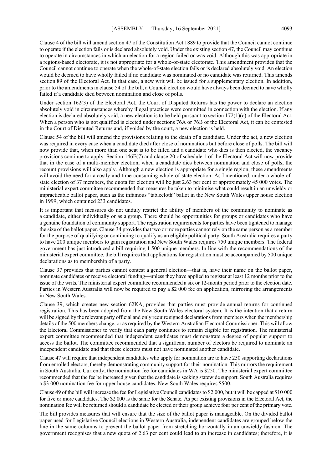Clause 4 of the bill will amend section 47 of the Constitution Act 1889 to provide that the Council cannot continue to operate if the election fails or is declared absolutely void. Under the existing section 47, the Council may continue to operate in circumstances in which an election for a region failed or was void. Although this was appropriate in a regions-based electorate, it is not appropriate for a whole-of-state electorate. This amendment provides that the Council cannot continue to operate when the whole-of-state election fails or is declared absolutely void. An election would be deemed to have wholly failed if no candidate was nominated or no candidate was returned. This amends section 89 of the Electoral Act. In that case, a new writ will be issued for a supplementary election. In addition, prior to the amendments in clause 54 of the bill, a Council election would have always been deemed to have wholly failed if a candidate died between nomination and close of polls.

Under section 162(3) of the Electoral Act, the Court of Disputed Returns has the power to declare an election absolutely void in circumstances whereby illegal practices were committed in connection with the election. If any election is declared absolutely void, a new election is to be held pursuant to section  $172(1)(c)$  of the Electoral Act. When a person who is not qualified is elected under sections 76A or 76B of the Electoral Act, it can be contested in the Court of Disputed Returns and, if voided by the court, a new election is held.

Clause 54 of the bill will amend the provisions relating to the death of a candidate. Under the act, a new election was required in every case when a candidate died after close of nominations but before close of polls. The bill will now provide that, when more than one seat is to be filled and a candidate who dies is then elected, the vacancy provisions continue to apply. Section 146E(7) and clause 20 of schedule 1 of the Electoral Act will now provide that in the case of a multi-member election, when a candidate dies between nomination and close of polls, the recount provisions will also apply. Although a new election is appropriate for a single region, these amendments will avoid the need for a costly and time-consuming whole-of-state election. As I mentioned, under a whole-ofstate election of 37 members, the quota for election will be just 2.63 per cent or approximately 45 000 votes. The ministerial expert committee recommended that measures be taken to minimise what could result in an unwieldy or impracticable ballot paper, such as the infamous "tablecloth" ballot in the New South Wales upper house election in 1999, which contained 233 candidates.

It is important that measures do not unduly restrict the ability of members of the community to nominate as a candidate, either individually or as a group. There should be opportunities for groups or candidates who have a genuine foundation of community support. The registration requirements for parties have been tightened to manage the size of the ballot paper. Clause 34 provides that two or more parties cannot rely on the same person as a member for the purpose of qualifying or continuing to qualify as an eligible political party. South Australia requires a party to have 200 unique members to gain registration and New South Wales requires 750 unique members. The federal government has just introduced a bill requiring 1 500 unique members. In line with the recommendations of the ministerial expert committee, the bill requires that applications for registration must be accompanied by 500 unique declarations as to membership of a party.

Clause 37 provides that parties cannot contest a general election—that is, have their name on the ballot paper, nominate candidates or receive electoral funding—unless they have applied to register at least 12 months prior to the issue of the writs. The ministerial expert committee recommended a six or 12-month period prior to the election date. Parties in Western Australia will now be required to pay a \$2 000 fee on application, mirroring the arrangements in New South Wales.

Clause 39, which creates new section 62KA, provides that parties must provide annual returns for continued registration. This has been adopted from the New South Wales electoral system. It is the intention that a return will be signed by the relevant party official and only require signed declarations from members when the membership details of the 500 members change, or as required by the Western Australian Electoral Commissioner. This will allow the Electoral Commissioner to verify that each party continues to remain eligible for registration. The ministerial expert committee recommended that independent candidates must demonstrate a degree of popular support to access the ballot. The committee recommended that a significant number of electors be required to nominate an independent candidate and that these electors must not have nominated another candidate.

Clause 47 will require that independent candidates who apply for nomination are to have 250 supporting declarations from enrolled electors, thereby demonstrating community support for their nomination. This mirrors the requirement in South Australia. Currently, the nomination fee for candidates in WA is \$250. The ministerial expert committee recommended that the fee be increased given that the candidate is seeking statewide support. South Australia requires a \$3 000 nomination fee for upper house candidates. New South Wales requires \$500.

Clause 49 of the bill will increase the fee for Legislative Council candidates to \$2 000, but it will be capped at \$10 000 for five or more candidates. The \$2 000 is the same for the Senate. As per existing provisions in the Electoral Act, the nomination fee will be returned should a candidate be elected or their group achieve four per cent of the primary vote.

The bill provides measures that will ensure that the size of the ballot paper is manageable. On the divided ballot paper used for Legislative Council elections in Western Australia, independent candidates are grouped below the line in the same columns to prevent the ballot paper from stretching horizontally in an unwieldy fashion. The government recognises that a new quota of 2.63 per cent could lead to an increase in candidates; therefore, it is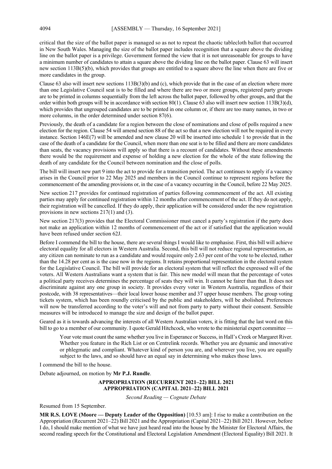critical that the size of the ballot paper is managed so as not to repeat the chaotic tablecloth ballot that occurred in New South Wales. Managing the size of the ballot paper includes recognition that a square above the dividing line on the ballot paper is a privilege. Government formed the view that it is not unreasonable for groups to have a minimum number of candidates to attain a square above the dividing line on the ballot paper. Clause 63 will insert new section 113B(5)(b), which provides that groups are entitled to a square above the line when there are five or more candidates in the group.

Clause 63 also will insert new sections 113B(3)(b) and (c), which provide that in the case of an election where more than one Legislative Council seat is to be filled and where there are two or more groups, registered party groups are to be printed in columns sequentially from the left across the ballot paper, followed by other groups, and that the order within both groups will be in accordance with section 80(1). Clause 63 also will insert new section 113B(3)(d), which provides that ungrouped candidates are to be printed in one column or, if there are too many names, in two or more columns, in the order determined under section 87(6).

Previously, the death of a candidate for a region between the close of nominations and close of polls required a new election for the region. Clause 54 will amend section 88 of the act so that a new election will not be required in every instance. Section 146E(7) will be amended and new clause 20 will be inserted into schedule 1 to provide that in the case of the death of a candidate for the Council, when more than one seat is to be filled and there are more candidates than seats, the vacancy provisions will apply so that there is a recount of candidates. Without these amendments there would be the requirement and expense of holding a new election for the whole of the state following the death of any candidate for the Council between nomination and the close of polls.

The bill will insert new part 9 into the act to provide for a transition period. The act continues to apply if a vacancy arises in the Council prior to 22 May 2025 and members in the Council continue to represent regions before the commencement of the amending provisions or, in the case of a vacancy occurring in the Council, before 22 May 2025.

New section 217 provides for continued registration of parties following commencement of the act. All existing parties may apply for continued registration within 12 months after commencement of the act. If they do not apply, their registration will be cancelled. If they do apply, their application will be considered under the new registration provisions in new sections 217(1) and (3).

New section 217(3) provides that the Electoral Commissioner must cancel a party's registration if the party does not make an application within 12 months of commencement of the act or if satisfied that the application would have been refused under section 62J.

Before I commend the bill to the house, there are several things I would like to emphasise. First, this bill will achieve electoral equality for all electors in Western Australia. Second, this bill will not reduce regional representation, as any citizen can nominate to run as a candidate and would require only 2.63 per cent of the vote to be elected, rather than the 14.28 per cent as is the case now in the regions. It retains proportional representation in the electoral system for the Legislative Council. The bill will provide for an electoral system that will reflect the expressed will of the voters. All Western Australians want a system that is fair. This new model will mean that the percentage of votes a political party receives determines the percentage of seats they will win. It cannot be fairer than that. It does not discriminate against any one group in society. It provides every voter in Western Australia, regardless of their postcode, with 38 representatives—their local lower house member and 37 upper house members. The group voting tickets system, which has been roundly criticised by the public and stakeholders, will be abolished. Preferences will now be transferred according to the voter's will and not from party to party without their consent. Sensible measures will be introduced to manage the size and design of the ballot paper.

Geared as it is towards advancing the interests of all Western Australian voters, it is fitting that the last word on this bill to go to a member of our community. I quote Gerald Hitchcock, who wrote to the ministerial expert committee —

Your vote must count the same whether you live in Esperance or Success, in Hall's Creek or Margaret River. Whether you feature in the Rich List or on Centrelink records. Whether you are dynamic and innovative or phlegmatic and compliant. Whatever kind of person you are, and wherever you live, you are equally subject to the laws, and so should have an equal say in determining who makes those laws.

I commend the bill to the house.

Debate adjourned, on motion by **Mr P.J. Rundle**.

### **APPROPRIATION (RECURRENT 2021–22) BILL 2021 APPROPRIATION (CAPITAL 2021–22) BILL 2021**

*Second Reading — Cognate Debate*

Resumed from 15 September.

**MR R.S. LOVE (Moore — Deputy Leader of the Opposition)** [10.53 am]: I rise to make a contribution on the Appropriation (Recurrent 2021–22) Bill 2021 and the Appropriation (Capital 2021–22) Bill 2021. However, before I do, I should make mention of what we have just heard read into the house by the Minister for Electoral Affairs, the second reading speech for the Constitutional and Electoral Legislation Amendment (Electoral Equality) Bill 2021. It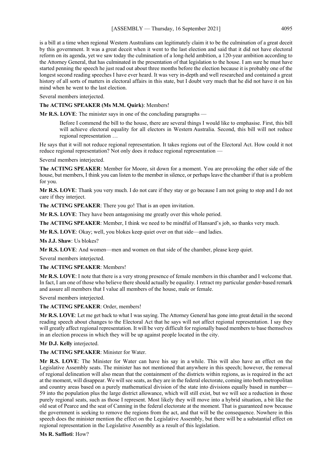is a bill at a time when regional Western Australians can legitimately claim it to be the culmination of a great deceit by this government. It was a great deceit when it went to the last election and said that it did not have electoral reform on its agenda, yet we saw today the culmination of a long-held ambition, a 120-year ambition according to the Attorney General, that has culminated in the presentation of that legislation to the house. I am sure he must have started penning the speech he just read out about three months before the election because it is probably one of the longest second reading speeches I have ever heard. It was very in-depth and well researched and contained a great history of all sorts of matters in electoral affairs in this state, but I doubt very much that he did not have it on his mind when he went to the last election.

Several members interjected.

### **The ACTING SPEAKER (Ms M.M. Quirk)**: Members!

**Mr R.S. LOVE**: The minister says in one of the concluding paragraphs —

Before I commend the bill to the house, there are several things I would like to emphasise. First, this bill will achieve electoral equality for all electors in Western Australia. Second, this bill will not reduce regional representation …

He says that it will not reduce regional representation. It takes regions out of the Electoral Act. How could it not reduce regional representation? Not only does it reduce regional representation —

Several members interjected.

**The ACTING SPEAKER**: Member for Moore, sit down for a moment. You are provoking the other side of the house, but members, I think you can listen to the member in silence, or perhaps leave the chamber if that is a problem for you.

**Mr R.S. LOVE**: Thank you very much. I do not care if they stay or go because I am not going to stop and I do not care if they interject.

**The ACTING SPEAKER**: There you go! That is an open invitation.

**Mr R.S. LOVE**: They have been antagonising me greatly over this whole period.

**The ACTING SPEAKER**: Member, I think we need to be mindful of Hansard's job, so thanks very much.

**Mr R.S. LOVE**: Okay; well, you blokes keep quiet over on that side—and ladies.

**Ms J.J. Shaw**: Us blokes?

**Mr R.S. LOVE**: And women—men and women on that side of the chamber, please keep quiet.

Several members interjected.

**The ACTING SPEAKER**: Members!

**Mr R.S. LOVE**: I note that there is a very strong presence of female members in this chamber and I welcome that. In fact, I am one of those who believe there should actually be equality. I retract my particular gender-based remark and assure all members that I value all members of the house, male or female.

Several members interjected.

**The ACTING SPEAKER**: Order, members!

**Mr R.S. LOVE**: Let me get back to what I was saying. The Attorney General has gone into great detail in the second reading speech about changes to the Electoral Act that he says will not affect regional representation. I say they will greatly affect regional representation. It will be very difficult for regionally based members to base themselves in an election process in which they will be up against people located in the city.

**Mr D.J. Kelly** interjected.

**The ACTING SPEAKER**: Minister for Water.

**Mr R.S. LOVE**: The Minister for Water can have his say in a while. This will also have an effect on the Legislative Assembly seats. The minister has not mentioned that anywhere in this speech; however, the removal of regional delineation will also mean that the containment of the districts within regions, as is required in the act at the moment, will disappear. We will see seats, as they are in the federal electorate, coming into both metropolitan and country areas based on a purely mathematical division of the state into divisions equally based in number— 59 into the population plus the large district allowance, which will still exist, but we will see a reduction in those purely regional seats, such as those I represent. Most likely they will move into a hybrid situation, a bit like the old seat of Pearce and the seat of Canning in the federal electorate at the moment. That is guaranteed now because the government is seeking to remove the regions from the act, and that will be the consequence. Nowhere in this speech does the minister mention the effect on the Legislative Assembly, but there will be a substantial effect on regional representation in the Legislative Assembly as a result of this legislation.

**Ms R. Saffioti**: How?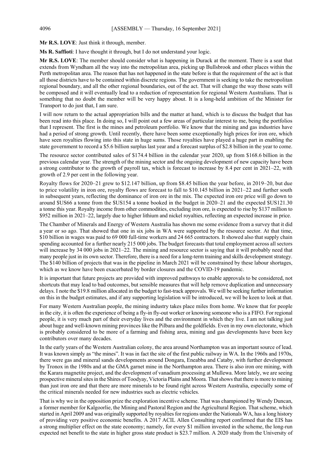**Mr R.S. LOVE**: Just think it through, member.

**Ms R. Saffioti**: I have thought it through, but I do not understand your logic.

**Mr R.S. LOVE**: The member should consider what is happening in Durack at the moment. There is a seat that extends from Wyndham all the way into the metropolitan area, picking up Bullsbrook and other places within the Perth metropolitan area. The reason that has not happened in the state before is that the requirement of the act is that all those districts have to be contained within discrete regions. The government is seeking to take the metropolitan regional boundary, and all the other regional boundaries, out of the act. That will change the way those seats will be composed and it will eventually lead to a reduction of representation for regional Western Australians. That is something that no doubt the member will be very happy about. It is a long-held ambition of the Minister for Transport to do just that, I am sure.

I will now return to the actual appropriation bills and the matter at hand, which is to discuss the budget that has been read into this place. In doing so, I will point out a few areas of particular interest to me, being the portfolios that I represent. The first is the mines and petroleum portfolio. We know that the mining and gas industries have had a period of strong growth. Until recently, there have been some exceptionally high prices for iron ore, which have seen royalties flowing into this state in huge sums. Those royalties have played a huge part in enabling the state government to record a \$5.6 billion surplus last year and a forecast surplus of \$2.8 billion in the year to come.

The resource sector contributed sales of \$174.4 billion in the calendar year 2020, up from \$168.6 billion in the previous calendar year. The strength of the mining sector and the ongoing development of new capacity have been a strong contributor to the growth of payroll tax, which is forecast to increase by 8.4 per cent in 2021–22, with growth of 2.9 per cent in the following year.

Royalty flows for 2020–21 grew to \$12.147 billion, up from \$8.45 billion the year before, in 2019–20, but due to price volatility in iron ore, royalty flows are forecast to fall to \$10.145 billion in 2021–22 and further south in subsequent years, reflecting the dominance of iron ore in the mix. The expected iron ore price will go down to around \$US66 a tonne from the \$US154 a tonne booked in the budget in 2020–21 and the expected \$US121.30 a tonne this year. Royalty income from other commodities, excluding iron ore, is expected to rise by \$137 million to \$952 million in 2021–22, largely due to higher lithium and nickel royalties, reflecting an expected increase in price.

The Chamber of Minerals and Energy of Western Australia has shown me some evidence from a survey that it did a year or so ago. That showed that one in six jobs in WA were supported by the resource sector. At that time, \$10 billion in wages was paid to 69 000 full-time workers and 24 665 contractors. It showed also that supply chain spending accounted for a further nearly 215 000 jobs. The budget forecasts that total employment across all sectors will increase by 34 000 jobs in 2021–22. The mining and resource sector is saying that it will probably need that many people just in its own sector. Therefore, there is a need for a long-term training and skills development strategy. The \$140 billion of projects that was in the pipeline in March 2021 will be constrained by these labour shortages, which as we know have been exacerbated by border closures and the COVID-19 pandemic.

It is important that future projects are provided with improved pathways to enable approvals to be considered, not shortcuts that may lead to bad outcomes, but sensible measures that will help remove duplication and unnecessary delays. I note the \$19.8 million allocated in the budget to fast-track approvals. We will be seeking further information on this in the budget estimates, and if any supporting legislation will be introduced, we will be keen to look at that.

For many Western Australian people, the mining industry takes place miles from home. We know that for people in the city, it is often the experience of being a fly-in fly-out worker or knowing someone who is a FIFO. For regional people, it is very much part of their everyday lives and the environment in which they live. I am not talking just about huge and well-known mining provinces like the Pilbara and the goldfields. Even in my own electorate, which is probably considered to be more of a farming and fishing area, mining and gas developments have been key contributors over many decades.

In the early years of the Western Australian colony, the area around Northampton was an important source of lead. It was known simply as "the mines". It was in fact the site of the first public railway in WA. In the 1960s and 1970s, there were gas and mineral sands developments around Dongara, Eneabba and Cataby, with further development by Tronox in the 1980s and at the GMA garnet mine in the Northampton area. There is also iron ore mining, with the Karara magnetite project, and the development of vanadium processing at Mullewa. More lately, we are seeing prospective mineral sites in the Shires of Toodyay, Victoria Plains and Moora. That shows that there is more to mining than just iron ore and that there are more minerals to be found right across Western Australia, especially some of the critical minerals needed for new industries such as electric vehicles.

That is why we in the opposition prize the exploration incentive scheme. That was championed by Wendy Duncan, a former member for Kalgoorlie, the Mining and Pastoral Region and the Agricultural Region. That scheme, which started in April 2009 and was originally supported by royalties for regions under the Nationals WA, has a long history of providing very positive economic benefits. A 2017 ACIL Allen Consulting report confirmed that the EIS has a strong multiplier effect on the state economy; namely, for every \$1 million invested in the scheme, the long-run expected net benefit to the state in higher gross state product is \$23.7 million. A 2020 study from the University of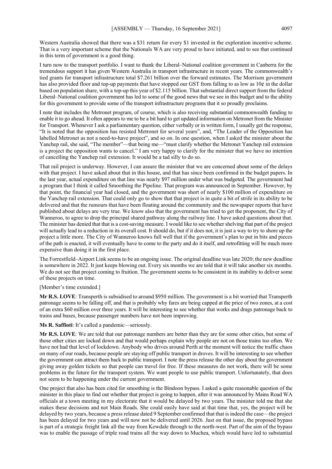Western Australia showed that there was a \$31 return for every \$1 invested in the exploration incentive scheme. That is a very important scheme that the Nationals WA are very proud to have initiated, and to see that continued in this term of government is a good thing.

I turn now to the transport portfolio. I want to thank the Liberal–National coalition government in Canberra for the tremendous support it has given Western Australia in transport infrastructure in recent years. The commonwealth's tied grants for transport infrastructure total \$7.261 billion over the forward estimates. The Morrison government has also provided floor and top-up payments that have stopped our GST from falling to as low as 10¢ in the dollar based on population share, with a top-up this year of \$2.115 billion. That substantial direct support from the federal Liberal–National coalition government has led to some of the good news that we see in this budget and to the ability for this government to provide some of the transport infrastructure programs that it so proudly proclaims.

I note that includes the Metronet program, of course, which is also receiving substantial commonwealth funding to enable it to go ahead. It often appears to me to be a bit hard to get updated information on Metronet from the Minister for Transport. Whenever I ask a parliamentary question, either verbally or in written form, I usually get the response, "It is noted that the opposition has resisted Metronet for several years", and, "The Leader of the Opposition has labelled Metronet as not a need-to-have project", and so on. In one question, when I asked the minister about the Yanchep rail, she said, "The member"—that being me—"must clarify whether the Metronet Yanchep rail extension is a project the opposition wants to cancel." I am very happy to clarify for the minister that we have no intention of cancelling the Yanchep rail extension. It would be a tad silly to do so.

That rail project is underway. However, I can assure the minister that we are concerned about some of the delays with that project. I have asked about that in this house, and that has since been confirmed in the budget papers. In the last year, actual expenditure on that line was nearly \$97 million under what was budgeted. The government had a program that I think it called Smoothing the Pipeline. That program was announced in September. However, by that point, the financial year had closed, and the government was short of nearly \$100 million of expenditure on the Yanchep rail extension. That could only go to show that that project is in quite a bit of strife in its ability to be delivered and that the rumours that have been floating around the community and the newspaper reports that have published about delays are very true. We know also that the government has tried to get the proponent, the City of Wanneroo, to agree to drop the principal shared pathway along the railway line. I have asked questions about that. The minister has denied that that is a cost-saving measure. I would like to see whether shelving that part of the project will actually lead to a reduction in its overall cost. It should do, but if it does not, it is just a way to try to shore up the project a little more. The City of Wanneroo knows full well that if the government's plan to put in bits and pieces of the path is enacted, it will eventually have to come to the party and do it itself, and retrofitting will be much more expensive than doing it in the first place.

The Forrestfield–Airport Link seems to be an ongoing issue. The original deadline was late 2020; the new deadline is somewhere in 2022. It just keeps blowing out. Every six months we are told that it will take another six months. We do not see that project coming to fruition. The government seems to be consistent in its inability to deliver some of these projects on time.

[Member's time extended.]

**Mr R.S. LOVE**: Transperth is subsidised to around \$950 million. The government is a bit worried that Transperth patronage seems to be falling off, and that is probably why fares are being capped at the price of two zones, at a cost of an extra \$60 million over three years. It will be interesting to see whether that works and drags patronage back to trains and buses, because passenger numbers have not been improving.

**Ms R. Saffioti**: It's called a pandemic—seriously.

**Mr R.S. LOVE**: We are told that our patronage numbers are better than they are for some other cities, but some of those other cities are locked down and that would perhaps explain why people are not on those trains too often. We have not had that level of lockdown. Anybody who drives around Perth at the moment will notice the traffic chaos on many of our roads, because people are staying off public transport in droves. It will be interesting to see whether the government can attract them back to public transport. I note the press release the other day about the government giving away golden tickets so that people can travel for free. If these measures do not work, there will be some problems in the future for the transport system. We want people to use public transport. Unfortunately, that does not seem to be happening under the current government.

One project that also has been cited for smoothing is the Bindoon bypass. I asked a quite reasonable question of the minister in this place to find out whether that project is going to happen, after it was announced by Mains Road WA officials at a town meeting in my electorate that it would be delayed by two years. The minister told me that she makes these decisions and not Main Roads. She could easily have said at that time that, yes, the project will be delayed by two years, because a press release dated 9 September confirmed that that is indeed the case—the project has been delayed for two years and will now not be delivered until 2026. Just on that issue, the proposed bypass is part of a strategic freight link all the way from Kewdale through to the north-west. Part of the aim of the bypass was to enable the passage of triple road trains all the way down to Muchea, which would have led to substantial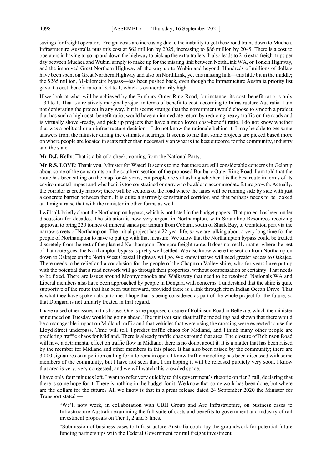savings for freight operators. Freight costs are increasing due to the inability to get these road trains down to Muchea. Infrastructure Australia puts this cost at \$62 million by 2025, increasing to \$86 million by 2045. There is a cost to operators in having to go up and down the highway to pick up the extra trailers. It also leads to 216 extra freight trips per day between Muchea and Wubin, simply to make up for the missing link between NorthLink WA, or Tonkin Highway, and the improved Great Northern Highway all the way up to Wubin and beyond. Hundreds of millions of dollars have been spent on Great Northern Highway and also on NorthLink, yet this missing link—this little bit in the middle; the \$265 million, 61-kilometre bypass—has been pushed back, even though the Infrastructure Australia priority list gave it a cost–benefit ratio of 3.4 to 1, which is extraordinarily high.

If we look at what will be achieved by the Bunbury Outer Ring Road, for instance, its cost–benefit ratio is only 1.34 to 1. That is a relatively marginal project in terms of benefit to cost, according to Infrastructure Australia. I am not denigrating the project in any way, but it seems strange that the government would choose to smooth a project that has such a high cost–benefit ratio, would have an immediate return by reducing heavy traffic on the roads and is virtually shovel-ready, and pick up projects that have a much lower cost–benefit ratio. I do not know whether that was a political or an infrastructure decision—I do not know the rationale behind it. I may be able to get some answers from the minister during the estimates hearings. It seems to me that some projects are picked based more on where people are located in seats rather than necessarily on what is the best outcome for the community, industry and the state.

**Mr D.J. Kelly**: That is a bit of a cheek, coming from the National Party.

**Mr R.S. LOVE**: Thank you, Minister for Water! It seems to me that there are still considerable concerns in Gelorup about some of the constraints on the southern section of the proposed Bunbury Outer Ring Road. I am told that the route has been sitting on the map for 48 years, but people are still asking whether it is the best route in terms of its environmental impact and whether it is too constrained or narrow to be able to accommodate future growth. Actually, the corridor is pretty narrow; there will be sections of the road where the lanes will be running side by side with just a concrete barrier between them. It is quite a narrowly constrained corridor, and that perhaps needs to be looked at. I might raise that with the minister in other forms as well.

I will talk briefly about the Northampton bypass, which is not listed in the budget papers. That project has been under discussion for decades. The situation is now very urgent in Northampton, with Strandline Resources receiving approval to bring 230 tonnes of mineral sands per annum from Coburn, south of Shark Bay, to Geraldton port via the narrow streets of Northampton. The initial project has a 22-year life, so we are talking about a very long time for the people of Northampton to have to put up with that measure. We know that the Northampton bypass could be treated discretely from the rest of the planned Northampton–Dongara freight route. It does not really matter where the rest of that route goes; the Northampton bypass is pretty well settled. We also know where the section from Northampton down to Oakajee on the North West Coastal Highway will go. We know that we will need greater access to Oakajee. There needs to be relief and a conclusion for the people of the Chapman Valley shire, who for years have put up with the potential that a road network will go through their properties, without compensation or certainty. That needs to be fixed. There are issues around Moonyoonooka and Walkaway that need to be resolved. Nationals WA and Liberal members also have been approached by people in Dongara with concerns. I understand that the shire is quite supportive of the route that has been put forward, provided there is a link through from Indian Ocean Drive. That is what they have spoken about to me. I hope that is being considered as part of the whole project for the future, so that Dongara is not unfairly treated in that regard.

I have raised other issues in this house. One is the proposed closure of Robinson Road in Bellevue, which the minister announced on Tuesday would be going ahead. The minister said that traffic modelling had shown that there would be a manageable impact on Midland traffic and that vehicles that were using the crossing were expected to use the Lloyd Street underpass. Time will tell. I predict traffic chaos for Midland, and I think many other people are predicting traffic chaos for Midland. There is already traffic chaos around that area. The closure of Robinson Road will have a detrimental effect on traffic flow in Midland; there is no doubt about it. It is a matter that has been raised by the member for Midland and other members in this place. It has also been raised by the community; there are 3 000 signatures on a petition calling for it to remain open. I know traffic modelling has been discussed with some members of the community, but I have not seen that. I am hoping it will be released publicly very soon. I know that area is very, very congested, and we will watch this crowded space.

I have only four minutes left. I want to refer very quickly to this government's rhetoric on tier 3 rail, declaring that there is some hope for it. There is nothing in the budget for it. We know that some work has been done, but where are the dollars for the future? All we know is that in a press release dated 24 September 2020 the Minister for Transport stated —

"We'll now work, in collaboration with CBH Group and Arc Infrastructure, on business cases to Infrastructure Australia examining the full suite of costs and benefits to government and industry of rail investment proposals on Tier 1, 2 and 3 lines.

"Submission of business cases to Infrastructure Australia could lay the groundwork for potential future funding partnerships with the Federal Government for rail freight investment.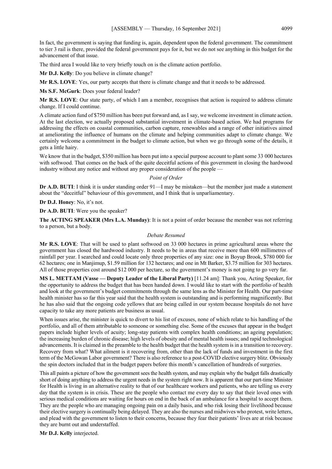In fact, the government is saying that funding is, again, dependent upon the federal government. The commitment to tier 3 rail is there, provided the federal government pays for it, but we do not see anything in this budget for the advancement of that issue.

The third area I would like to very briefly touch on is the climate action portfolio.

**Mr D.J. Kelly**: Do you believe in climate change?

**Mr R.S. LOVE**: Yes, our party accepts that there is climate change and that it needs to be addressed.

**Ms S.F. McGurk**: Does your federal leader?

**Mr R.S. LOVE**: Our state party, of which I am a member, recognises that action is required to address climate change. If I could continue.

A climate action fund of \$750 million has been put forward and, as I say, we welcome investment in climate action. At the last election, we actually proposed substantial investment in climate-based action. We had programs for addressing the effects on coastal communities, carbon capture, renewables and a range of other initiatives aimed at ameliorating the influence of humans on the climate and helping communities adapt to climate change. We certainly welcome a commitment in the budget to climate action, but when we go through some of the details, it gets a little hairy.

We know that in the budget, \$350 million has been put into a special purpose account to plant some 33 000 hectares with softwood. That comes on the back of the quite deceitful actions of this government in closing the hardwood industry without any notice and without any proper consideration of the people —

#### *Point of Order*

**Dr A.D. BUTI:** I think it is under standing order 91—I may be mistaken—but the member just made a statement about the "deceitful" behaviour of this government, and I think that is unparliamentary.

**Dr D.J. Honey**: No, it's not.

**Dr A.D. BUTI**: Were you the speaker?

**The ACTING SPEAKER (Mrs L.A. Munday)**: It is not a point of order because the member was not referring to a person, but a body.

### *Debate Resumed*

**Mr R.S. LOVE**: That will be used to plant softwood on 33 000 hectares in prime agricultural areas where the government has closed the hardwood industry. It needs to be in areas that receive more than 600 millimetres of rainfall per year. I searched and could locate only three properties of any size: one in Boyup Brook, \$780 000 for 62 hectares; one in Manjimup, \$1.59 million for 132 hectares; and one in Mt Barker, \$3.75 million for 303 hectares. All of those properties cost around \$12 000 per hectare, so the government's money is not going to go very far.

**MS L. METTAM (Vasse — Deputy Leader of the Liberal Party)** [11.24 am]: Thank you, Acting Speaker, for the opportunity to address the budget that has been handed down. I would like to start with the portfolio of health and look at the government's budget commitments through the same lens as the Minister for Health. Our part-time health minister has so far this year said that the health system is outstanding and is performing magnificently. But he has also said that the ongoing code yellows that are being called in our system because hospitals do not have capacity to take any more patients are business as usual.

When issues arise, the minister is quick to divert to his list of excuses, none of which relate to his handling of the portfolio, and all of them attributable to someone or something else. Some of the excuses that appear in the budget papers include higher levels of acuity; long-stay patients with complex health conditions; an ageing population; the increasing burden of chronic disease; high levels of obesity and of mental health issues; and rapid technological advancements. It is claimed in the preamble to the health budget that the health system is in a transition to recovery. Recovery from what? What ailment is it recovering from, other than the lack of funds and investment in the first term of the McGowan Labor government? There is also reference to a post-COVID elective surgery blitz. Obviously the spin doctors included that in the budget papers before this month's cancellation of hundreds of surgeries.

This all paints a picture of how the government sees the health system, and may explain why the budget falls drastically short of doing anything to address the urgent needs in the system right now. It is apparent that our part-time Minister for Health is living in an alternative reality to that of our healthcare workers and patients, who are telling us every day that the system is in crisis. These are the people who contact me every day to say that their loved ones with serious medical conditions are waiting for hours on end in the back of an ambulance for a hospital to accept them. They are the people who are managing ongoing pain on a daily basis, and who risk losing their livelihood because their elective surgery is continually being delayed. They are also the nurses and midwives who protest, write letters, and plead with the government to listen to their concerns, because they fear their patients' lives are at risk because they are burnt out and understaffed.

**Mr D.J. Kelly** interjected.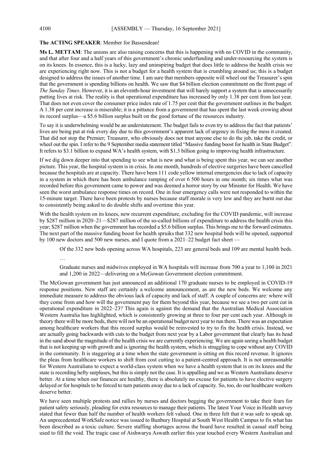### **The ACTING SPEAKER**: Member for Bassendean!

**Ms L. METTAM**: The unions are also raising concerns that this is happening with no COVID in the community, and that after four and a half years of this government's chronic underfunding and under-resourcing the system is on its knees. In essence, this is a lucky, lazy and uninspiring budget that does little to address the health crisis we are experiencing right now. This is not a budget for a health system that is crumbling around us; this is a budget designed to address the issues of another time. I am sure that members opposite will wheel out the Treasurer's spin that the government is spending billions on health. We saw that \$4 billion election commitment on the front page of *The Sunday Times*. However, it is an eleventh-hour investment that will barely support a system that is unnecessarily putting lives at risk. The reality is that operational expenditure has increased by only 1.38 per cent from last year. That does not even cover the consumer price index rate of 1.75 per cent that the government outlines in the budget. A 1.38 per cent increase is miserable; it is a pittance from a government that has spent the last week crowing about its record surplus—a \$5.6 billion surplus built on the good fortune of the resources industry.

To say it is underwhelming would be an understatement. The budget fails to even try to address the fact that patients' lives are being put at risk every day due to this government's apparent lack of urgency in fixing the mess it created. That did not stop the Premier; Treasurer, who obviously does not trust anyone else to do the job, take the credit, or wheel out the spin. I refer to the 9 September media statement titled "Massive funding boost for health in State Budget". It refers to \$3.1 billion to expand WA's health system, with \$1.3 billion going to improving health infrastructure.

If we dig down deeper into that spending to see what is new and what is being spent this year, we can see another picture. This year, the hospital system is in crisis. In one month, hundreds of elective surgeries have been cancelled because the hospitals are at capacity. There have been 111 code yellow internal emergencies due to lack of capacity in a system in which there has been ambulance ramping of over 6 500 hours in one month; six times what was recorded before this government came to power and was deemed a horror story by our Minister for Health. We have seen the worst ambulance response times on record. One in four emergency calls were not responded to within the 15-minute target. There have been protests by nurses because staff morale is very low and they are burnt out due to consistently being asked to do double shifts and overtime this year.

With the health system on its knees, new recurrent expenditure, excluding for the COVID pandemic, will increase by \$287 million in 2020–21—\$287 million of the so-called billions of expenditure to address the health crisis this year; \$287 million when the government has recorded a \$5.6 billion surplus. This brings me to the forward estimates. The next part of the massive funding boost for health spruiks that 332 new hospital beds will be opened, supported by 100 new doctors and 500 new nurses, and I quote from a 2021–22 budget fact sheet —

Of the 332 new beds opening across WA hospitals, 223 are general beds and 109 are mental health beds.

…

Graduate nurses and midwives employed in WA hospitals will increase from 700 a year to 1,100 in 2021 and 1,200 in 2022—delivering on a McGowan Government election commitment.

The McGowan government has just announced an additional 170 graduate nurses to be employed in COVID-19 response positions. New staff are certainly a welcome announcement, as are the new beds. We welcome any immediate measure to address the obvious lack of capacity and lack of staff. A couple of concerns are: where will they come from and how will the government pay for them beyond this year, because we see a two per cent cut in operational expenditure in 2022–23? This again is against the demand that the Australian Medical Association Western Australia has highlighted, which is consistently growing at three to four per cent each year. Although in theory there will be more beds, there will not be an operational budget next year to run them. There was an expectation among healthcare workers that this record surplus would be reinvested to try to fix the health crisis. Instead, we are actually going backwards with cuts to the budget from next year by a Labor government that clearly has its head in the sand about the magnitude of the health crisis we are currently experiencing. We are again seeing a health budget that is not keeping up with growth and is ignoring the health system, which is struggling to cope without any COVID in the community. It is staggering at a time when the state government is sitting on this record revenue. It ignores the pleas from healthcare workers to shift from cost cutting to a patient-centred approach. It is not unreasonable for Western Australians to expect a world-class system when we have a health system that is on its knees and the state is recording hefty surpluses, but this is simply not the case. It is appalling and we as Western Australians deserve better. At a time when our finances are healthy, there is absolutely no excuse for patients to have elective surgery delayed or for hospitals to be forced to turn patients away due to a lack of capacity. So, too, do our healthcare workers deserve better.

We have seen multiple protests and rallies by nurses and doctors begging the government to take their fears for patient safety seriously, pleading for extra resources to manage their patients. The latest Your Voice in Health survey stated that fewer than half the number of health workers felt valued. One in three felt that it was safe to speak up. An unprecedented WorkSafe notice was issued to Bunbury Hospital at South West Health Campus to fix what has been described as a toxic culture. Severe staffing shortages across the board have resulted in casual staff being used to fill the void. The tragic case of Aishwarya Aswath earlier this year touched every Western Australian and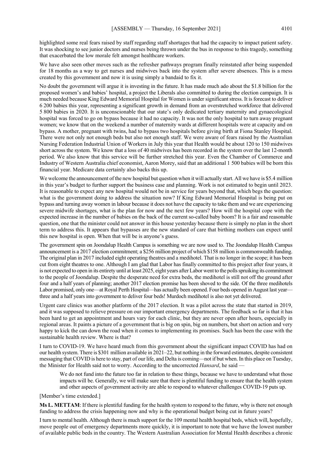highlighted some real fears raised by staff regarding staff shortages that had the capacity to impact patient safety. It was shocking to see junior doctors and nurses being thrown under the bus in response to this tragedy, something that exacerbated the low morale felt amongst healthcare workers.

We have also seen other moves such as the refresher pathways program finally reinstated after being suspended for 18 months as a way to get nurses and midwives back into the system after severe absences. This is a mess created by this government and now it is using simply a bandaid to fix it.

No doubt the government will argue it is investing in the future. It has made much ado about the \$1.8 billion for the proposed women's and babies' hospital, a project the Liberals also committed to during the election campaign. It is much needed because King Edward Memorial Hospital for Women is under significant stress. It is forecast to deliver 6 200 babies this year, representing a significant growth in demand from an overstretched workforce that delivered 5 800 babies in 2020. It is unconscionable that our state's only dedicated tertiary maternity and gynaecological hospital was forced to go on bypass because it had no capacity. It was not the only hospital to turn away pregnant women; we know that on the weekend a number of maternity wards at different hospitals were at capacity and on bypass. A mother, pregnant with twins, had to bypass two hospitals before giving birth at Fiona Stanley Hospital. There were not only not enough beds but also not enough staff. We were aware of fears raised by the Australian Nursing Federation Industrial Union of Workers in July this year that Health would be about 120 to 150 midwives short across the system. We know that a loss of 40 midwives has been recorded in the system over the last 12-month period. We also know that this service will be further stretched this year. Even the Chamber of Commerce and Industry of Western Australia chief economist, Aaron Morey, said that an additional 1 500 babies will be born this financial year. Medicare data certainly also backs this up.

We welcome the announcement of the new hospital but question when it will actually start. All we have is \$5.4 million in this year's budget to further support the business case and planning. Work is not estimated to begin until 2023. It is reasonable to expect any new hospital would not be in service for years beyond that, which begs the question: what is the government doing to address the situation now? If King Edward Memorial Hospital is being put on bypass and turning away women in labour because it does not have the capacity to take them and we are experiencing severe midwife shortages, what is the plan for now and the next few years? How will the hospital cope with the expected increase in the number of babies on the back of the current so-called baby boom? It is a fair and reasonable question, one that the minister could not answer in this house yesterday because there is simply no plan in the short term to address this. It appears that bypasses are the new standard of care that birthing mothers can expect until this new hospital is open. When that will be is anyone's guess.

The government spin on Joondalup Health Campus is something we are now used to. The Joondalup Health Campus announcement is a 2017 election commitment; a \$256 million project of which \$158 million is commonwealth funding. The original plan in 2017 included eight operating theatres and a medihotel. That is no longer in the scope; it has been cut from eight theatres to one. Although I am glad that Labor has finally committed to this project after four years, it is not expected to open in its entirety until at least 2025, eight years after Labor went to the polls spruiking its commitment to the people of Joondalup. Despite the desperate need for extra beds, the medihotel is still not off the ground after four and a half years of planning; another 2017 election promise has been shoved to the side. Of the three medihotels Labor promised, only one—at Royal Perth Hospital—has actually been opened. Four beds opened in August last year three and a half years into government to deliver four beds! Murdoch medihotel is also not yet delivered.

Urgent care clinics was another platform of the 2017 election. It was a pilot across the state that started in 2019, and it was supposed to relieve pressure on our important emergency departments. The feedback so far is that it has been hard to get an appointment and hours vary for each clinic, but they are never open after hours, especially in regional areas. It paints a picture of a government that is big on spin, big on numbers, but short on action and very happy to kick the can down the road when it comes to implementing its promises. Such has been the case with the sustainable health review. Where is that?

I turn to COVID-19. We have heard much from this government about the significant impact COVID has had on our health system. There is \$301 million available in 2021–22, but nothing in the forward estimates, despite consistent messaging that COVID is here to stay, part of our life, and Delta is coming—not if but when. In this place on Tuesday, the Minister for Health said not to worry. According to the uncorrected *Hansard*, he said —

We do not fund into the future too far in relation to these things, because we have to understand what those impacts will be. Generally, we will make sure that there is plentiful funding to ensure that the health system and other aspects of government activity are able to respond to whatever challenges COVID-19 puts up.

[Member's time extended.]

**Ms L. METTAM**: If there is plentiful funding for the health system to respond to the future, why is there not enough funding to address the crisis happening now and why is the operational budget being cut in future years?

I turn to mental health. Although there is much support for the 109 mental health hospital beds, which will, hopefully, move people out of emergency departments more quickly, it is important to note that we have the lowest number of available public beds in the country. The Western Australian Association for Mental Health describes a chronic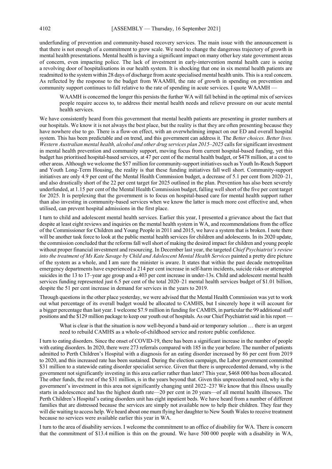underfunding of prevention and community-based recovery services. The main issue with the announcement is that there is not enough of a commitment to grow scale. We need to change the dangerous trajectory of growth in mental health presentations. Mental health is having a significant impact on many other key state government areas of concern, even impacting police. The lack of investment in early-intervention mental health care is seeing a revolving door of hospitalisations in our health system. It is shocking that one in six mental health patients are readmitted to the system within 28 days of discharge from acute specialised mental health units. This is a real concern. As reflected by the response to the budget from WAAMH, the rate of growth in spending on prevention and community support continues to fall relative to the rate of spending in acute services. I quote WAAMH –

WAAMH is concerned the longer this persists the further WA will fall behind in the optimal mix of services people require access to, to address their mental health needs and relieve pressure on our acute mental health services.

We have consistently heard from this government that mental health patients are presenting in greater numbers at our hospitals. We know it is not always the best place, but the reality is that they are often presenting because they have nowhere else to go. There is a flow-on effect, with an overwhelming impact on our ED and overall hospital system. This has been predictable and on trend, and this government can address it. The *Better choices. Better lives. Western Australian mental health, alcohol and other drug services plan 2015–2025* calls for significant investment in mental health prevention and community support, moving focus from current hospital-based funding, yet this budget has prioritised hospital-based services, at 47 per cent of the mental health budget, or \$478 million, at a cost to other areas. Although we welcome the \$57 million for community-support initiatives such as Youth In-Reach Support and Youth Long-Term Housing, the reality is that these funding initiatives fall well short. Community-support initiatives are only 4.9 per cent of the Mental Health Commission budget, a decrease of 5.1 per cent from 2020–21, and also drastically short of the 22 per cent target for 2025 outlined in the plan. Prevention has also been severely underfunded, at 1.15 per cent of the Mental Health Commission budget, falling well short of the five per cent target for 2025. It is perplexing that the government is to focus on hospital-based care for mental health support rather than also investing in community-based services when we know the latter is much more cost effective and, when utilised, can prevent hospital admissions in the first place.

I turn to child and adolescent mental health services. Earlier this year, I presented a grievance about the fact that despite at least eight reviews and inquiries on the mental health system in WA, and recommendations from the office of the Commissioner for Children and Young People in 2011 and 2015, we have a system that is broken. I note there will be another task force to look at the public mental health services for children and adolescents. In its 2020 update, the commission concluded that the reforms fall well short of making the desired impact for children and young people without proper financial investment and resourcing. In December last year, the targeted *Chief Psychiatrist's review into the treatment of Ms Kate Savage by Child and Adolescent Mental Health Services* painted a pretty dire picture of the system as a whole, and I am sure the minister is aware. It states that within the past decade metropolitan emergency departments have experienced a 214 per cent increase in self-harm incidents, suicide risks or attempted suicides in the 13 to 17–year age group and a 403 per cent increase in under-13s. Child and adolescent mental health services funding represented just 6.5 per cent of the total 2020–21 mental health services budget of \$1.01 billion, despite the 51 per cent increase in demand for services in the years to 2019.

Through questions in the other place yesterday, we were advised that the Mental Health Commission was yet to work out what percentage of its overall budget would be allocated to CAMHS, but I sincerely hope it will account for a bigger percentage than last year. I welcome \$7.9 million in funding for CAMHS, in particular the 99 additional staff positions and the \$129 million package to keep our youth out of hospitals. As our Chief Psychiatrist said in his report —

What is clear is that the situation is now well-beyond a band-aid or temporary solution ... there is an urgent need to rebuild CAMHS as a whole-of-childhood service and restore public confidence.

I turn to eating disorders. Since the onset of COVID-19, there has been a significant increase in the number of people with eating disorders. In 2020, there were 273 referrals compared with 185 in the year before. The number of patients admitted to Perth Children's Hospital with a diagnosis for an eating disorder increased by 86 per cent from 2019 to 2020, and this increased rate has been sustained. During the election campaign, the Labor government committed \$31 million to a statewide eating disorder specialist service. Given that there is unprecedented demand, why is the government not significantly investing in this area earlier rather than later? This year, \$468 000 has been allocated. The other funds, the rest of the \$31 million, is in the years beyond that. Given this unprecedented need, why is the government's investment in this area not significantly changing until 2022–23? We know that this illness usually starts in adolescence and has the highest death rate—20 per cent in 20 years—of all mental health illnesses. The Perth Children's Hospital's eating disorders unit has eight inpatient beds. We have heard from a number of different families that are distressed because the services are simply not available now to help their children. They fear they will die waiting to access help. We heard about one mum flying her daughter to New South Wales to receive treatment because no services were available earlier this year in WA.

I turn to the area of disability services. I welcome the commitment to an office of disability for WA. There is concern that the commitment of \$13.4 million is thin on the ground. We have 500 000 people with a disability in WA,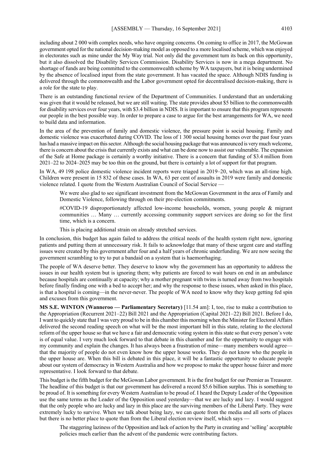including about 2 000 with complex needs, who have ongoing concerns. On coming to office in 2017, the McGowan government opted for the national decision-making model as opposed to a more localised scheme, which was enjoyed in electorates such as mine under the My Way trial. Not only did the government turn its back on this opportunity, but it also dissolved the Disability Services Commission. Disability Services is now in a mega department. No shortage of funds are being committed to the commonwealth scheme by WA taxpayers, but it is being undermined by the absence of localised input from the state government. It has vacated the space. Although NDIS funding is delivered through the commonwealth and the Labor government opted for decentralised decision-making, there is a role for the state to play.

There is an outstanding functional review of the Department of Communities. I understand that an undertaking was given that it would be released, but we are still waiting. The state provides about \$5 billion to the commonwealth for disability services over four years, with \$3.4 billion in NDIS. It is important to ensure that this program represents our people in the best possible way. In order to prepare a case to argue for the best arrangements for WA, we need to build data and information.

In the area of the prevention of family and domestic violence, the pressure point is social housing. Family and domestic violence was exacerbated during COVID. The loss of 1 300 social housing homes over the past four years has had a massive impact on this sector. Although the social housing package that was announced is very much welcome, there is concern about the crisis that currently exists and what can be done now to assist our vulnerable. The expansion of the Safe at Home package is certainly a worthy initiative. There is a concern that funding of \$3.4 million from 2021–22 to 2024–2025 may be too thin on the ground, but there is certainly a lot of support for that program.

In WA, 49 198 police domestic violence incident reports were triaged in 2019–20, which was an all-time high. Children were present in 15 832 of these cases. In WA, 63 per cent of assaults in 2019 were family and domestic violence related. I quote from the Western Australian Council of Social Service —

We were also glad to see significant investment from the McGowan Government in the area of Family and Domestic Violence, following through on their pre-election commitments.

#COVID-19 disproportionately affected low-income households, women, young people & migrant communities … Many … currently accessing community support services are doing so for the first time, which is a concern.

This is placing additional strain on already stretched services.

In conclusion, this budget has again failed to address the critical needs of the health system right now, ignoring patients and putting them at unnecessary risk. It fails to acknowledge that many of these urgent care and staffing issues were created by this government after four and a half years of chronic underfunding. We are now seeing the government scrambling to try to put a bandaid on a system that is haemorrhaging.

The people of WA deserve better. They deserve to know why the government has an opportunity to address the issues in our health system but is ignoring them; why patients are forced to wait hours on end in an ambulance because hospitals are continually at capacity; why a mother pregnant with twins is turned away from two hospitals before finally finding one with a bed to accept her; and why the response to these issues, when asked in this place, is that a hospital is coming—in the never-never. The people of WA need to know why they keep getting fed spin and excuses from this government.

**MS S.E. WINTON (Wanneroo — Parliamentary Secretary)** [11.54 am]: I, too, rise to make a contribution to the Appropriation (Recurrent 2021–22) Bill 2021 and the Appropriation (Capital 2021–22) Bill 2021. Before I do, I want to quickly state that I was very proud to be in this chamber this morning when the Minister for Electoral Affairs delivered the second reading speech on what will be the most important bill in this state, relating to the electoral reform of the upper house so that we have a fair and democratic voting system in this state so that every person's vote is of equal value. I very much look forward to that debate in this chamber and for the opportunity to engage with my community and explain the changes. It has always been a frustration of mine—many members would agree that the majority of people do not even know how the upper house works. They do not know who the people in the upper house are. When this bill is debated in this place, it will be a fantastic opportunity to educate people about our system of democracy in Western Australia and how we propose to make the upper house fairer and more representative. I look forward to that debate.

This budget is the fifth budget for the McGowan Labor government. It is the first budget for our Premier as Treasurer. The headline of this budget is that our government has delivered a record \$5.6 billion surplus. This is something to be proud of. It is something for every Western Australian to be proud of. I heard the Deputy Leader of the Opposition use the same terms as the Leader of the Opposition used yesterday—that we are lucky and lazy. I would suggest that the only people who are lucky and lazy in this place are the surviving members of the Liberal Party. They were extremely lucky to survive. When we talk about being lazy, we can quote from the media and all sorts of places but there is no better place to quote than from the Liberal election review itself, which says –

The staggering laziness of the Opposition and lack of action by the Party in creating and 'selling' acceptable policies much earlier than the advent of the pandemic were contributing factors.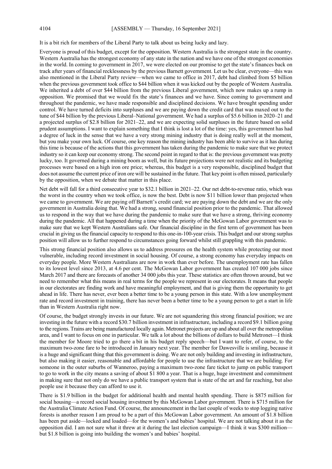It is a bit rich for members of the Liberal Party to talk about us being lucky and lazy.

Everyone is proud of this budget, except for the opposition. Western Australia is the strongest state in the country. Western Australia has the strongest economy of any state in the nation and we have one of the strongest economies in the world. In coming to government in 2017, we were elected on our promise to get the state's finances back on track after years of financial recklessness by the previous Barnett government. Let us be clear, everyone—this was also mentioned in the Liberal Party review—when we came to office in 2017, debt had climbed from \$5 billion when the previous government took office to \$44 billion when it was kicked out by the people of Western Australia. We inherited a debt of over \$44 billion from the previous Liberal government, which now makes up a rump in opposition. We promised that we would fix the state's finances and we have. Since coming to government and throughout the pandemic, we have made responsible and disciplined decisions. We have brought spending under control. We have turned deficits into surpluses and we are paying down the credit card that was maxed out to the tune of \$44 billion by the previous Liberal–National government. We had a surplus of \$5.6 billion in 2020–21 and a projected surplus of \$2.8 billion for 2021–22, and we are expecting solid surpluses in the future based on solid prudent assumptions. I want to explain something that I think is lost a lot of the time: yes, this government has had a degree of luck in the sense that we have a very strong mining industry that is doing really well at the moment, but you make your own luck. Of course, one key reason the mining industry has been able to survive as it has during this time is because of the actions that this government has taken during the pandemic to make sure that we protect industry so it can keep our economy strong. The second point in regard to that is: the previous government was pretty lucky, too. It governed during a mining boom as well, but its future projections were not realistic and its budgeting processes were based on a high iron ore price; whereas, this budget is a very responsible, disciplined budget that does not assume the current price of iron ore will be sustained in the future. That key point is often missed, particularly by the opposition, when we debate that matter in this place.

Net debt will fall for a third consecutive year to \$32.1 billion in 2021–22. Our net debt-to-revenue ratio, which was the worst in the country when we took office, is now the best. Debt is now \$11 billion lower than projected when we came to government. We are paying off Barnett's credit card; we are paying down the debt and we are the only government in Australia doing that. We had a strong, sound financial position prior to the pandemic. That allowed us to respond in the way that we have during the pandemic to make sure that we have a strong, thriving economy during the pandemic. All that happened during a time when the priority of the McGowan Labor government was to make sure that we kept Western Australians safe. Our financial discipline in the first term of government has been crucial in giving us the financial capacity to respond to this one-in-100-year crisis. This budget and our strong surplus position will allow us to further respond to circumstances going forward whilst still grappling with this pandemic.

This strong financial position also allows us to address pressures on the health system while protecting our most vulnerable, including record investment in social housing. Of course, a strong economy has everyday impacts on everyday people. More Western Australians are now in work than ever before. The unemployment rate has fallen to its lowest level since 2013, at 4.6 per cent. The McGowan Labor government has created 107 000 jobs since March 2017 and there are forecasts of another 34 000 jobs this year. These statistics are often thrown around, but we need to remember what this means in real terms for the people we represent in our electorates. It means that people in our electorates are finding work and have meaningful employment, and that is giving them the opportunity to get ahead in life. There has never, ever been a better time to be a young person in this state. With a low unemployment rate and record investment in training, there has never been a better time to be a young person to get a start in life than in Western Australia right now.

Of course, the budget strongly invests in our future. We are not squandering this strong financial position; we are investing in the future with a record \$30.7 billion investment in infrastructure, including a record \$9.1 billion going to the regions. Trains are being manufactured locally again. Metronet projects are up and about all over the metropolitan area, and I want to focus on one in particular. We talk a lot about the billions of dollars to build Metronet—I think the member for Moore tried to go there a bit in his budget reply speech—but I want to refer, of course, to the maximum two-zone fare to be introduced in January next year. The member for Dawesville is smiling, because it is a huge and significant thing that this government is doing. We are not only building and investing in infrastructure, but also making it easier, reasonable and affordable for people to use the infrastructure that we are building. For someone in the outer suburbs of Wanneroo, paying a maximum two-zone fare ticket to jump on public transport to go to work in the city means a saving of about \$1 800 a year. That is a huge, huge investment and commitment in making sure that not only do we have a public transport system that is state of the art and far reaching, but also people use it because they can afford to use it.

There is \$1.9 billion in the budget for additional health and mental health spending. There is \$875 million for social housing—a record social housing investment by this McGowan Labor government. There is \$715 million for the Australia Climate Action Fund. Of course, the announcement in the last couple of weeks to stop logging native forests is another reason I am proud to be a part of this McGowan Labor government. An amount of \$1.8 billion has been put aside—locked and loaded—for the women's and babies' hospital. We are not talking about it as the opposition did. I am not sure what it threw at it during the last election campaign—I think it was \$300 million but \$1.8 billion is going into building the women's and babies' hospital.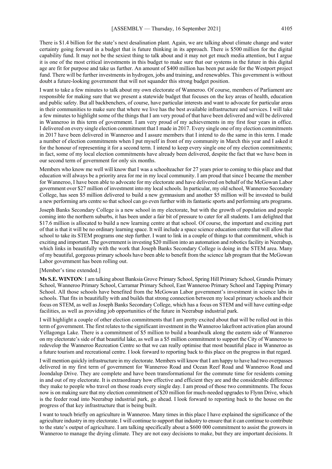There is \$1.4 billion for the state's next desalination plant. Again, we are talking about climate change and water certainty going forward in a budget that is future thinking in its approach. There is \$500 million for the digital capability fund. It may not be the sexiest thing to talk about and it may not get much media attention, but I argue it is one of the most critical investments in this budget to make sure that our systems in the future in this digital age are fit for purpose and take us further. An amount of \$400 million has been put aside for the Westport project fund. There will be further investments in hydrogen, jobs and training, and renewables. This government is without doubt a future-looking government that will not squander this strong budget position.

I want to take a few minutes to talk about my own electorate of Wanneroo. Of course, members of Parliament are responsible for making sure that we present a statewide budget that focuses on the key areas of health, education and public safety. But all backbenchers, of course, have particular interests and want to advocate for particular areas in their communities to make sure that where we live has the best available infrastructure and services. I will take a few minutes to highlight some of the things that I am very proud of that have been delivered and will be delivered in Wanneroo in this term of government. I am very proud of my achievements in my first four years in office. I delivered on every single election commitment that I made in 2017. Every single one of my election commitments in 2017 have been delivered in Wanneroo and I assure members that I intend to do the same in this term. I made a number of election commitments when I put myself in front of my community in March this year and I asked it for the honour of representing it for a second term. I intend to keep every single one of my election commitments; in fact, some of my local election commitments have already been delivered, despite the fact that we have been in our second term of government for only six months.

Members who know me well will know that I was a schoolteacher for 27 years prior to coming to this place and that education will always be a priority area for me in my local community. I am proud that since I became the member for Wanneroo, I have been able to advocate for my electorate and have delivered on behalf of the McGowan Labor government over \$27 million of investment into my local schools. In particular, my old school, Wanneroo Secondary College, has seen \$5 million delivered to build a new gymnasium and another \$5 million will be invested to build a new performing arts centre so that school can go even further with its fantastic sports and performing arts programs.

Joseph Banks Secondary College is a new school in my electorate, but with the growth of population and people coming into the northern suburbs, it has been under a fair bit of pressure to cater for all students. I am delighted that \$17.6 million is allocated to build a new learning centre at that school. Of course, the important and exciting part of that is that it will be no ordinary learning space. It will include a space science education centre that will allow that school to take its STEM programs one step further. I want to link in a couple of things to that commitment, which is exciting and important. The government is investing \$20 million into an automation and robotics facility in Neerabup, which links in beautifully with the work that Joseph Banks Secondary College is doing in the STEM area. Many of my beautiful, gorgeous primary schools have been able to benefit from the science lab program that the McGowan Labor government has been rolling out.

#### [Member's time extended.]

**Ms S.E. WINTON**: I am talking about Banksia Grove Primary School, Spring Hill Primary School, Grandis Primary School, Wanneroo Primary School, Carramar Primary School, East Wanneroo Primary School and Tapping Primary School. All those schools have benefited from the McGowan Labor government's investment in science labs in schools. That fits in beautifully with and builds that strong connection between my local primary schools and their focus on STEM, as well as Joseph Banks Secondary College, which has a focus on STEM and will have cutting-edge facilities, as well as providing job opportunities of the future in Neerabup industrial park.

I will highlight a couple of other election commitments that I am pretty excited about that will be rolled out in this term of government. The first relates to the significant investment in the Wanneroo lakefront activation plan around Yellagonga Lake. There is a commitment of \$5 million to build a boardwalk along the eastern side of Wanneroo on my electorate's side of that beautiful lake, as well as a \$5 million commitment to support the City of Wanneroo to redevelop the Wanneroo Recreation Centre so that we can really optimise that most beautiful place in Wanneroo as a future tourism and recreational centre. I look forward to reporting back to this place on the progress in that regard.

I will mention quickly infrastructure in my electorate. Members will know that I am happy to have had two overpasses delivered in my first term of government for Wanneroo Road and Ocean Reef Road and Wanneroo Road and Joondalup Drive. They are complete and have been transformational for the commute time for residents coming in and out of my electorate. It is extraordinary how effective and efficient they are and the considerable difference they make to people who travel on those roads every single day. I am proud of those two commitments. The focus now is on making sure that my election commitment of \$20 million for much-needed upgrades to Flynn Drive, which is the feeder road into Neerabup industrial park, go ahead. I look forward to reporting back to the house on the progress of that key infrastructure that is being built.

I want to touch briefly on agriculture in Wanneroo. Many times in this place I have explained the significance of the agriculture industry in my electorate. I will continue to support that industry to ensure that it can continue to contribute to the state's output of agriculture. I am talking specifically about a \$600 000 commitment to assist the growers in Wanneroo to manage the drying climate. They are not easy decisions to make, but they are important decisions. It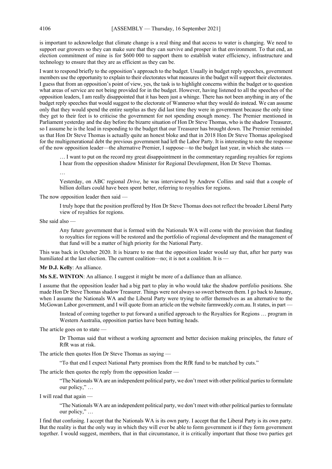is important to acknowledge that climate change is a real thing and that access to water is changing. We need to support our growers so they can make sure that they can survive and prosper in that environment. To that end, an election commitment of mine is for \$600 000 to support them to establish water efficiency, infrastructure and technology to ensure that they are as efficient as they can be.

I want to respond briefly to the opposition's approach to the budget. Usually in budget reply speeches, government members use the opportunity to explain to their electorates what measures in the budget will support their electorates. I guess that from an opposition's point of view, yes, the task is to highlight concerns within the budget or to question what areas of service are not being provided for in the budget. However, having listened to all the speeches of the opposition leaders, I am really disappointed that it has been just a whinge. There has not been anything in any of the budget reply speeches that would suggest to the electorate of Wanneroo what they would do instead. We can assume only that they would spend the entire surplus as they did last time they were in government because the only time they get to their feet is to criticise the government for not spending enough money. The Premier mentioned in Parliament yesterday and the day before the bizarre situation of Hon Dr Steve Thomas, who is the shadow Treasurer, so I assume he is the lead in responding to the budget that our Treasurer has brought down. The Premier reminded us that Hon Dr Steve Thomas is actually quite an honest bloke and that in 2018 Hon Dr Steve Thomas apologised for the multigenerational debt the previous government had left the Labor Party. It is interesting to note the response of the now opposition leader—the alternative Premier, I suppose—to the budget last year, in which she states —

… I want to put on the record my great disappointment in the commentary regarding royalties for regions I hear from the opposition shadow Minister for Regional Development, Hon Dr Steve Thomas.

…

Yesterday, on ABC regional *Drive*, he was interviewed by Andrew Collins and said that a couple of billion dollars could have been spent better, referring to royalties for regions.

The now opposition leader then said —

I truly hope that the position proffered by Hon Dr Steve Thomas does not reflect the broader Liberal Party view of royalties for regions.

She said also —

Any future government that is formed with the Nationals WA will come with the provision that funding to royalties for regions will be restored and the portfolio of regional development and the management of that fund will be a matter of high priority for the National Party.

This was back in October 2020. It is bizarre to me that the opposition leader would say that, after her party was humiliated at the last election. The current coalition—no; it is not a coalition. It is —

### **Mr D.J. Kelly**: An alliance.

**Ms S.E. WINTON**: An alliance. I suggest it might be more of a dalliance than an alliance.

I assume that the opposition leader had a big part to play in who would take the shadow portfolio positions. She made Hon Dr Steve Thomas shadow Treasurer. Things were not always so sweet between them. I go back to January, when I assume the Nationals WA and the Liberal Party were trying to offer themselves as an alternative to the McGowan Labor government, and I will quote from an article on the website farmweekly.com.au. It states, in part –

Instead of coming together to put forward a unified approach to the Royalties for Regions … program in Western Australia, opposition parties have been butting heads.

The article goes on to state —

Dr Thomas said that without a working agreement and better decision making principles, the future of RfR was at risk.

The article then quotes Hon Dr Steve Thomas as saying —

"To that end I expect National Party promises from the RfR fund to be matched by cuts."

The article then quotes the reply from the opposition leader —

"The Nationals WA are an independent political party, we don't meet with other political parties to formulate our policy," …

I will read that again —

"The Nationals WA are an independent political party, we don't meet with other political parties to formulate our policy," …

I find that confusing. I accept that the Nationals WA is its own party. I accept that the Liberal Party is its own party. But the reality is that the only way in which they will ever be able to form government is if they form government together. I would suggest, members, that in that circumstance, it is critically important that those two parties get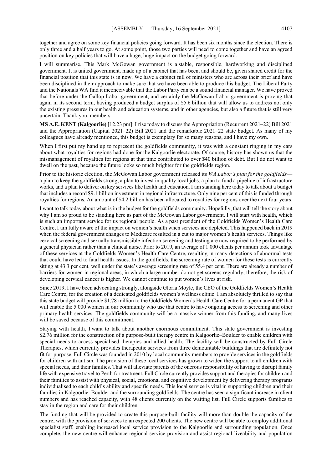together and agree on some key financial policies going forward. It has been six months since the election. There is only three and a half years to go. At some point, those two parties will need to come together and have an agreed position on key policies that will have a huge, huge impact on the budget going forward.

I will summarise. This Mark McGowan government is a stable, responsible, hardworking and disciplined government. It is united government, made up of a cabinet that has been, and should be, given shared credit for the financial position that this state is in now. We have a cabinet full of ministers who are across their brief and have been disciplined in their approach to make sure that we have been able to produce this budget. The Liberal Party and the Nationals WA find it inconceivable that the Labor Party can be a sound financial manager. We have proved that before under the Gallop Labor government, and certainly the McGowan Labor government is proving that again in its second term, having produced a budget surplus of \$5.6 billion that will allow us to address not only the existing pressures in our health and education systems, and in other agencies, but also a future that is still very uncertain. Thank you, members.

**MS A.E. KENT (Kalgoorlie)** [12.23 pm]: I rise today to discuss the Appropriation (Recurrent 2021–22) Bill 2021 and the Appropriation (Capital 2021–22) Bill 2021 and the remarkable 2021–22 state budget. As many of my colleagues have already mentioned, this budget is exemplary for so many reasons, and I have my own.

When I first put my hand up to represent the goldfields community, it was with a constant ringing in my ears about what royalties for regions had done for the Kalgoorlie electorate. Of course, history has shown us that the mismanagement of royalties for regions at that time contributed to over \$40 billion of debt. But I do not want to dwell on the past, because the future looks so much brighter for the goldfields region.

Prior to the historic election, the McGowan Labor government released its *WA Labor's plan for the goldfields* a plan to keep the goldfields strong, a plan to invest in quality local jobs, a plan to fund a pipeline of infrastructure works, and a plan to deliver on key services like health and education. I am standing here today to talk about a budget that includes a record \$9.1 billion investment in regional infrastructure. Only nine per cent of this is funded through royalties for regions. An amount of \$4.2 billion has been allocated to royalties for regions over the next four years.

I want to talk today about what is in the budget for the goldfields community. Hopefully, that will tell the story about why I am so proud to be standing here as part of the McGowan Labor government. I will start with health, which is such an important service for us regional people. As a past president of the Goldfields Women's Health Care Centre, I am fully aware of the impact on women's health when services are depleted. This happened back in 2019 when the federal government changes to Medicare resulted in a cut to major women's health services. Things like cervical screening and sexually transmissible infection screening and testing are now required to be performed by a general physician rather than a clinical nurse. Prior to 2019, an average of 1 000 clients per annum took advantage of these services at the Goldfields Women's Health Care Centre, resulting in many detections of abnormal tests that could have led to fatal health issues. In the goldfields, the screening rate of women for these tests is currently sitting at 43.3 per cent, well under the state's average screening rate of 55.4 per cent. There are already a number of barriers for women in regional areas, in which a large number do not get screens regularly; therefore, the risk of developing cervical cancer is higher. We cannot continue to put women's lives at risk.

Since 2019, I have been advocating strongly, alongside Gloria Moyle, the CEO of the Goldfields Women's Health Care Centre, for the creation of a dedicated goldfields women's wellness clinic. I am absolutely thrilled to say that this state budget will provide \$1.78 million to the Goldfields Women's Health Care Centre for a permanent GP that will enable the 5 000 women in our community who use that centre to have ongoing access to screening and other primary health services. The goldfields community will be a massive winner from this funding, and many lives will be saved because of this commitment.

Staying with health, I want to talk about another enormous commitment. This state government is investing \$2.76 million for the construction of a purpose-built therapy centre in Kalgoorlie–Boulder to enable children with special needs to access specialised therapies and allied health. The facility will be constructed by Full Circle Therapies, which currently provides therapeutic services from three demountable buildings that are definitely not fit for purpose. Full Circle was founded in 2010 by local community members to provide services in the goldfields for children with autism. The provision of these local services has grown to widen the support to all children with special needs, and their families. That will alleviate parents of the onerous responsibility of having to disrupt family life with expensive travel to Perth for treatment. Full Circle currently provides support and therapies for children and their families to assist with physical, social, emotional and cognitive development by delivering therapy programs individualised to each child's ability and specific needs. This local service is vital in supporting children and their families in Kalgoorlie–Boulder and the surrounding goldfields. The centre has seen a significant increase in client numbers and has reached capacity, with 48 clients currently on the waiting list. Full Circle supports families to stay in the region and care for their children.

The funding that will be provided to create this purpose-built facility will more than double the capacity of the centre, with the provision of services to an expected 200 clients. The new centre will be able to employ additional specialist staff, enabling increased local service provision to the Kalgoorlie and surrounding population. Once complete, the new centre will enhance regional service provision and assist regional liveability and population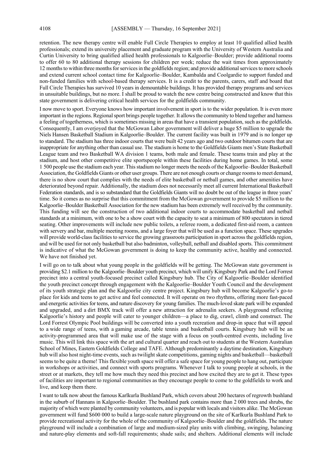retention. The new therapy centre will enable Full Circle Therapies to employ at least 10 qualified allied health professionals; extend its university placement and graduate program with the University of Western Australia and Curtin University to bring qualified allied health professionals to Kalgoorlie–Boulder; provide additional rooms to offer 60 to 80 additional therapy sessions for children per week; reduce the wait times from approximately 12 months to within three months for services in the goldfields region; and provide additional services to more schools and extend current school contact time for Kalgoorlie–Boulder, Kambalda and Coolgardie to support funded and non-funded families with school-based therapy services. It is a credit to the parents, carers, staff and board that Full Circle Therapies has survived 10 years in demountable buildings. It has provided therapy programs and services in unsuitable buildings, but no more. I shall be proud to watch the new centre being constructed and know that this state government is delivering critical health services for the goldfields community.

I now move to sport. Everyone knows how important involvement in sport is to the wider population. It is even more important in the regions. Regional sport brings people together. It allows the community to blend together and harness a feeling of togetherness, which is sometimes missing in areas that have a transient population, such as the goldfields. Consequently, I am overjoyed that the McGowan Labor government will deliver a huge \$5 million to upgrade the Niels Hansen Basketball Stadium in Kalgoorlie–Boulder. The current facility was built in 1979 and is no longer up to standard. The stadium has three indoor courts that were built 42 years ago and two outdoor bitumen courts that are inappropriate for anything other than casual use. The stadium is home to the Goldfields Giants men's State Basketball League team and two Basketball WA division 1 teams, both male and female. These teams train and play at the stadium, and host other competitive elite sportspeople within these facilities during home games. In total, some 1 500 people use the stadium each year. This stadium no longer meets the needs of the Kalgoorlie–Boulder Basketball Association, the Goldfields Giants or other user groups. There are not enough courts or change rooms to meet demand, there is no show court that complies with the needs of elite basketball or netball games, and other amenities have deteriorated beyond repair. Additionally, the stadium does not necessarily meet all current International Basketball Federation standards, and is so substandard that the Goldfields Giants will no doubt be out of the league in three years' time. So it comes as no surprise that this commitment from the McGowan government to provide \$5 million to the Kalgoorlie–Boulder Basketball Association for the new stadium has been extremely well received by the community. This funding will see the construction of two additional indoor courts to accommodate basketball and netball standards at a minimum, with one to be a show court with the capacity to seat a minimum of 800 spectators in tiered seating. Other improvements will include new public toilets, a referee room, a dedicated first-aid room, a canteen with servery and bar, multiple meeting rooms, and a large foyer that will be used as a function space. These upgrades will provide world-class facilities to service the growing grassroots participation in sport across the goldfields region, and will be used for not only basketball but also badminton, volleyball, netball and disabled sports. This commitment is indicative of what the McGowan government is doing to keep the community active, healthy and connected. We have not finished yet.

I will go on to talk about what young people in the goldfields will be getting. The McGowan state government is providing \$2.1 million to the Kalgoorlie–Boulder youth precinct, which will unify Kingsbury Park and the Lord Forrest precinct into a central youth-focused precinct called Kingsbury hub. The City of Kalgoorlie–Boulder identified the youth precinct concept through engagement with the Kalgoorlie–Boulder Youth Council and the development of its youth strategic plan and the Kalgoorlie city centre project. Kingsbury hub will become Kalgoorlie's go-to place for kids and teens to get active and feel connected. It will operate on two rhythms, offering more fast-paced and energetic activities for teens, and nature discovery for young families. The much-loved skate park will be expanded and upgraded, and a dirt BMX track will offer a new attraction for adrenalin seekers. A playground reflecting Kalgoorlie's history and people will cater to younger children—a place to dig, crawl, climb and construct. The Lord Forrest Olympic Pool buildings will be converted into a youth recreation and drop-in space that will appeal to a wide range of teens, with a gaming arcade, table tennis and basketball courts. Kingsbury hub will be an activity-programmed area that will make use of the stage with a focus on youth-centred events, including live music. This will link this space with the art and cultural quarter and reach out to students at the Western Australian School of Mines, Eastern Goldfields College and TAFE. Although predominantly a daytime destination, Kingsbury hub will also host night-time events, such as twilight skate competitions, gaming nights and basketball—basketball seems to be quite a theme! This flexible youth space will offer a safe space for young people to hang out, participate in workshops or activities, and connect with sports programs. Whenever I talk to young people at schools, in the street or at markets, they tell me how much they need this precinct and how excited they are to get it. These types of facilities are important to regional communities as they encourage people to come to the goldfields to work and live, and keep them there.

I want to talk now about the famous Karlkurla Bushland Park, which covers about 200 hectares of regrowth bushland in the suburb of Hannans in Kalgoorlie–Boulder. The bushland park contains more than 2 000 trees and shrubs, the majority of which were planted by community volunteers, and is popular with locals and visitors alike. The McGowan government will fund \$600 000 to build a large-scale nature playground on the site of Karlkurla Bushland Park to provide recreational activity for the whole of the community of Kalgoorlie–Boulder and the goldfields. The nature playground will include a combination of large and medium-sized play units with climbing, swinging, balancing and nature-play elements and soft-fall requirements; shade sails; and shelters. Additional elements will include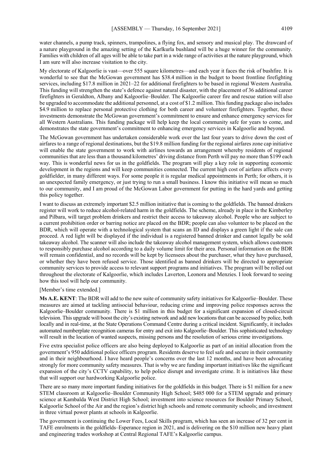water channels, a pump track, spinners, trampolines, a flying fox, and sensory and musical play. The drawcard of a nature playground in the amazing setting of the Karlkurla bushland will be a huge winner for the community. Families with children of all ages will be able to take part in a wide range of activities at the nature playground, which I am sure will also increase visitation to the city.

My electorate of Kalgoorlie is vast—over 555 square kilometres—and each year it faces the risk of bushfire. It is wonderful to see that the McGowan government has \$38.4 million in the budget to boost frontline firefighting services, including \$17.8 million in 2021–22 for additional firefighters to be based in regional Western Australia. This funding will strengthen the state's defence against natural disaster, with the placement of 36 additional career firefighters in Geraldton, Albany and Kalgoorlie–Boulder. The Kalgoorlie career fire and rescue station will also be upgraded to accommodate the additional personnel, at a cost of \$1.2 million. This funding package also includes \$4.9 million to replace personal protective clothing for both career and volunteer firefighters. Together, these investments demonstrate the McGowan government's commitment to ensure and enhance emergency services for all Western Australians. This funding package will help keep the local community safe for years to come, and demonstrates the state government's commitment to enhancing emergency services in Kalgoorlie and beyond.

The McGowan government has undertaken considerable work over the last four years to drive down the cost of airfares to a range of regional destinations, but the \$19.8 million funding for the regional airfares zone cap initiative will enable the state government to work with airlines towards an arrangement whereby residents of regional communities that are less than a thousand kilometres' driving distance from Perth will pay no more than \$199 each way. This is wonderful news for us in the goldfields. The program will play a key role in supporting economic development in the regions and will keep communities connected. The current high cost of airfares affects every goldfielder, in many different ways. For some people it is regular medical appointments in Perth; for others, it is an unexpected family emergency, or just trying to run a small business. I know this initiative will mean so much to our community, and I am proud of the McGowan Labor government for putting in the hard yards and getting this policy together.

I want to discuss an extremely important \$2.5 million initiative that is coming to the goldfields. The banned drinkers register will work to reduce alcohol-related harm in the goldfields. The scheme, already in place in the Kimberley and Pilbara, will target problem drinkers and restrict their access to takeaway alcohol. People who are subject to a current prohibition order or barring notice are placed on the BDR; people can also volunteer to be placed on the BDR, which will operate with a technological system that scans an ID and displays a green light if the sale can proceed. A red light will be displayed if the individual is a registered banned drinker and cannot legally be sold takeaway alcohol. The scanner will also include the takeaway alcohol management system, which allows customers to responsibly purchase alcohol according to a daily volume limit for their area. Personal information on the BDR will remain confidential, and no records will be kept by licensees about the purchaser, what they have purchased, or whether they have been refused service. Those identified as banned drinkers will be directed to appropriate community services to provide access to relevant support programs and initiatives. The program will be rolled out throughout the electorate of Kalgoorlie, which includes Laverton, Leonora and Menzies. I look forward to seeing how this tool will help our community.

#### [Member's time extended.]

**Ms A.E. KENT**: The BDR will add to the new suite of community safety initiatives for Kalgoorlie–Boulder. These measures are aimed at tackling antisocial behaviour, reducing crime and improving police responses across the Kalgoorlie–Boulder community. There is \$1 million in this budget for a significant expansion of closed-circuit television. This upgrade will boost the city's existing network and add new locations that can be accessed by police, both locally and in real-time, at the State Operations Command Centre during a critical incident. Significantly, it includes automated numberplate recognition cameras for entry and exit into Kalgoorlie–Boulder. This sophisticated technology will result in the location of wanted suspects, missing persons and the resolution of serious crime investigations.

Five extra specialist police officers are also being deployed to Kalgoorlie as part of an initial allocation from the government's 950 additional police officers program. Residents deserve to feel safe and secure in their community and in their neighbourhood. I have heard people's concerns over the last 12 months, and have been advocating strongly for more community safety measures. That is why we are funding important initiatives like the significant expansion of the city's CCTV capability, to help police disrupt and investigate crime. It is initiatives like these that will support our hardworking Kalgoorlie police.

There are so many more important funding initiatives for the goldfields in this budget. There is \$1 million for a new STEM classroom at Kalgoorlie–Boulder Community High School; \$485 000 for a STEM upgrade and primary science at Kambalda West District High School; investment into science resources for Boulder Primary School, Kalgoorlie School of the Air and the region's district high schools and remote community schools; and investment in three virtual power plants at schools in Kalgoorlie.

The government is continuing the Lower Fees, Local Skills program, which has seen an increase of 32 per cent in TAFE enrolments in the goldfields–Esperance region in 2021, and is delivering on the \$10 million new heavy plant and engineering trades workshop at Central Regional TAFE's Kalgoorlie campus.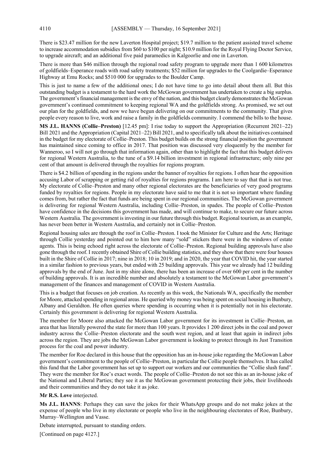There is \$23.47 million for the new Laverton Hospital project; \$19.7 million to the patient assisted travel scheme to increase accommodation subsidies from \$60 to \$100 per night; \$10.9 million for the Royal Flying Doctor Service, to upgrade aircraft; and an additional five paid paramedics in Kalgoorlie and one in Laverton.

There is more than \$46 million through the regional road safety program to upgrade more than 1 600 kilometres of goldfields–Esperance roads with road safety treatments; \$52 million for upgrades to the Coolgardie–Esperance Highway at Emu Rocks; and \$510 000 for upgrades to the Boulder Camp.

This is just to name a few of the additional ones; I do not have time to go into detail about them all. But this outstanding budget is a testament to the hard work the McGowan government has undertaken to create a big surplus. The government's financial management is the envy of the nation, and this budget clearly demonstrates the McGowan government's continued commitment to keeping regional WA and the goldfields strong. As promised, we set out our plan for the goldfields, and now we have begun delivering on our commitments to the community. That gives people every reason to live, work and raise a family in the goldfields community. I commend the bills to the house.

**MS J.L. HANNS (Collie–Preston)** [12.45 pm]: I rise today to support the Appropriation (Recurrent 2021–22) Bill 2021 and the Appropriation (Capital 2021–22) Bill 2021, and to specifically talk about the initiatives contained in the budget for my electorate of Collie–Preston. This budget builds on the strong financial position the government has maintained since coming to office in 2017. That position was discussed very eloquently by the member for Wanneroo, so I will not go through that information again, other than to highlight the fact that this budget delivers for regional Western Australia, to the tune of a \$9.14 billion investment in regional infrastructure; only nine per cent of that amount is delivered through the royalties for regions program.

There is \$4.2 billion of spending in the regions under the banner of royalties for regions. I often hear the opposition accusing Labor of scrapping or getting rid of royalties for regions programs. I am here to say that that is not true. My electorate of Collie–Preston and many other regional electorates are the beneficiaries of very good programs funded by royalties for regions. People in my electorate have said to me that it is not so important where funding comes from, but rather the fact that funds are being spent in our regional communities. The McGowan government is delivering for regional Western Australia, including Collie–Preston, in spades. The people of Collie–Preston have confidence in the decisions this government has made, and will continue to make, to secure our future across Western Australia. The government is investing in our future through this budget. Regional tourism, as an example, has never been better in Western Australia, and certainly not in Collie–Preston.

Regional housing sales are through the roof in Collie–Preston. I took the Minister for Culture and the Arts; Heritage through Collie yesterday and pointed out to him how many "sold" stickers there were in the windows of estate agents. This is being echoed right across the electorate of Collie–Preston. Regional building approvals have also gone through the roof. I recently obtained Shire of Collie building statistics, and they show that there were four houses built in the Shire of Collie in 2017; nine in 2018; 10 in 2019; and in 2020, the year that COVID hit, the year started in a similar fashion to previous years, but ended with 25 building approvals. This year we already had 12 building approvals by the end of June. Just in my shire alone, there has been an increase of over 600 per cent in the number of building approvals. It is an incredible number and absolutely a testament to the McGowan Labor government's management of the finances and management of COVID in Western Australia.

This is a budget that focuses on job creation. As recently as this week, the Nationals WA, specifically the member for Moore, attacked spending in regional areas. He queried why money was being spent on social housing in Bunbury, Albany and Geraldton. He often queries where spending is occurring when it is potentially not in his electorate. Certainly this government is delivering for regional Western Australia.

The member for Moore also attacked the McGowan Labor government for its investment in Collie–Preston, an area that has literally powered the state for more than 100 years. It provides 1 200 direct jobs in the coal and power industry across the Collie–Preston electorate and the south west region, and at least that again in indirect jobs across the region. They are jobs the McGowan Labor government is looking to protect through its Just Transition process for the coal and power industry.

The member for Roe declared in this house that the opposition has an in-house joke regarding the McGowan Labor government's commitment to the people of Collie–Preston, in particular the Collie people themselves. It has called this fund that the Labor government has set up to support our workers and our communities the "Collie slush fund". They were the member for Roe's exact words. The people of Collie–Preston do not see this as an in-house joke of the National and Liberal Parties; they see it as the McGowan government protecting their jobs, their livelihoods and their communities and they do not take it as joke.

**Mr R.S. Love** interjected.

**Ms J.L. HANNS**: Perhaps they can save the jokes for their WhatsApp groups and do not make jokes at the expense of people who live in my electorate or people who live in the neighbouring electorates of Roe, Bunbury, Murray–Wellington and Vasse.

Debate interrupted, pursuant to standing orders.

[Continued on page 4127.]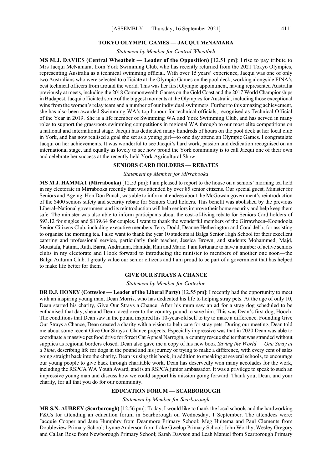### **TOKYO OLYMPIC GAMES — JACQUI McNAMARA**

*Statement by Member for Central Wheatbelt*

**MS M.J. DAVIES (Central Wheatbelt — Leader of the Opposition)** [12.51 pm]: I rise to pay tribute to Mrs Jacqui McNamara, from York Swimming Club, who has recently returned from the 2021 Tokyo Olympics, representing Australia as a technical swimming official. With over 15 years' experience, Jacqui was one of only two Australians who were selected to officiate at the Olympic Games on the pool deck, working alongside FINA's best technical officers from around the world. This was her first Olympic appointment, having represented Australia previously at meets, including the 2018 Commonwealth Games on the Gold Coast and the 2017 World Championships in Budapest. Jacqui officiated some of the biggest moments at the Olympics for Australia, including those exceptional wins from the women's relay team and a number of our individual swimmers. Further to this amazing achievement, she has also been awarded Swimming WA's top honour for technical officials, recognised as Technical Official of the Year in 2019. She is a life member of Swimming WA and York Swimming Club, and has served in many roles to support the grassroots swimming competitions in regional WA through to our most elite competitions on a national and international stage. Jacqui has dedicated many hundreds of hours on the pool deck at her local club in York, and has now realised a goal she set as a young girl—to one day attend an Olympic Games. I congratulate Jacqui on her achievements. It was wonderful to see Jacqui's hard work, passion and dedication recognised on an international stage, and equally as lovely to see how proud the York community is to call Jacqui one of their own and celebrate her success at the recently held York Agricultural Show.

#### **SENIORS CARD HOLDERS — REBATES**

#### *Statement by Member for Mirrabooka*

**MS M.J. HAMMAT (Mirrabooka)** [12.53 pm]: I am pleased to report to the house on a seniors' morning tea held in my electorate in Mirrabooka recently that was attended by over 85 senior citizens. Our special guest, Minister for Seniors and Ageing, Hon Don Punch, was able to inform attendees about the McGowan government's reintroduction of the \$400 seniors safety and security rebate for Seniors Card holders. This benefit was abolished by the previous Liberal–National government and its reintroduction will help seniors improve their home security and help keep them safe. The minister was also able to inform participants about the cost-of-living rebate for Seniors Card holders of \$93.12 for singles and \$139.64 for couples. I want to thank the wonderful members of the Girrawheen–Koondoola Senior Citizens Club, including executive members Terry Dodd, Deanne Hetherington and Coral Jebb, for assisting to organise the morning tea. I also want to thank the year 10 students at Balga Senior High School for their excellent catering and professional service, particularly their teacher, Jessica Brown, and students Mohammed, Majd, Moustafa, Fatima, Ruth, Barra, Andrianna, Hamida, Rini and Marie. I am fortunate to have a number of active seniors clubs in my electorate and I look forward to introducing the minister to members of another one soon—the Balga Autumn Club. I greatly value our senior citizens and I am proud to be part of a government that has helped to make life better for them.

#### **GIVE OUR STRAYS A CHANCE**

#### *Statement by Member for Cottesloe*

**DR D.J. HONEY (Cottesloe — Leader of the Liberal Party)** [12.55 pm]: I recently had the opportunity to meet with an inspiring young man, Dean Morris, who has dedicated his life to helping stray pets. At the age of only 10, Dean started his charity, Give Our Strays a Chance. After his mum saw an ad for a stray dog scheduled to be euthanised that day, she and Dean raced over to the country pound to save him. This was Dean's first dog, Hooch. The conditions that Dean saw in the pound inspired his 10-year-old self to try to make a difference. Founding Give Our Strays a Chance, Dean created a charity with a vision to help care for stray pets. During our meeting, Dean told me about some recent Give Our Strays a Chance projects. Especially impressive was that in 2020 Dean was able to coordinate a massive pet food drive for Street Cat Appeal Narrogin, a country rescue shelter that was stranded without supplies as regional borders closed. Dean also gave me a copy of his new book *Saving the World — One Stray at a Time*, describing life for dogs in the pound and his journey of trying to make a difference, with every cent of sales going straight back into the charity. Dean is using this book, in addition to speaking at several schools, to encourage our young people to give back through charitable work. Dean has deservedly won many accolades for the work, including the RSPCA WA Youth Award, and is an RSPCA junior ambassador. It was a privilege to speak to such an impressive young man and discuss how we could support his mission going forward. Thank you, Dean, and your charity, for all that you do for our community.

#### **EDUCATION FORUM — SCARBOROUGH**

#### *Statement by Member for Scarborough*

**MR S.N. AUBREY (Scarborough)** [12.56 pm]: Today, I would like to thank the local schools and the hardworking P&Cs for attending an education forum in Scarborough on Wednesday, 1 September. The attendees were: Jacquie Cooper and Jane Humphry from Deanmore Primary School; Meg Huitema and Paul Clements from Doubleview Primary School; Lynne Anderson from Lake Gwelup Primary School; John Worthy, Wesley Gregory and Callan Rose from Newborough Primary School; Sarah Dawson and Leah Manuel from Scarborough Primary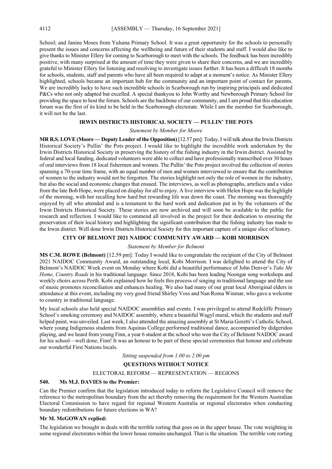School; and Janine Moses from Yuluma Primary School. It was a great opportunity for the schools to personally present the issues and concerns affecting the wellbeing and future of their students and staff. I would also like to give thanks to Minister Ellery for coming to Scarborough to meet with the schools. The feedback has been incredibly positive, with many surprised at the amount of time they were given to share their concerns, and we are incredibly grateful to Minister Ellery for listening and resolving to investigate issues further. It has been a difficult 18 months for schools, students, staff and parents who have all been required to adapt at a moment's notice. As Minister Ellery highlighted, schools became an important hub for the community and an important point of contact for parents. We are incredibly lucky to have such incredible schools in Scarborough run by inspiring principals and dedicated P&Cs who not only adapted but excelled. A special thankyou to John Worthy and Newborough Primary School for providing the space to host the forum. Schools are the backbone of our community, and I am proud that this education forum was the first of its kind to be held in the Scarborough electorate. While I am the member for Scarborough, it will not be the last.

### **IRWIN DISTRICTS HISTORICAL SOCIETY — PULLIN' THE POTS**

#### *Statement by Member for Moore*

**MR R.S. LOVE (Moore — Deputy Leader of the Opposition)** [12.57 pm]: Today, I will talk about the Irwin Districts Historical Society's Pullin' the Pots project. I would like to highlight the incredible work undertaken by the Irwin Districts Historical Society in preserving the history of the fishing industry in the Irwin district. Assisted by federal and local funding, dedicated volunteers were able to collect and have professionally transcribed over 30 hours of oral interviews from 18 local fishermen and women. The Pullin' the Pots project involved the collection of stories spanning a 70-year time frame, with an equal number of men and women interviewed to ensure that the contribution of women to the industry would not be forgotten. The stories highlight not only the role of women in the industry, but also the social and economic changes that ensued. The interviews, as well as photographs, artefacts and a video from the late Bob Hope, were placed on display for all to enjoy. A live interview with Helen Hope was the highlight of the morning, with her recalling how hard but rewarding life was down the coast. The morning was thoroughly enjoyed by all who attended and is a testament to the hard work and dedication put in by the volunteers of the Irwin Districts Historical Society. These stories are now archived and will soon be available to the public for research and reflection. I would like to commend all involved in the project for their dedication to ensuring the preservation of their local history and highlighting the significant contribution that the fishing industry has made to the Irwin district. Well done Irwin Districts Historical Society for this important capture of a unique slice of history.

### **CITY OF BELMONT 2021 NAIDOC COMMUNITY AWARD — KOBI MORRISON**

#### *Statement by Member for Belmont*

**MS C.M. ROWE (Belmont)** [12.59 pm]: Today I would like to congratulate the recipient of the City of Belmont 2021 NAIDOC Community Award, an outstanding local, Kobi Morrison. I was delighted to attend the City of Belmont's NAIDOC Week event on Monday where Kobi did a beautiful performance of John Denver's *Take Me Home, Country Roads* in his traditional language. Since 2018, Kobi has been leading Noongar song workshops and weekly choirs across Perth. Kobi explained how he feels this process of singing in traditional language and the use of music promotes reconciliation and enhances healing. We also had many of our great local Aboriginal elders in attendance at this event, including my very good friend Shirley Voss and Nan Roma Winmar, who gave a welcome to country in traditional language.

My local schools also held special NAIDOC assemblies and events. I was privileged to attend Redcliffe Primary School's smoking ceremony and NAIDOC assembly, where a beautiful Wagyl mural, which the students and staff helped paint, was unveiled. Last week, I also attended the amazing assembly at St Maria Goretti's Catholic School, where young Indigenous students from Aquinas College performed traditional dance, accompanied by didgeridoo playing, and we heard from young Finn, a year 6 student at the school who won the City of Belmont NAIDOC award for his school—well done, Finn! It was an honour to be part of these special ceremonies that honour and celebrate our wonderful First Nations locals.

*Sitting suspended from 1.00 to 2.00 pm*

### **QUESTIONS WITHOUT NOTICE**

#### ELECTORAL REFORM — REPRESENTATION — REGIONS

### **540. Ms M.J. DAVIES to the Premier:**

Can the Premier confirm that the legislation introduced today to reform the Legislative Council will remove the reference to the metropolitan boundary from the act thereby removing the requirement for the Western Australian Electoral Commission to have regard for regional Western Australia or regional electorates when conducting boundary redistributions for future elections in WA?

### **Mr M. McGOWAN replied:**

The legislation we brought in deals with the terrible rorting that goes on in the upper house. The vote weighting in some regional electorates within the lower house remains unchanged. That is the situation. The terrible vote rorting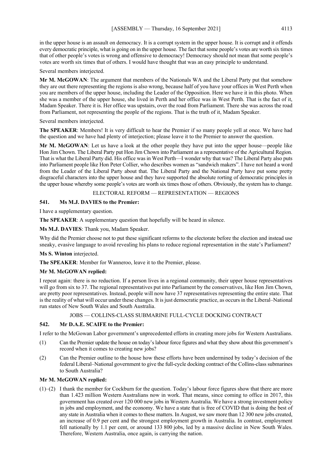in the upper house is an assault on democracy. It is a corrupt system in the upper house. It is corrupt and it offends every democratic principle, what is going on in the upper house. The fact that some people's votes are worth six times that of other people's votes is wrong and offensive to democracy! Democracy should not mean that some people's votes are worth six times that of others. I would have thought that was an easy principle to understand.

Several members interjected.

**Mr M. McGOWAN**: The argument that members of the Nationals WA and the Liberal Party put that somehow they are out there representing the regions is also wrong, because half of you have your offices in West Perth when you are members of the upper house, including the Leader of the Opposition. Here we have it in this photo. When she was a member of the upper house, she lived in Perth and her office was in West Perth. That is the fact of it, Madam Speaker. There it is. Her office was upstairs, over the road from Parliament. There she was across the road from Parliament, not representing the people of the regions. That is the truth of it, Madam Speaker.

Several members interjected.

**The SPEAKER**: Members! It is very difficult to hear the Premier if so many people yell at once. We have had the question and we have had plenty of interjection; please leave it to the Premier to answer the question.

**Mr M. McGOWAN**: Let us have a look at the other people they have put into the upper house—people like Hon Jim Chown. The Liberal Party put Hon Jim Chown into Parliament as a representative of the Agricultural Region. That is what the Liberal Party did. His office was in West Perth—I wonder why that was? The Liberal Party also puts into Parliament people like Hon Peter Collier, who describes women as "sandwich makers". I have not heard a word from the Leader of the Liberal Party about that. The Liberal Party and the National Party have put some pretty disgraceful characters into the upper house and they have supported the absolute rorting of democratic principles in the upper house whereby some people's votes are worth six times those of others. Obviously, the system has to change.

### ELECTORAL REFORM — REPRESENTATION — REGIONS

### **541. Ms M.J. DAVIES to the Premier:**

I have a supplementary question.

**The SPEAKER**: A supplementary question that hopefully will be heard in silence.

### **Ms M.J. DAVIES**: Thank you, Madam Speaker.

Why did the Premier choose not to put these significant reforms to the electorate before the election and instead use sneaky, evasive language to avoid revealing his plans to reduce regional representation in the state's Parliament?

#### **Ms S. Winton** interjected.

**The SPEAKER**: Member for Wanneroo, leave it to the Premier, please.

### **Mr M. McGOWAN replied:**

I repeat again: there is no reduction. If a person lives in a regional community, their upper house representatives will go from six to 37. The regional representatives put into Parliament by the conservatives, like Hon Jim Chown, are pretty poor representatives. Instead, people will now have 37 representatives representing the entire state. That is the reality of what will occur under these changes. It isjust democratic practice, as occurs in the Liberal–National run states of New South Wales and South Australia.

### JOBS — COLLINS-CLASS SUBMARINE FULL-CYCLE DOCKING CONTRACT

#### **542. Mr D.A.E. SCAIFE to the Premier:**

I refer to the McGowan Labor government's unprecedented efforts in creating more jobs for Western Australians.

- (1) Can the Premier update the house on today's labour force figures and what they show about this government's record when it comes to creating new jobs?
- (2) Can the Premier outline to the house how these efforts have been undermined by today's decision of the federal Liberal–National government to give the full-cycle docking contract of the Collins-class submarines to South Australia?

### **Mr M. McGOWAN replied:**

(1)–(2) I thank the member for Cockburn for the question. Today's labour force figures show that there are more than 1.423 million Western Australians now in work. That means, since coming to office in 2017, this government has created over 120 000 new jobs in Western Australia. We have a strong investment policy in jobs and employment, and the economy. We have a state that is free of COVID that is doing the best of any state in Australia when it comes to these matters. In August, we saw more than 12 300 new jobs created, an increase of 0.9 per cent and the strongest employment growth in Australia. In contrast, employment fell nationally by 1.1 per cent, or around 133 800 jobs, led by a massive decline in New South Wales. Therefore, Western Australia, once again, is carrying the nation.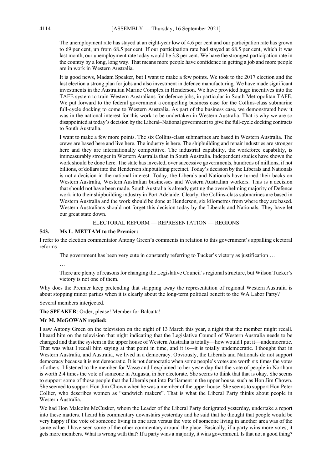The unemployment rate has stayed at an eight-year low of 4.6 per cent and our participation rate has grown to 69 per cent, up from 68.5 per cent. If our participation rate had stayed at 68.5 per cent, which it was last month, our unemployment rate today would be 3.8 per cent. We have the strongest participation rate in the country by a long, long way. That means more people have confidence in getting a job and more people are in work in Western Australia.

It is good news, Madam Speaker, but I want to make a few points. We took to the 2017 election and the last election a strong plan for jobs and also investment in defence manufacturing. We have made significant investments in the Australian Marine Complex in Henderson. We have provided huge incentives into the TAFE system to train Western Australians for defence jobs, in particular in South Metropolitan TAFE. We put forward to the federal government a compelling business case for the Collins-class submarine full-cycle docking to come to Western Australia. As part of the business case, we demonstrated how it was in the national interest for this work to be undertaken in Western Australia. That is why we are so disappointed at today's decision by the Liberal–National government to give the full-cycle docking contracts to South Australia.

I want to make a few more points. The six Collins-class submarines are based in Western Australia. The crews are based here and live here. The industry is here. The shipbuilding and repair industries are stronger here and they are internationally competitive. The industrial capability, the workforce capability, is immeasurably stronger in Western Australia than in South Australia. Independent studies have shown the work should be done here. The state has invested, over successive governments, hundreds of millions, if not billions, of dollars into the Henderson shipbuilding precinct. Today's decision by the Liberals and Nationals is not a decision in the national interest. Today, the Liberals and Nationals have turned their backs on Western Australia, Western Australian businesses and Western Australian workers. This is a decision that should not have been made. South Australia is already getting the overwhelming majority of Defence work into their shipbuilding industry in Port Adelaide. Clearly, the Collins-class submarines are based in Western Australia and the work should be done at Henderson, six kilometres from where they are based. Western Australians should not forget this decision today by the Liberals and Nationals. They have let our great state down.

### ELECTORAL REFORM — REPRESENTATION — REGIONS

#### **543. Ms L. METTAM to the Premier:**

I refer to the election commentator Antony Green's comments in relation to this government's appalling electoral reforms —

The government has been very cute in constantly referring to Tucker's victory as justification …

…

There are plenty of reasons for changing the Legislative Council's regional structure, but Wilson Tucker's victory is not one of them.

Why does the Premier keep pretending that stripping away the representation of regional Western Australia is about stopping minor parties when it is clearly about the long-term political benefit to the WA Labor Party?

Several members interjected.

**The SPEAKER**: Order, please! Member for Balcatta!

### **Mr M. McGOWAN replied:**

I saw Antony Green on the television on the night of 13 March this year, a night that the member might recall. I heard him on the television that night indicating that the Legislative Council of Western Australia needs to be changed and that the system in the upper house of Western Australia is totally—how would I put it—undemocratic. That was what I recall him saying at that point in time, and it is—it is totally undemocratic. I thought that in Western Australia, and Australia, we lived in a democracy. Obviously, the Liberals and Nationals do not support democracy because it is not democratic. It is not democratic when some people's votes are worth six times the votes of others. I listened to the member for Vasse and I explained to her yesterday that the vote of people in Northam is worth 2.4 times the vote of someone in Augusta, in her electorate. She seems to think that that is okay. She seems to support some of those people that the Liberals put into Parliament in the upper house, such as Hon Jim Chown. She seemed to support Hon Jim Chown when he was a member of the upper house. She seems to support Hon Peter Collier, who describes women as "sandwich makers". That is what the Liberal Party thinks about people in Western Australia.

We had Hon Malcolm McCusker, whom the Leader of the Liberal Party denigrated yesterday, undertake a report into these matters. I heard his commentary downstairs yesterday and he said that he thought that people would be very happy if the vote of someone living in one area versus the vote of someone living in another area was of the same value. I have seen some of the other commentary around the place. Basically, if a party wins more votes, it gets more members. What is wrong with that? If a party wins a majority, it wins government. Is that not a good thing?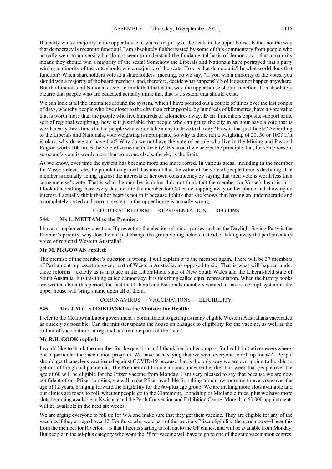If a party wins a majority in the upper house, it wins a majority of the seats in the upper house. Is that not the way that democracy is meant to function? I am absolutely flabbergasted by some of this commentary from people who actually went to university but do not seem to understand the fundamental basis of democracy—that a majority means they should win a majority of the seats! Somehow the Liberals and Nationals have portrayed that a party wining a minority of the vote should win a majority of the seats. How is that democratic? In what world does that function? When shareholders vote at a shareholders' meeting, do we say, "If you win a minority of the votes, you should win a majority of the board members, and, therefore, decide what happens"? No! It does not happen anywhere. But the Liberals and Nationals seem to think that that is the way the upper house should function. It is absolutely bizarre that people who are educated actually think that that is a system that should exist.

We can look at all the anomalies around the system, which I have pointed out a couple of times over the last couple of days, whereby people who live closer to the city than other people, by hundreds of kilometres, have a vote value that is worth more than the people who live hundreds of kilometres away. Even if members opposite support some sort of regional weighting, how is it justifiable that people who can get to the city in an hour have a vote that is worth nearly three times that of people who would take a day to drive to the city? How is that justifiable? According to the Liberals and Nationals, vote weighting is appropriate, so why is there not a weighting of 20, 50 or 100? If it is okay, why do we not have that? Why do we not have the vote of people who live in the Mining and Pastoral Region worth 100 times the vote of someone in the city? Because if we accept the principle that, for some reason, someone's vote is worth more than someone else's, the sky is the limit.

As we know, over time the system has become more and more rorted. In various areas, including in the member for Vasse's electorate, the population growth has meant that the value of the vote of people there is declining. The member is actually acting against the interests of her own constituency by saying that their vote is worth less than someone else's vote. That is what the member is doing. I do not think that the member for Vasse's heart is in it. I look at her sitting there every day, next to the member for Cottesloe, tapping away on her phone and showing no interest. I actually think that her heart is not in it because I think that she knows that having an undemocratic and a completely rorted and corrupt system in the upper house is actually wrong.

### ELECTORAL REFORM — REPRESENTATION — REGIONS

### **544. Ms L. METTAM to the Premier:**

I have a supplementary question. If preventing the election of minor parties such as the Daylight Saving Party is the Premier's priority, why does he not just change the group voting tickets instead of taking away the parliamentary voice of regional Western Australia?

#### **Mr M. McGOWAN replied:**

The premise of the member's question is wrong. I will explain it to the member again. There will be 37 members of Parliament representing every part of Western Australia, as opposed to six. That is what will happen under these reforms—exactly as is in place in the Liberal-held state of New South Wales and the Liberal-held state of South Australia. It is this thing called democracy. It is this thing called equal representation. When the history books are written about this period, the fact that Liberal and Nationals members wanted to have a corrupt system in the upper house will bring shame upon all of them.

#### CORONAVIRUS — VACCINATIONS — ELIGIBILITY

### **545. Mrs J.M.C. STOJKOVSKI to the Minister for Health:**

I refer to the McGowan Labor government's commitment to getting as many eligible Western Australians vaccinated as quickly as possible. Can the minister update the house on changes to eligibility for the vaccine, as well as the rollout of vaccinations in regional and remote parts of the state?

#### **Mr R.H. COOK replied:**

I would like to thank the member for the question and I thank her for her support for health initiatives everywhere, but in particular the vaccination program. We have been saying that we want everyone to roll up for WA. People should get themselves vaccinated against COVID-19 because that is the only way we are ever going to be able to get out of the global pandemic. The Premier and I made an announcement earlier this week that people over the age of 60 will be eligible for the Pfizer vaccine from Monday. I am very pleased to say that because we are now confident of our Pfizer supplies, we will make Pfizer available first thing tomorrow morning to everyone over the age of 12 years, bringing forward the eligibility for the 60-plus age group. We are making more slots available and our clinics are ready to roll, whether people go to the Claremont, Joondalup or Midland clinics, plus we have more slots becoming available in Kwinana and the Perth Convention and Exhibition Centre. More than 50 000 appointments will be available in the next six weeks.

We are urging everyone to roll up for WA and make sure that they get their vaccine. They are eligible for any of the vaccines if they are aged over 12. For those who were part of the previous Pfizer eligibility, the good news—I hear this from the member for Riverton—is that Pfizer is starting to roll out to the GP clinics, and will be available from Monday. But people in the 60-plus category who want the Pfizer vaccine will have to go to one of the state vaccination centres.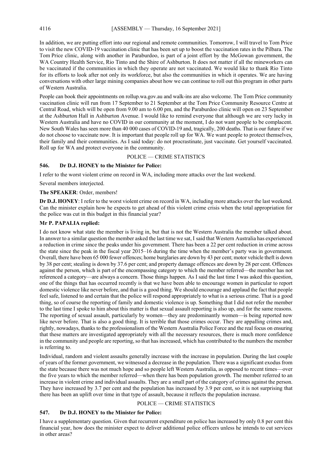In addition, we are putting effort into our regional and remote communities. Tomorrow, I will travel to Tom Price to visit the new COVID-19 vaccination clinic that has been set up to boost the vaccination rates in the Pilbara. The Tom Price clinic, along with another in Paraburdoo, is part of a joint effort by the McGowan government, the WA Country Health Service, Rio Tinto and the Shire of Ashburton. It does not matter if all the mineworkers can be vaccinated if the communities in which they operate are not vaccinated. We would like to thank Rio Tinto for its efforts to look after not only its workforce, but also the communities in which it operates. We are having conversations with other large mining companies about how we can continue to roll out this program in other parts of Western Australia.

People can book their appointments on rollup.wa.gov.au and walk-ins are also welcome. The Tom Price community vaccination clinic will run from 17 September to 21 September at the Tom Price Community Resource Centre at Central Road, which will be open from 9.00 am to 6.00 pm, and the Paraburdoo clinic will open on 23 September at the Ashburton Hall in Ashburton Avenue. I would like to remind everyone that although we are very lucky in Western Australia and have no COVID in our community at the moment, I do not want people to be complacent. New South Wales has seen more than 40 000 cases of COVID-19 and, tragically, 200 deaths. That is our future if we do not choose to vaccinate now. It is important that people roll up for WA. We want people to protect themselves, their family and their communities. As I said today: do not procrastinate, just vaccinate. Get yourself vaccinated. Roll up for WA and protect everyone in the community.

### POLICE — CRIME STATISTICS

### **546. Dr D.J. HONEY to the Minister for Police:**

I refer to the worst violent crime on record in WA, including more attacks over the last weekend.

Several members interjected.

### **The SPEAKER**: Order, members!

**Dr D.J. HONEY**: I refer to the worst violent crime on record in WA, including more attacks over the last weekend. Can the minister explain how he expects to get ahead of this violent crime crisis when the total appropriation for the police was cut in this budget in this financial year?

### **Mr P. PAPALIA replied:**

I do not know what state the member is living in, but that is not the Western Australia the member talked about. In answer to a similar question the member asked the last time we sat, I said that Western Australia has experienced a reduction in crime since the peaks under his government. There has been a 22 per cent reduction in crime across the state since the peak in the fiscal year 2015–16 during the time when the member's party was in government. Overall, there have been 65 000 fewer offences; home burglaries are down by 43 per cent; motor vehicle theft is down by 38 per cent; stealing is down by 37.6 per cent; and property damage offences are down by 28 per cent. Offences against the person, which is part of the encompassing category to which the member referred—the member has not referenced a category—are always a concern. Those things happen. As I said the last time I was asked this question, one of the things that has occurred recently is that we have been able to encourage women in particular to report domestic violence like never before, and that is a good thing. We should encourage and applaud the fact that people feel safe, listened to and certain that the police will respond appropriately to what is a serious crime. That is a good thing, so of course the reporting of family and domestic violence is up. Something that I did not refer the member to the last time I spoke to him about this matter is that sexual assault reporting is also up, and for the same reasons. The reporting of sexual assault, particularly by women—they are predominantly women—is being reported now like never before. That is also a good thing. It is terrible that those crimes occur. They are appalling crimes and, rightly, nowadays, thanks to the professionalism of the Western Australia Police Force and the real focus on ensuring that these matters are investigated appropriately with all the necessary resources, there is much more confidence in the community and people are reporting, so that has increased, which has contributed to the numbers the member is referring to.

Individual, random and violent assaults generally increase with the increase in population. During the last couple of years of the former government, we witnessed a decrease in the population. There was a significant exodus from the state because there was not much hope and so people left Western Australia, as opposed to recent times—over the five years to which the member referred—when there has been population growth. The member referred to an increase in violent crime and individual assaults. They are a small part of the category of crimes against the person. They have increased by 3.7 per cent and the population has increased by 3.9 per cent, so it is not surprising that there has been an uplift over time in that type of assault, because it reflects the population increase.

### POLICE — CRIME STATISTICS

#### **547. Dr D.J. HONEY to the Minister for Police:**

I have a supplementary question. Given that recurrent expenditure on police has increased by only 0.8 per cent this financial year, how does the minister expect to deliver additional police officers unless he intends to cut services in other areas?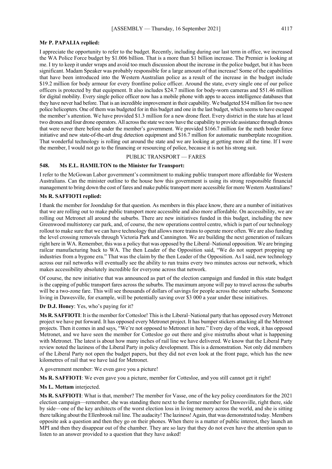#### **Mr P. PAPALIA replied:**

I appreciate the opportunity to refer to the budget. Recently, including during our last term in office, we increased the WA Police Force budget by \$1.006 billion. That is a more than \$1 billion increase. The Premier is looking at me. I try to keep it under wraps and avoid too much discussion about the increase in the police budget, but it has been significant. Madam Speaker was probably responsible for a large amount of that increase! Some of the capabilities that have been introduced into the Western Australian police as a result of the increase in the budget include \$19.2 million for body armour for every frontline police officer. Around the state, every single one of our police officers is protected by that equipment. It also includes \$24.7 million for body-worn cameras and \$51.46 million for digital mobility. Every single police officer now has a mobile phone with apps to access intelligence databases that they have never had before. That is an incredible improvement in their capability. We budgeted \$54 million for two new police helicopters. One of them was budgeted for in this budget and one in the last budget, which seems to have escaped the member's attention. We have provided \$1.3 million for a new drone fleet. Every district in the state has at least two drones and four drone operators. All across the state we now have the capability to provide assistance through drones that were never there before under the member's government. We provided \$166.7 million for the meth border force initiative and new state-of-the-art drug detection equipment and \$16.7 million for automatic numberplate recognition. That wonderful technology is rolling out around the state and we are looking at getting more all the time. If I were the member, I would not go to the financing or resourcing of police, because it is not his strong suit.

### PUBLIC TRANSPORT — FARES

#### **548. Ms E.L. HAMILTON to the Minister for Transport:**

I refer to the McGowan Labor government's commitment to making public transport more affordable for Western Australians. Can the minister outline to the house how this government is using its strong responsible financial management to bring down the cost of fares and make public transport more accessible for more Western Australians?

### **Ms R. SAFFIOTI replied:**

I thank the member for Joondalup for that question. As members in this place know, there are a number of initiatives that we are rolling out to make public transport more accessible and also more affordable. On accessibility, we are rolling out Metronet all around the suburbs. There are new initiatives funded in this budget, including the new Greenwood multistorey car park, and, of course, the new operations control centre, which is part of our technology rollout to make sure that we can have technology that allows more trains to operate more often. We are also funding the level crossing removals through Victoria Park and Cannington. We are building the next generation of railcars right here in WA. Remember, this was a policy that was opposed by the Liberal–National opposition. We are bringing railcar manufacturing back to WA. The then Leader of the Opposition said, "We do not support propping up industries from a bygone era." That was the claim by the then Leader of the Opposition. As I said, new technology across our rail networks will eventually see the ability to run trains every two minutes across our network, which makes accessibility absolutely incredible for everyone across that network.

Of course, the new initiative that was announced as part of the election campaign and funded in this state budget is the capping of public transport fares across the suburbs. The maximum anyone will pay to travel across the suburbs will be a two-zone fare. This will see thousands of dollars of savings for people across the outer suburbs. Someone living in Dawesville, for example, will be potentially saving over \$3 000 a year under these initiatives.

#### **Dr D.J. Honey**: Yes, who's paying for it?

**Ms R. SAFFIOTI**: It is the member for Cottesloe! This is the Liberal–National party that has opposed every Metronet project we have put forward. It has opposed every Metronet project. It has bumper stickers attacking all the Metronet projects. Then it comes in and says, "We're not opposed to Metronet in here." Every day of the week, it has opposed Metronet, and we have seen the member for Cottesloe go out there and give mistruths about what is happening with Metronet. The latest is about how many inches of rail line we have delivered. We know that the Liberal Party review noted the laziness of the Liberal Party in policy development. This is a demonstration. Not only did members of the Liberal Party not open the budget papers, but they did not even look at the front page, which has the new kilometres of rail that we have laid for Metronet.

A government member: We even gave you a picture!

**Ms R. SAFFIOTI**: We even gave you a picture, member for Cottesloe, and you still cannot get it right!

#### **Ms L. Mettam** interjected.

**Ms R. SAFFIOTI**: What is that, member? The member for Vasse, one of the key policy coordinators for the 2021 election campaign—remember, she was standing there next to the former member for Dawesville, right there, side by side—one of the key architects of the worst election loss in living memory across the world, and she is sitting there talking about the Ellenbrook rail line. The audacity! The laziness! Again, that was demonstrated today. Members opposite ask a question and then they go on their phones. When there is a matter of public interest, they launch an MPI and then they disappear out of the chamber. They are so lazy that they do not even have the attention span to listen to an answer provided to a question that they have asked!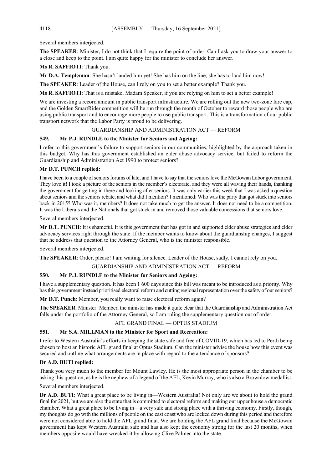### Several members interjected.

**The SPEAKER**: Minister, I do not think that I require the point of order. Can I ask you to draw your answer to a close and keep to the point. I am quite happy for the minister to conclude her answer.

### **Ms R. SAFFIOTI**: Thank you.

**Mr D.A. Templeman**: She hasn't landed him yet! She has him on the line; she has to land him now!

**The SPEAKER**: Leader of the House, can I rely on you to set a better example? Thank you.

**Ms R. SAFFIOTI**: That is a mistake, Madam Speaker, if you are relying on him to set a better example!

We are investing a record amount in public transport infrastructure. We are rolling out the new two-zone fare cap, and the Golden SmartRider competition will be run through the month of October to reward those people who are using public transport and to encourage more people to use public transport. This is a transformation of our public transport network that the Labor Party is proud to be delivering.

### GUARDIANSHIP AND ADMINISTRATION ACT — REFORM

### **549. Mr P.J. RUNDLE to the Minister for Seniors and Ageing:**

I refer to this government's failure to support seniors in our communities, highlighted by the approach taken in this budget. Why has this government established an elder abuse advocacy service, but failed to reform the Guardianship and Administration Act 1990 to protect seniors?

### **Mr D.T. PUNCH replied:**

I have been to a couple of seniors forums of late, and I have to say that the seniors love the McGowan Labor government. They love it! I took a picture of the seniors in the member's electorate, and they were all waving their hands, thanking the government for getting in there and looking after seniors. It was only earlier this week that I was asked a question about seniors and the seniors rebate, and what did I mention? I mentioned: Who was the party that got stuck into seniors back in 2015? Who was it, members? It does not take much to get the answer. It does not need to be a competition. It was the Liberals and the Nationals that got stuck in and removed those valuable concessions that seniors love.

Several members interjected.

**Mr D.T. PUNCH**: It is shameful. It is this government that has got in and supported elder abuse strategies and elder advocacy services right through the state. If the member wants to know about the guardianship changes, I suggest that he address that question to the Attorney General, who is the minister responsible.

Several members interjected.

**The SPEAKER**: Order, please! I am waiting for silence. Leader of the House, sadly, I cannot rely on you.

### GUARDIANSHIP AND ADMINISTRATION ACT — REFORM

### **550. Mr P.J. RUNDLE to the Minister for Seniors and Ageing:**

I have a supplementary question. It has been 1 600 days since this bill was meant to be introduced as a priority. Why has this government instead prioritised electoral reform and cutting regional representation over the safety of our seniors?

**Mr D.T. Punch**: Member, you really want to raise electoral reform again?

**The SPEAKER**: Minister! Member, the minister has made it quite clear that the Guardianship and Administration Act falls under the portfolio of the Attorney General, so I am ruling the supplementary question out of order.

### AFL GRAND FINAL — OPTUS STADIUM

### **551. Mr S.A. MILLMAN to the Minister for Sport and Recreation:**

I refer to Western Australia's efforts in keeping the state safe and free of COVID-19, which has led to Perth being chosen to host an historic AFL grand final at Optus Stadium. Can the minister advise the house how this event was secured and outline what arrangements are in place with regard to the attendance of sponsors?

### **Dr A.D. BUTI replied:**

Thank you very much to the member for Mount Lawley. He is the most appropriate person in the chamber to be asking this question, as he is the nephew of a legend of the AFL, Kevin Murray, who is also a Brownlow medallist.

Several members interjected.

**Dr A.D. BUTI:** What a great place to be living in—Western Australia! Not only are we about to hold the grand final for 2021, but we are also the state that is committed to electoral reform and making our upper house a democratic chamber. What a great place to be living in—a very safe and strong place with a thriving economy. Firstly, though, my thoughts do go with the millions of people on the east coast who are locked down during this period and therefore were not considered able to hold the AFL grand final. We are holding the AFL grand final because the McGowan government has kept Western Australia safe and has also kept the economy strong for the last 20 months, when members opposite would have wrecked it by allowing Clive Palmer into the state.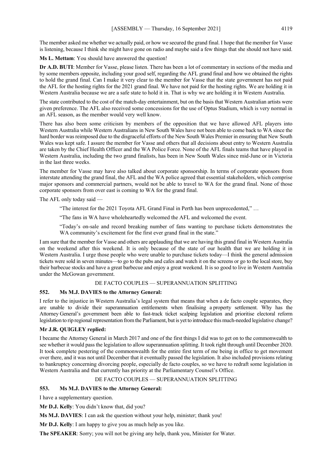The member asked me whether we actually paid, or how we secured the grand final. I hope that the member for Vasse is listening, because I think she might have gone on radio and maybe said a few things that she should not have said.

**Ms L. Mettam**: You should have answered the question!

**Dr A.D. BUTI**: Member for Vasse, please listen. There has been a lot of commentary in sections of the media and by some members opposite, including your good self, regarding the AFL grand final and how we obtained the rights to hold the grand final. Can I make it very clear to the member for Vasse that the state government has not paid the AFL for the hosting rights for the 2021 grand final. We have not paid for the hosting rights. We are holding it in Western Australia because we are a safe state to hold it in. That is why we are holding it in Western Australia.

The state contributed to the cost of the match-day entertainment, but on the basis that Western Australian artists were given preference. The AFL also received some concessions for the use of Optus Stadium, which is very normal in an AFL season, as the member would very well know.

There has also been some criticism by members of the opposition that we have allowed AFL players into Western Australia while Western Australians in New South Wales have not been able to come back to WA since the hard border was reimposed due to the disgraceful efforts of the New South Wales Premier in ensuring that New South Wales was kept safe. I assure the member for Vasse and others that all decisions about entry to Western Australia are taken by the Chief Health Officer and the WA Police Force. None of the AFL finals teams that have played in Western Australia, including the two grand finalists, has been in New South Wales since mid-June or in Victoria in the last three weeks.

The member for Vasse may have also talked about corporate sponsorship. In terms of corporate sponsors from interstate attending the grand final, the AFL and the WA police agreed that essential stakeholders, which comprise major sponsors and commercial partners, would not be able to travel to WA for the grand final. None of those corporate sponsors from over east is coming to WA for the grand final.

The AFL only today said —

"The interest for the 2021 Toyota AFL Grand Final in Perth has been unprecedented," …

"The fans in WA have wholeheartedly welcomed the AFL and welcomed the event.

"Today's on-sale and record breaking number of fans wanting to purchase tickets demonstrates the WA community's excitement for the first ever grand final in the state."

I am sure that the member for Vasse and others are applauding that we are having this grand final in Western Australia on the weekend after this weekend. It is only because of the state of our health that we are holding it in Western Australia. I urge those people who were unable to purchase tickets today—I think the general admission tickets were sold in seven minutes—to go to the pubs and cafes and watch it on the screens or go to the local store, buy their barbecue stocks and have a great barbecue and enjoy a great weekend. It is so good to live in Western Australia under the McGowan government.

### DE FACTO COUPLES — SUPERANNUATION SPLITTING

### **552. Ms M.J. DAVIES to the Attorney General:**

I refer to the injustice in Western Australia's legal system that means that when a de facto couple separates, they are unable to divide their superannuation entitlements when finalising a property settlement. Why has the Attorney General's government been able to fast-track ticket scalping legislation and prioritise electoral reform legislation to rip regional representation from the Parliament, but is yet to introduce this much-needed legislative change?

### **Mr J.R. QUIGLEY replied:**

I became the Attorney General in March 2017 and one of the first things I did was to get on to the commonwealth to see whether it would pass the legislation to allow superannuation splitting. It took right through until December 2020. It took complete pestering of the commonwealth for the entire first term of me being in office to get movement over there, and it was not until December that it eventually passed the legislation. It also included provisions relating to bankruptcy concerning divorcing people, especially de facto couples, so we have to redraft some legislation in Western Australia and that currently has priority at the Parliamentary Counsel's Office.

#### DE FACTO COUPLES — SUPERANNUATION SPLITTING

### **553. Ms M.J. DAVIES to the Attorney General:**

I have a supplementary question.

**Mr D.J. Kelly**: You didn't know that, did you?

**Ms M.J. DAVIES**: I can ask the question without your help, minister; thank you!

**Mr D.J. Kelly**: I am happy to give you as much help as you like.

**The SPEAKER**: Sorry; you will not be giving any help, thank you, Minister for Water.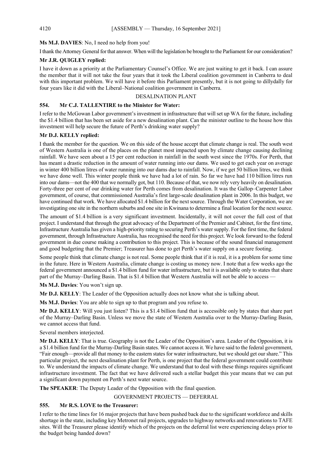### **Ms M.J. DAVIES**: No, I need no help from you!

I thank the Attorney General for that answer. When will the legislation be brought to the Parliament for our consideration?

### **Mr J.R. QUIGLEY replied:**

I have it down as a priority at the Parliamentary Counsel's Office. We are just waiting to get it back. I can assure the member that it will not take the four years that it took the Liberal coalition government in Canberra to deal with this important problem. We will have it before this Parliament presently, but it is not going to dillydally for four years like it did with the Liberal–National coalition government in Canberra.

### DESALINATION PLANT

### **554. Mr C.J. TALLENTIRE to the Minister for Water:**

I refer to the McGowan Labor government's investment in infrastructure that will set up WA for the future, including the \$1.4 billion that has been set aside for a new desalination plant. Can the minister outline to the house how this investment will help secure the future of Perth's drinking water supply?

### **Mr D.J. KELLY replied:**

I thank the member for the question. We on this side of the house accept that climate change is real. The south west of Western Australia is one of the places on the planet most impacted upon by climate change causing declining rainfall. We have seen about a 15 per cent reduction in rainfall in the south west since the 1970s. For Perth, that has meant a drastic reduction in the amount of water running into our dams. We used to get each year on average in winter 400 billion litres of water running into our dams due to rainfall. Now, if we get 50 billion litres, we think we have done well. This winter people think we have had a lot of rain. So far we have had 110 billion litres run into our dams—not the 400 that we normally got, but 110. Because of that, we now rely very heavily on desalination. Forty-three per cent of our drinking water for Perth comes from desalination. It was the Gallop–Carpenter Labor government, of course, that commissioned Australia's first large-scale desalination plant in 2006. In this budget, we have continued that work. We have allocated \$1.4 billion for the next source. Through the Water Corporation, we are investigating one site in the northern suburbs and one site in Kwinana to determine a final location for the next source.

The amount of \$1.4 billion is a very significant investment. Incidentally, it will not cover the full cost of that project. I understand that through the great advocacy of the Department of the Premier and Cabinet, for the first time, Infrastructure Australia has given a high-priority rating to securing Perth's water supply. For the first time, the federal government, through Infrastructure Australia, has recognised the need for this project. We look forward to the federal government in due course making a contribution to this project. This is because of the sound financial management and good budgeting that the Premier; Treasurer has done to get Perth's water supply on a secure footing.

Some people think that climate change is not real. Some people think that if it is real, it is a problem for some time in the future. Here in Western Australia, climate change is costing us money now. I note that a few weeks ago the federal government announced a \$1.4 billion fund for water infrastructure, but it is available only to states that share part of the Murray–Darling Basin. That is \$1.4 billion that Western Australia will not be able to access —

**Ms M.J. Davies**: You won't sign up.

**Mr D.J. KELLY**: The Leader of the Opposition actually does not know what she is talking about.

**Ms M.J. Davies**: You are able to sign up to that program and you refuse to.

**Mr D.J. KELLY**: Will you just listen? This is a \$1.4 billion fund that is accessible only by states that share part of the Murray–Darling Basin. Unless we move the state of Western Australia over to the Murray-Darling Basin, we cannot access that fund.

Several members interjected.

**Mr D.J. KELLY**: That is true. Geography is not the Leader of the Opposition's area. Leader of the Opposition, it is a \$1.4 billion fund for the Murray-Darling Basin states. We cannot access it. We have said to the federal government, "Fair enough—provide all that money to the eastern states for water infrastructure, but we should get our share." This particular project, the next desalination plant for Perth, is one project that the federal government could contribute to. We understand the impacts of climate change. We understand that to deal with these things requires significant infrastructure investment. The fact that we have delivered such a stellar budget this year means that we can put a significant down payment on Perth's next water source.

**The SPEAKER**: The Deputy Leader of the Opposition with the final question.

GOVERNMENT PROJECTS — DEFERRAL

### **555. Mr R.S. LOVE to the Treasurer:**

I refer to the time lines for 16 major projects that have been pushed back due to the significant workforce and skills shortage in the state, including key Metronet rail projects, upgrades to highway networks and renovations to TAFE sites. Will the Treasurer please identify which of the projects on the deferral list were experiencing delays prior to the budget being handed down?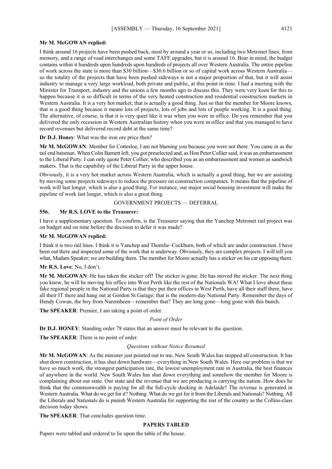#### **Mr M. McGOWAN replied:**

I think around 16 projects have been pushed back, most by around a year or so, including two Metronet lines, from memory, and a range of road interchanges and some TAFE upgrades, but it is around 16. Bear in mind, the budget contains within it hundreds upon hundreds upon hundreds of projects all over Western Australia. The entire pipeline of work across the state is more than \$30 billion—\$30.6 billion or so of capital work across Western Australia so the totality of the projects that have been pushed sideways is not a major proportion of that, but it will assist industry to manage a very large workload, both private and public, at this point in time. I had a meeting with the Minister for Transport, industry and the unions a few months ago to discuss this. They were very keen for this to happen because it is so difficult in terms of the very heated construction and residential construction markets in Western Australia. It is a very hot market; that is actually a good thing. Just so that the member for Moore knows, that is a good thing because it means lots of projects, lots of jobs and lots of people working. It is a good thing. The alternative, of course, is that it is very quiet like it was when you were in office. Do you remember that you delivered the only recession in Western Australian history when you were in office and that you managed to have record revenues but delivered record debt at the same time?

#### **Dr D.J. Honey**: What was the iron ore price then?

**Mr M. McGOWAN**: Member for Cottesloe, I am not blaming you because you were not there. You came in as the tail end batsman. When Colin Barnett left, you got preselected and, as Hon Peter Collier said, it was an embarrassment to the Liberal Party. I can only quote Peter Collier, who described you as an embarrassment and women as sandwich makers. That is the capability of the Liberal Party in the upper house.

Obviously, it is a very hot market across Western Australia, which is actually a good thing, but we are assisting by moving some projects sideways to reduce the pressure on construction companies. It means that the pipeline of work will last longer, which is also a good thing. For instance, our major social housing investment will make the pipeline of work last longer, which is also a great thing.

#### GOVERNMENT PROJECTS — DEFERRAL

### **556. Mr R.S. LOVE to the Treasurer:**

I have a supplementary question. To confirm, is the Treasurer saying that the Yanchep Metronet rail project was on budget and on time before the decision to defer it was made?

#### **Mr M. McGOWAN replied:**

I think it is two rail lines. I think it is Yanchep and Thornlie–Cockburn, both of which are under construction. I have been out there and inspected some of the work that is underway. Obviously, they are complex projects. I will tell you what, Madam Speaker; we are building them. The member for Moore actually has a sticker on his car opposing them.

#### **Mr R.S. Love**: No, I don't.

**Mr M. McGOWAN**: He has taken the sticker off! The sticker is gone. He has moved the sticker. The next thing you know, he will be moving his office into West Perth like the rest of the Nationals WA! What I love about these fake regional people in the National Party is that they put their offices in West Perth, have all their staff there, have all their IT there and hang out at Gordon St Garage; that is the modern-day National Party. Remember the days of Hendy Cowan, the boy from Narembeen—remember that? They are long gone—long gone with this bunch.

**The SPEAKER**: Premier, I am taking a point of order.

#### *Point of Order*

**Dr D.J. HONEY**: Standing order 78 states that an answer must be relevant to the question.

**The SPEAKER**: There is no point of order.

#### *Questions without Notice Resumed*

**Mr M. McGOWAN**: As the minister just pointed out to me, New South Wales has stopped all construction. It has shut down construction, it has shut down hardware—everything in New South Wales. Here our problem is that we have so much work, the strongest participation rate, the lowest unemployment rate in Australia, the best finances of anywhere in the world. New South Wales has shut down everything and somehow the member for Moore is complaining about our state. Our state and the revenue that we are producing is carrying the nation. How does he think that the commonwealth is paying for all the full-cycle docking in Adelaide? The revenue is generated in Western Australia. What do we get for it? Nothing. What do we get for it from the Liberals and Nationals? Nothing. All the Liberals and Nationals do is punish Western Australia for supporting the rest of the country as the Collins-class decision today shows.

**The SPEAKER**: That concludes question time.

### **PAPERS TABLED**

Papers were tabled and ordered to lie upon the table of the house.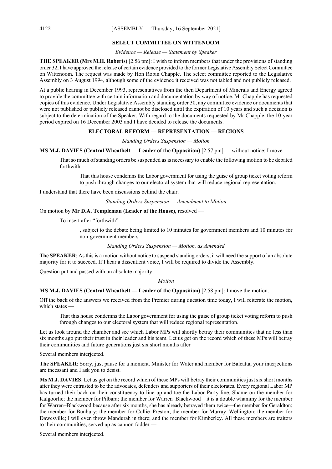### **SELECT COMMITTEE ON WITTENOOM**

*Evidence — Release — Statement by Speaker*

**THE SPEAKER (Mrs M.H. Roberts)** [2.56 pm]: I wish to inform members that under the provisions of standing order 32, I have approved the release of certain evidence provided to the former Legislative Assembly Select Committee on Wittenoom. The request was made by Hon Robin Chapple. The select committee reported to the Legislative Assembly on 3 August 1994, although some of the evidence it received was not tabled and not publicly released.

At a public hearing in December 1993, representatives from the then Department of Minerals and Energy agreed to provide the committee with certain information and documentation by way of notice. Mr Chapple has requested copies of this evidence. Under Legislative Assembly standing order 30, any committee evidence or documents that were not published or publicly released cannot be disclosed until the expiration of 10 years and such a decision is subject to the determination of the Speaker. With regard to the documents requested by Mr Chapple, the 10-year period expired on 16 December 2003 and I have decided to release the documents.

### **ELECTORAL REFORM — REPRESENTATION — REGIONS**

*Standing Orders Suspension — Motion*

### **MS M.J. DAVIES (Central Wheatbelt — Leader of the Opposition)** [2.57 pm] — without notice: I move —

That so much of standing orders be suspended as is necessary to enable the following motion to be debated forthwith —

That this house condemns the Labor government for using the guise of group ticket voting reform to push through changes to our electoral system that will reduce regional representation.

I understand that there have been discussions behind the chair.

*Standing Orders Suspension — Amendment to Motion*

On motion by **Mr D.A. Templeman (Leader of the House)**, resolved —

To insert after "forthwith" —

, subject to the debate being limited to 10 minutes for government members and 10 minutes for non-government members

#### *Standing Orders Suspension — Motion, as Amended*

**The SPEAKER**: As this is a motion without notice to suspend standing orders, it will need the support of an absolute majority for it to succeed. If I hear a dissentient voice, I will be required to divide the Assembly.

Question put and passed with an absolute majority.

#### *Motion*

**MS M.J. DAVIES (Central Wheatbelt — Leader of the Opposition)** [2.58 pm]: I move the motion.

Off the back of the answers we received from the Premier during question time today, I will reiterate the motion, which states -

That this house condemns the Labor government for using the guise of group ticket voting reform to push through changes to our electoral system that will reduce regional representation.

Let us look around the chamber and see which Labor MPs will shortly betray their communities that no less than six months ago put their trust in their leader and his team. Let us get on the record which of these MPs will betray their communities and future generations just six short months after —

Several members interjected.

**The SPEAKER**: Sorry, just pause for a moment. Minister for Water and member for Balcatta, your interjections are incessant and I ask you to desist.

**Ms M.J. DAVIES**: Let us get on the record which of these MPs will betray their communities just six short months after they were entrusted to be the advocates, defenders and supporters of their electorates. Every regional Labor MP has turned their back on their constituency to line up and toe the Labor Party line. Shame on the member for Kalgoorlie; the member for Pilbara; the member for Warren–Blackwood—it is a double whammy for the member for Warren–Blackwood because after six months, she has already betrayed them twice—the member for Geraldton; the member for Bunbury; the member for Collie–Preston; the member for Murray–Wellington; the member for Dawesville; I will even throw Mandurah in there; and the member for Kimberley. All these members are traitors to their communities, served up as cannon fodder -

Several members interjected.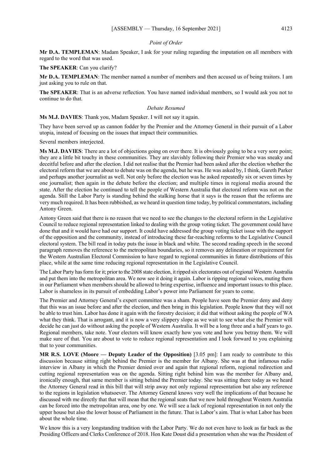#### *Point of Order*

**Mr D.A. TEMPLEMAN**: Madam Speaker, I ask for your ruling regarding the imputation on all members with regard to the word that was used.

**The SPEAKER**: Can you clarify?

**Mr D.A. TEMPLEMAN**: The member named a number of members and then accused us of being traitors. I am just asking you to rule on that.

**The SPEAKER**: That is an adverse reflection. You have named individual members, so I would ask you not to continue to do that.

#### *Debate Resumed*

**Ms M.J. DAVIES**: Thank you, Madam Speaker. I will not say it again.

They have been served up as cannon fodder by the Premier and the Attorney General in their pursuit of a Labor utopia, instead of focusing on the issues that impact their communities.

Several members interjected.

**Ms M.J. DAVIES**: There are a lot of objections going on over there. It is obviously going to be a very sore point; they are a little bit touchy in these communities. They are slavishly following their Premier who was sneaky and deceitful before and after the election. I did not realise that the Premier had been asked after the election whether the electoral reform that we are about to debate was on the agenda, but he was. He was asked by, I think, Gareth Parker and perhaps another journalist as well. Not only before the election was he asked repeatedly six or seven times by one journalist; then again in the debate before the election; and multiple times in regional media around the state. After the election he continued to tell the people of Western Australia that electoral reform was not on the agenda. Still the Labor Party is standing behind the stalking horse that it says is the reason that the reforms are very much required. It has been rubbished, as we heard in question time today, by political commentators, including Antony Green.

Antony Green said that there is no reason that we need to see the changes to the electoral reform in the Legislative Council to reduce regional representation linked to dealing with the group voting ticket. The government could have done that and it would have had our support. It could have addressed the group voting ticket issue with the support of the opposition and the community, instead of introducing these far-reaching reforms to the Legislative Council electoral system. The bill read in today puts the issue in black and white. The second reading speech in the second paragraph removes the reference to the metropolitan boundaries, so it removes any delineation or requirement for the Western Australian Electoral Commission to have regard to regional communities in future distributions of this place, while at the same time reducing regional representation in the Legislative Council.

The Labor Party has form for it; prior to the 2008 state election, it ripped six electorates out of regional Western Australia and put them into the metropolitan area. We now see it doing it again. Labor is ripping regional voices, muting them in our Parliament when members should be allowed to bring expertise, influence and important issues to this place. Labor is shameless in its pursuit of embedding Labor's power into Parliament for years to come.

The Premier and Attorney General's expert committee was a sham. People have seen the Premier deny and deny that this was an issue before and after the election, and then bring in this legislation. People know that they will not be able to trust him. Labor has done it again with the forestry decision; it did that without asking the people of WA what they think. That is arrogant, and it is now a very slippery slope as we wait to see what else the Premier will decide he can just do without asking the people of Western Australia. It will be a long three and a half years to go. Regional members, take note. Your electors will know exactly how you vote and how you betray them. We will make sure of that. You are about to vote to reduce regional representation and I look forward to you explaining that to your communities.

**MR R.S. LOVE (Moore — Deputy Leader of the Opposition)** [3.05 pm]: I am ready to contribute to this discussion because sitting right behind the Premier is the member for Albany. She was at that infamous radio interview in Albany in which the Premier denied over and again that regional reform, regional redirection and cutting regional representation was on the agenda. Sitting right behind him was the member for Albany and, ironically enough, that same member is sitting behind the Premier today. She was sitting there today as we heard the Attorney General read in this bill that will strip away not only regional representation but also any reference to the regions in legislation whatsoever. The Attorney General knows very well the implications of that because he discussed with me directly that that will mean that the regional seats that we now hold throughout Western Australia can be forced into the metropolitan area, one by one. We will see a lack of regional representation in not only the upper house but also the lower house of Parliament in the future. That is Labor's aim. That is what Labor has been about the whole time.

We know this is a very longstanding tradition with the Labor Party. We do not even have to look as far back as the Presiding Officers and Clerks Conference of 2018. Hon Kate Doust did a presentation when she was the President of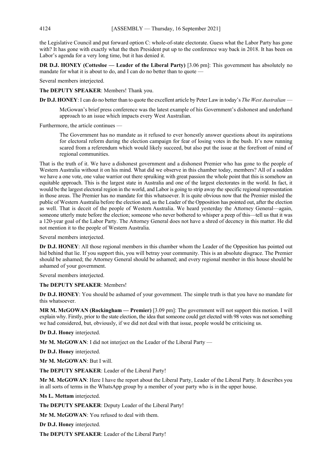the Legislative Council and put forward option C: whole-of-state electorate. Guess what the Labor Party has gone with? It has gone with exactly what the then President put up to the conference way back in 2018. It has been on Labor's agenda for a very long time, but it has denied it.

**DR D.J. HONEY (Cottesloe — Leader of the Liberal Party)** [3.06 pm]: This government has absolutely no mandate for what it is about to do, and I can do no better than to quote —

Several members interjected.

**The DEPUTY SPEAKER**: Members! Thank you.

**Dr D.J. HONEY**: I can do no better than to quote the excellent article by Peter Law in today's *The West Australian* —

McGowan's brief press conference was the latest example of his Government's dishonest and underhand approach to an issue which impacts every West Australian.

Furthermore, the article continues —

The Government has no mandate as it refused to ever honestly answer questions about its aspirations for electoral reform during the election campaign for fear of losing votes in the bush. It's now running scared from a referendum which would likely succeed, but also put the issue at the forefront of mind of regional communities.

That is the truth of it. We have a dishonest government and a dishonest Premier who has gone to the people of Western Australia without it on his mind. What did we observe in this chamber today, members? All of a sudden we have a one vote, one value warrior out there spruiking with great passion the whole point that this is somehow an equitable approach. This is the largest state in Australia and one of the largest electorates in the world. In fact, it would be the largest electoral region in the world, and Labor is going to strip away the specific regional representation in those areas. The Premier has no mandate for this whatsoever. It is quite obvious now that the Premier misled the public of Western Australia before the election and, as the Leader of the Opposition has pointed out, after the election as well. That is deceit of the people of Western Australia. We heard yesterday the Attorney General—again, someone utterly mute before the election; someone who never bothered to whisper a peep of this—tell us that it was a 120-year goal of the Labor Party. The Attorney General does not have a shred of decency in this matter. He did not mention it to the people of Western Australia.

Several members interjected.

**Dr D.J. HONEY**: All those regional members in this chamber whom the Leader of the Opposition has pointed out hid behind that lie. If you support this, you will betray your community. This is an absolute disgrace. The Premier should be ashamed; the Attorney General should be ashamed; and every regional member in this house should be ashamed of your government.

Several members interjected.

### **The DEPUTY SPEAKER**: Members!

**Dr D.J. HONEY**: You should be ashamed of your government. The simple truth is that you have no mandate for this whatsoever.

**MR M. McGOWAN (Rockingham — Premier)** [3.09 pm]: The government will not support this motion. I will explain why. Firstly, prior to the state election, the idea that someone could get elected with 98 votes was not something we had considered, but, obviously, if we did not deal with that issue, people would be criticising us.

**Dr D.J. Honey** interjected.

**Mr M. McGOWAN**: I did not interject on the Leader of the Liberal Party —

**Dr D.J. Honey** interjected.

**Mr M. McGOWAN**: But I will.

**The DEPUTY SPEAKER**: Leader of the Liberal Party!

**Mr M. McGOWAN**: Here I have the report about the Liberal Party, Leader of the Liberal Party. It describes you in all sorts of terms in the WhatsApp group by a member of your party who is in the upper house.

**Ms L. Mettam** interjected.

**The DEPUTY SPEAKER**: Deputy Leader of the Liberal Party!

**Mr M. McGOWAN**: You refused to deal with them.

**Dr D.J. Honey** interjected.

**The DEPUTY SPEAKER**: Leader of the Liberal Party!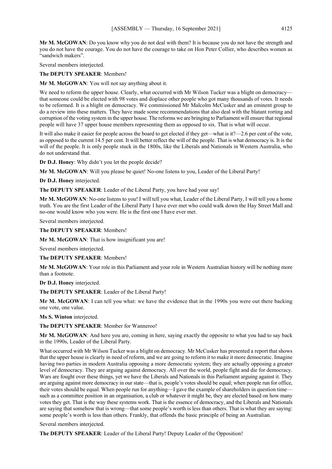**Mr M. McGOWAN**: Do you know why you do not deal with them? It is because you do not have the strength and you do not have the courage. You do not have the courage to take on Hon Peter Collier, who describes women as "sandwich makers".

Several members interjected.

**The DEPUTY SPEAKER**: Members!

**Mr M. McGOWAN**: You will not say anything about it.

We need to reform the upper house. Clearly, what occurred with Mr Wilson Tucker was a blight on democracy that someone could be elected with 98 votes and displace other people who got many thousands of votes. It needs to be reformed. It is a blight on democracy. We commissioned Mr Malcolm McCusker and an eminent group to do a review into these matters. They have made some recommendations that also deal with the blatant rorting and corruption of the voting system in the upper house. The reforms we are bringing to Parliament will ensure that regional people will have 37 upper house members representing them as opposed to six. That is what will occur.

It will also make it easier for people across the board to get elected if they get—what is it?—2.6 per cent of the vote, as opposed to the current 14.5 per cent. It will better reflect the will of the people. That is what democracy is. It is the will of the people. It is only people stuck in the 1800s, like the Liberals and Nationals in Western Australia, who do not understand that.

**Dr D.J. Honey**: Why didn't you let the people decide?

**Mr M. McGOWAN**: Will you please be quiet! No-one listens to you, Leader of the Liberal Party!

**Dr D.J. Honey** interjected.

**The DEPUTY SPEAKER**: Leader of the Liberal Party, you have had your say!

**Mr M. McGOWAN**: No-one listens to you! I will tell you what, Leader of the Liberal Party, I will tell you a home truth. You are the first Leader of the Liberal Party I have ever met who could walk down the Hay Street Mall and no-one would know who you were. He is the first one I have ever met.

Several members interjected.

**The DEPUTY SPEAKER**: Members!

**Mr M. McGOWAN**: That is how insignificant you are!

Several members interjected.

**The DEPUTY SPEAKER**: Members!

**Mr M. McGOWAN**: Your role in this Parliament and your role in Western Australian history will be nothing more than a footnote.

**Dr D.J. Honey** interjected.

**The DEPUTY SPEAKER**: Leader of the Liberal Party!

**Mr M. McGOWAN**: I can tell you what: we have the evidence that in the 1990s you were out there backing one vote, one value.

**Ms S. Winton** interjected.

**The DEPUTY SPEAKER**: Member for Wanneroo!

**Mr M. McGOWAN**: And here you are, coming in here, saying exactly the opposite to what you had to say back in the 1990s, Leader of the Liberal Party.

What occurred with Mr Wilson Tucker was a blight on democracy. Mr McCusker has presented a report that shows that the upper house is clearly in need of reform, and we are going to reform it to make it more democratic. Imagine having two parties in modern Australia opposing a more democratic system; they are actually opposing a greater level of democracy. They are arguing against democracy. All over the world, people fight and die for democracy. Wars are fought over these things, yet we have the Liberals and Nationals in this Parliament arguing against it. They are arguing against more democracy in our state—that is, people's votes should be equal; when people run for office, their votes should be equal. When people run for anything—I gave the example of shareholders in question time such as a committee position in an organisation, a club or whatever it might be, they are elected based on how many votes they get. That is the way these systems work. That is the essence of democracy, and the Liberals and Nationals are saying that somehow that is wrong—that some people's worth is less than others. That is what they are saying: some people's worth is less than others. Frankly, that offends the basic principle of being an Australian.

Several members interjected.

**The DEPUTY SPEAKER**: Leader of the Liberal Party! Deputy Leader of the Opposition!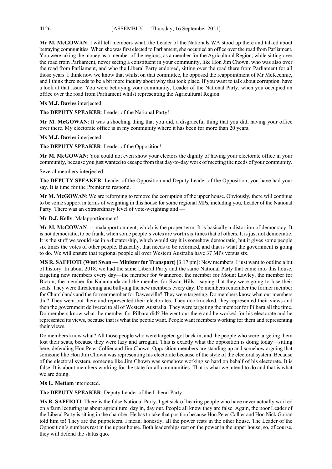**Mr M. McGOWAN**: I will tell members what, the Leader of the Nationals WA stood up there and talked about betraying communities. When she was first elected to Parliament, she occupied an office over the road from Parliament. You were taking the money as a member of the regions, as a member for the Agricultural Region, while sitting over the road from Parliament, never seeing a constituent in your community, like Hon Jim Chown, who was also over the road from Parliament, and who the Liberal Party endorsed, sitting over the road there from Parliament for all those years. I think now we know that whilst on that committee, he opposed the reappointment of Mr McKechnie, and I think there needs to be a bit more inquiry about why that took place. If you want to talk about corruption, have a look at that issue. You were betraying your community, Leader of the National Party, when you occupied an office over the road from Parliament whilst representing the Agricultural Region.

### **Ms M.J. Davies** interjected.

**The DEPUTY SPEAKER**: Leader of the National Party!

**Mr M. McGOWAN**: It was a shocking thing that you did, a disgraceful thing that you did, having your office over there. My electorate office is in my community where it has been for more than 20 years.

### **Ms M.J. Davies** interjected.

**The DEPUTY SPEAKER**: Leader of the Opposition!

**Mr M. McGOWAN**: You could not even show your electors the dignity of having your electorate office in your community, because you just wanted to escape from that day-to-day work of meeting the needs of your community.

Several members interjected.

**The DEPUTY SPEAKER**: Leader of the Opposition and Deputy Leader of the Opposition, you have had your say. It is time for the Premier to respond.

**Mr M. McGOWAN**: We are reforming to remove the corruption of the upper house. Obviously, there will continue to be some support in terms of weighting in this house for some regional MPs, including you, Leader of the National Party. There was an extraordinary level of vote-weighting and —

### **Mr D.J. Kelly**: Malapportionment!

**Mr M. McGOWAN**: —malapportionment, which is the proper term. It is basically a distortion of democracy. It is not democratic, to be frank, when some people's votes are worth six times that of others. It is just not democratic. It is the stuff we would see in a dictatorship, which would say it is somehow democratic, but it gives some people six times the votes of other people. Basically, that needs to be reformed, and that is what the government is going to do. We will ensure that regional people all over Western Australia have 37 MPs versus six.

**MS R. SAFFIOTI (West Swan — Minister for Transport)** [3.17 pm]: New members, I just want to outline a bit of history. In about 2018, we had the same Liberal Party and the same National Party that came into this house, targeting new members every day—the member for Wanneroo, the member for Mount Lawley, the member for Bicton, the member for Kalamunda and the member for Swan Hills—saying that they were going to lose their seats. They were threatening and bullying the new members every day. Do members remember the former member for Churchlands and the former member for Dawesville? They were targeting. Do members know what our members did? They went out there and represented their electorates. They doorknocked, they represented their views and then the government delivered to all of Western Australia. They were targeting the member for Pilbara all the time. Do members know what the member for Pilbara did? He went out there and he worked for his electorate and he represented its views, because that is what the people want. People want members working for them and representing their views.

Do members know what? All those people who were targeted got back in, and the people who were targeting them lost their seats, because they were lazy and arrogant. This is exactly what the opposition is doing today—sitting here, defending Hon Peter Collier and Jim Chown. Opposition members are standing up and somehow arguing that someone like Hon Jim Chown was representing his electorate because of the style of the electoral system. Because of the electoral system, someone like Jim Chown was somehow working so hard on behalf of his electorate. It is false. It is about members working for the state for all communities. That is what we intend to do and that is what we are doing.

### **Ms L. Mettam** interjected.

**The DEPUTY SPEAKER**: Deputy Leader of the Liberal Party!

**Ms R. SAFFIOTI**: There is the false National Party. I get sick of hearing people who have never actually worked on a farm lecturing us about agriculture, day in, day out. People all know they are false. Again, the poor Leader of the Liberal Party is sitting in the chamber. He has to take that position because Hon Peter Collier and Hon Nick Goiran told him to! They are the puppeteers. I mean, honestly, all the power rests in the other house. The Leader of the Opposition's numbers rest in the upper house. Both leaderships rest on the power in the upper house, so, of course, they will defend the status quo.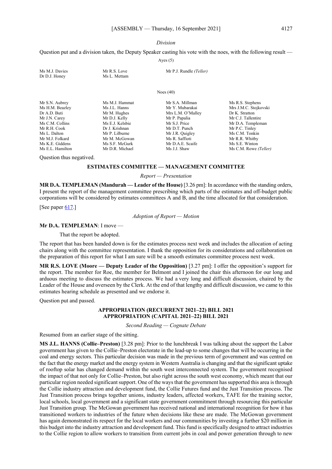#### *Division*

Question put and a division taken, the Deputy Speaker casting his vote with the noes, with the following result — Ayes (5)

| Ms M.J. Davies<br>Dr D.J. Honey | Mr R.S. Love<br>Ms L. Mettam | Mr P.J. Rundle (Teller) |                       |
|---------------------------------|------------------------------|-------------------------|-----------------------|
|                                 |                              | Noes $(40)$             |                       |
| Mr S.N. Aubrey                  | Ms M.J. Hammat               | Mr S.A. Millman         | Ms R.S. Stephens      |
| Ms H.M. Beazley                 | Ms J.L. Hanns                | Mr Y. Mubarakai         | Mrs J.M.C. Stojkovski |
| Dr A.D. Buti                    | Mr M. Hughes                 | Mrs L.M. O'Malley       | Dr K. Stratton        |
| Mr J.N. Carey                   | Mr D.J. Kelly                | Mr P. Papalia           | Mr C.J. Tallentire    |
| Ms C.M. Collins                 | Ms E.J. Kelsbie              | Mr S.J. Price           | Mr D.A. Templeman     |
| Mr R.H. Cook                    | Dr J. Krishnan               | Mr D.T. Punch           | Mr P.C. Tinley        |
| Ms L. Dalton                    | Mr P. Lilburne               | Mr J.R. Quigley         | Ms C.M. Tonkin        |
| Mr M.J. Folkard                 | Mr M. McGowan                | Ms R. Saffioti          | Mr R.R. Whitby        |
| Ms K.E. Giddens                 | Ms S.F. McGurk               | Mr D.A.E. Scaife        | Ms S.E. Winton        |
| Ms E.L. Hamilton                | Mr D.R. Michael              | Ms J.J. Shaw            | Ms C.M. Rowe (Teller) |

Question thus negatived.

#### **ESTIMATES COMMITTEE — MANAGEMENT COMMITTEE**

*Report — Presentation*

**MR D.A. TEMPLEMAN (Mandurah — Leader of the House)** [3.26 pm]: In accordance with the standing orders, I present the report of the management committee prescribing which parts of the estimates and off-budget public corporations will be considered by estimates committees A and B, and the time allocated for that consideration.

[See paper [617.](https://www.parliament.wa.gov.au/publications/tabledpapers.nsf/displaypaper/4110617aef4a5b241c42dffc482587530007ec9e/$file/tp+617+-+final+2021+estimates+schedule.pdf)]

*Adoption of Report — Motion*

#### **Mr D.A. TEMPLEMAN**: I move —

That the report be adopted.

The report that has been handed down is for the estimates process next week and includes the allocation of acting chairs along with the committee representation. I thank the opposition for its considerations and collaboration on the preparation of this report for what I am sure will be a smooth estimates committee process next week.

**MR R.S. LOVE (Moore — Deputy Leader of the Opposition)** [3.27 pm]: I offer the opposition's support for the report. The member for Roe, the member for Belmont and I joined the chair this afternoon for our long and arduous meeting to discuss the estimates process. We had a very long and difficult discussion, chaired by the Leader of the House and overseen by the Clerk. At the end of that lengthy and difficult discussion, we came to this estimates hearing schedule as presented and we endorse it.

Question put and passed.

### **APPROPRIATION (RECURRENT 2021–22) BILL 2021 APPROPRIATION (CAPITAL 2021–22) BILL 2021**

*Second Reading — Cognate Debate*

Resumed from an earlier stage of the sitting.

**MS J.L. HANNS (Collie–Preston)** [3.28 pm]: Prior to the lunchbreak I was talking about the support the Labor government has given to the Collie–Preston electorate in the lead-up to some changes that will be occurring in the coal and energy sectors. This particular decision was made in the previous term of government and was centred on the fact that the energy market and the energy system in Western Australia is changing and that the significant uptake of rooftop solar has changed demand within the south west interconnected system. The government recognised the impact of that not only for Collie–Preston, but also right across the south west economy, which meant that our particular region needed significant support. One of the ways that the government has supported this area is through the Collie industry attraction and development fund, the Collie Futures fund and the Just Transition process. The Just Transition process brings together unions, industry leaders, affected workers, TAFE for the training sector, local schools, local government and a significant state government commitment through resourcing this particular Just Transition group. The McGowan government has received national and international recognition for how it has transitioned workers to industries of the future when decisions like these are made. The McGowan government has again demonstrated its respect for the local workers and our communities by investing a further \$20 million in this budget into the industry attraction and development fund. This fund is specifically designed to attract industries to the Collie region to allow workers to transition from current jobs in coal and power generation through to new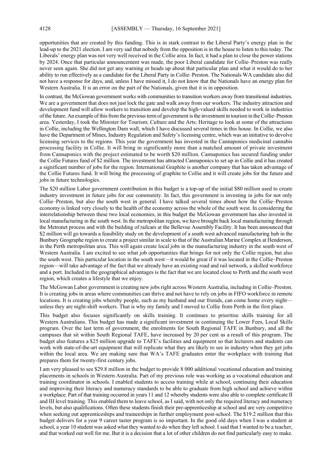opportunities that are created by this funding. This is in stark contrast to the Liberal Party's energy plan in the lead-up to the 2021 election. I am very sad that nobody from the opposition is in the house to listen to this today. The Liberals' energy plan was not very well received in the Collie area. In fact, it had a plan to close the power stations by 2024. Once that particular announcement was made, the poor Liberal candidate for Collie–Preston was really never seen again. She did not get any warning or heads up about that particular plan and what it would do to her ability to run effectively as a candidate for the Liberal Party in Collie–Preston. The Nationals WA candidate also did not have a response for days, and, unless I have missed it, I do not know that the Nationals have an energy plan for Western Australia. It is an error on the part of the Nationals, given that it is in opposition.

In contrast, the McGowan government works with communities to transition workers away from transitional industries. We are a government that does not just lock the gate and walk away from our workers. The industry attraction and development fund will allow workers to transition and develop the high-valued skills needed to work in industries of the future. An example of this from the previous term of government is the investment in tourism in the Collie–Preston area. Yesterday, I took the Minister for Tourism; Culture and the Arts; Heritage to look at some of the attractions in Collie, including the Wellington Dam wall, which I have discussed several times in this house. In Collie, we also have the Department of Mines, Industry Regulation and Safety's licensing centre, which was an initiative to devolve licensing services to the regions. This year the government has invested in the Cannaponics medicinal cannabis processing facility in Collie. It will bring in significantly more than a matched amount of private investment from Cannaponics with the project estimated to be worth \$20 million. Cannaponics has secured funding under the Collie Futures fund of \$2 million. The investment has attracted Cannaponics to set up in Collie and it has created a significant number of jobs for the region. International Graphite is another company that has taken advantage of the Collie Futures fund. It will bring the processing of graphite to Collie and it will create jobs for the future and jobs in future technologies.

The \$20 million Labor government contribution in this budget is a top-up of the initial \$80 million used to create industry investment in future jobs for our community. In fact, this government is investing in jobs for not only Collie–Preston, but also the south west in general. I have talked several times about how the Collie–Preston economy is linked very closely to the health of the economy across the whole of the south west. In considering the interrelationship between these two local economies, in this budget the McGowan government has also invested in local manufacturing in the south west. In the metropolitan region, we have brought back local manufacturing through the Metronet process and with the building of railcars at the Bellevue Assembly Facility. It has been announced that \$2 million will go towards a feasibility study on the development of a south west advanced manufacturing hub in the Bunbury Geographe region to create a project similar in scale to that of the Australian Marine Complex at Henderson, in the Perth metropolitan area. This will again create local jobs in the manufacturing industry in the south west of Western Australia. I am excited to see what job opportunities that brings for not only the Collie region, but also the south west. This particular location in the south west—it would be great if it was located in the Collie–Preston region—will take advantage of the fact that we already have an existing road and rail network, a skilled workforce and a port. Included in the geographical advantages is the fact that we are located close to Perth and the south west region, which creates a lifestyle that we enjoy.

The McGowan Labor government is creating new jobs right across Western Australia, including in Collie–Preston. It is creating jobs in areas where communities can thrive and not have to rely on jobs in FIFO workforce in remote locations. It is creating jobs whereby people, such as my husband and our friends, can come home every nightunless they are night-shift workers. That is why my family and I moved to Collie from Perth in the first place.

This budget also focuses significantly on skills training. It continues to prioritise skills training for all Western Australians. This budget has made a significant investment in continuing the Lower Fees, Local Skills program. Over the last term of government, the enrolments for South Regional TAFE in Bunbury, and all the campuses that sit within South Regional TAFE, have increased by 20 per cent as a result of this program. The budget also features a \$25 million upgrade to TAFE's facilities and equipment so that lecturers and students can work with state-of-the-art equipment that will replicate what they are likely to see in industry when they get jobs within the local area. We are making sure that WA's TAFE graduates enter the workplace with training that prepares them for twenty-first century jobs.

I am very pleased to see \$29.8 million in the budget to provide 8 000 additional vocational education and training placements in schools in Western Australia. Part of my previous role was working as a vocational education and training coordinator in schools. I enabled students to access training while at school, continuing their education and improving their literacy and numeracy standards to be able to graduate from high school and achieve within a workplace. Part of that training occurred in years 11 and 12 whereby students were also able to complete certificate II and III level training. This enabled them to leave school, as I said, with not only the required literacy and numeracy levels, but also qualifications. Often these students finish their pre-apprenticeship at school and are very competitive when seeking out apprenticeships and traineeships in further employment post-school. The \$19.2 million that this budget delivers for a year 9 career taster program is so important. In the good old days when I was a student at school, a year 10 student was asked what they wanted to do when they left school. I said that I wanted to be a teacher, and that worked out well for me. But it is a decision that a lot of other children do not find particularly easy to make.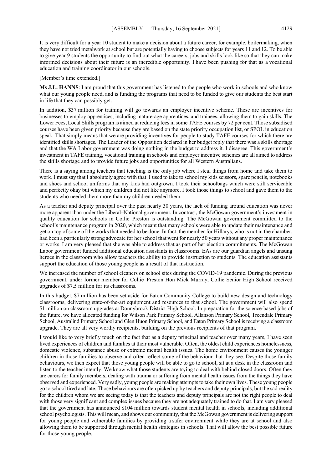It is very difficult for a year 10 student to make a decision about a future career, for example, boilermaking, when they have not tried metalwork at school but are potentially having to choose subjects for years 11 and 12. To be able to give year 9 students the opportunity to find out what the careers, jobs and skills look like so that they can make informed decisions about their future is an incredible opportunity. I have been pushing for that as a vocational education and training coordinator in our schools.

#### [Member's time extended.]

**Ms J.L. HANNS**: I am proud that this government has listened to the people who work in schools and who know what our young people need, and is funding the programs that need to be funded to give our students the best start in life that they can possibly get.

In addition, \$37 million for training will go towards an employer incentive scheme. These are incentives for businesses to employ apprentices, including mature-age apprentices, and trainees, allowing them to gain skills. The Lower Fees, Local Skills program is aimed at reducing fees in some TAFE courses by 72 per cent. Those subsidised courses have been given priority because they are based on the state priority occupation list, or SPOL in education speak. That simply means that we are providing incentives for people to study TAFE courses for which there are identified skills shortages. The Leader of the Opposition declared in her budget reply that there was a skills shortage and that the WA Labor government was doing nothing in the budget to address it. I disagree. This government's investment in TAFE training, vocational training in schools and employer incentive schemes are all aimed to address the skills shortage and to provide future jobs and opportunities for all Western Australians.

There is a saying among teachers that teaching is the only job where I steal things from home and take them to work. I must say that I absolutely agree with that. I used to take to school my kids scissors, spare pencils, notebooks and shoes and school uniforms that my kids had outgrown. I took their schoolbags which were still serviceable and perfectly okay but which my children did not like anymore. I took those things to school and gave them to the students who needed them more than my children needed them.

As a teacher and deputy principal over the past nearly 30 years, the lack of funding around education was never more apparent than under the Liberal–National government. In contrast, the McGowan government's investment in quality education for schools in Collie–Preston is outstanding. The McGowan government committed to the school's maintenance program in 2020, which meant that many schools were able to update their maintenance and get on top of some of the works that needed to be done. In fact, the member for Hillarys, who is not in the chamber, had been a particularly strong advocate for her school that went for nearly 50 years without any proper maintenance or works. I am very pleased that she was able to address that as part of her election commitments. The McGowan Labor government funded additional education assistants in classrooms. EAs are our guardian angels and unsung heroes in the classroom who allow teachers the ability to provide instruction to students. The education assistants support the education of those young people as a result of that instruction.

We increased the number of school cleaners on school sites during the COVID-19 pandemic. During the previous government, under former member for Collie–Preston Hon Mick Murray, Collie Senior High School received upgrades of \$7.5 million for its classrooms.

In this budget, \$7 million has been set aside for Eaton Community College to build new design and technology classrooms, delivering state-of-the-art equipment and resources to that school. The government will also spend \$1 million on classroom upgrades at Donnybrook District High School. In preparation for the science-based jobs of the future, we have allocated funding for Wilson Park Primary School, Allanson Primary School, Treendale Primary School, Australind Primary School and Glen Huon Primary School, and Eaton Primary School is receiving a classroom upgrade. They are all very worthy recipients, building on the previous recipients of that program.

I would like to very briefly touch on the fact that as a deputy principal and teacher over many years, I have seen lived experiences of children and families at their most vulnerable. Often, the oldest child experiences homelessness, domestic violence, substance abuse or extreme mental health issues. The home environment causes the younger children in those families to observe and often reflect some of the behaviour that they see. Despite those family behaviours, we then expect that those young people will be able to go to school, sit at a desk in the classroom and listen to the teacher intently. We know what those students are trying to deal with behind closed doors. Often they are carers for family members, dealing with trauma or suffering from mental health issues from the things they have observed and experienced. Very sadly, young people are making attempts to take their own lives. These young people go to school tired and late. Those behaviours are often picked up by teachers and deputy principals, but the sad reality for the children whom we are seeing today is that the teachers and deputy principals are not the right people to deal with those very significant and complex issues because they are not adequately trained to do that. I am very pleased that the government has announced \$104 million towards student mental health in schools, including additional school psychologists. This will mean, and shows our community, that the McGowan government is delivering support for young people and vulnerable families by providing a safer environment while they are at school and also allowing them to be supported through mental health strategies in schools. That will allow the best possible future for those young people.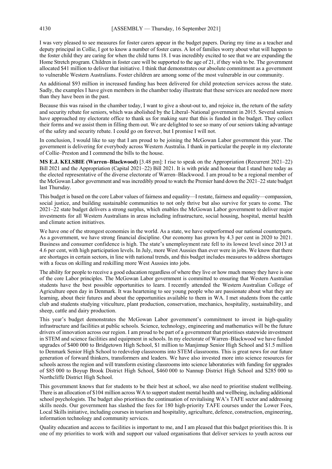I was very pleased to see measures for foster carers appear in the budget papers. During my time as a teacher and deputy principal in Collie, I got to know a number of foster cares. A lot of families worry about what will happen to the foster child they are caring for when the child turns 18. I was incredibly excited to see that we are expanding the Home Stretch program. Children in foster care will be supported to the age of 21, if they wish to be. The government allocated \$41 million to deliver that initiative. I think that demonstrates our absolute commitment as a government to vulnerable Western Australians. Foster children are among some of the most vulnerable in our community.

An additional \$93 million in increased funding has been delivered for child protection services across the state. Sadly, the examples I have given members in the chamber today illustrate that these services are needed now more than they have been in the past.

Because this was raised in the chamber today, I want to give a shout-out to, and rejoice in, the return of the safety and security rebate for seniors, which was abolished by the Liberal–National government in 2015. Several seniors have approached my electorate office to thank us for making sure that this is funded in the budget. They collect their forms and we assist them in filling them out. We are delighted to see so many of our seniors taking advantage of the safety and security rebate. I could go on forever, but I promise I will not.

In conclusion, I would like to say that I am proud to be joining the McGowan Labor government this year. The government is delivering for everybody across Western Australia. I thank in particular the people in my electorate of Collie–Preston and I commend the bills to the house.

**MS E.J. KELSBIE (Warren–Blackwood)** [3.48 pm]: I rise to speak on the Appropriation (Recurrent 2021–22) Bill 2021 and the Appropriation (Capital 2021–22) Bill 2021. It is with pride and honour that I stand here today as the elected representative of the diverse electorate of Warren–Blackwood. I am proud to be a regional member of the McGowan Labor government and was incredibly proud to watch the Premier hand down the 2021–22 state budget last Thursday.

This budget is based on the core Labor values of fairness and equality—I restate, fairness and equality—compassion, social justice, and building sustainable communities to not only thrive but also survive for years to come. The 2021–22 state budget delivers a strong surplus, which enables the McGowan Labor government to deliver major investments for all Western Australians in areas including infrastructure, social housing, hospital, mental health and climate action initiatives.

We have one of the strongest economies in the world. As a state, we have outperformed our national counterparts. As a government, we have strong financial discipline. Our economy has grown by 4.3 per cent in 2020 to 2021. Business and consumer confidence is high. The state's unemployment rate fell to its lowest level since 2013 at 4.6 per cent, with high participation levels. In July, more West Aussies than ever were in jobs. We know that there are shortages in certain sectors, in line with national trends, and this budget includes measures to address shortages with a focus on skilling and reskilling more West Aussies into jobs.

The ability for people to receive a good education regardless of where they live or how much money they have is one of the core Labor principles. The McGowan Labor government is committed to ensuring that Western Australian students have the best possible opportunities to learn. I recently attended the Western Australian College of Agriculture open day in Denmark. It was heartening to see young people who are passionate about what they are learning, about their futures and about the opportunities available to them in WA. I met students from the cattle club and students studying viticulture, plant production, conservation, mechanics, hospitality, sustainability, and sheep, cattle and dairy production.

This year's budget demonstrates the McGowan Labor government's commitment to invest in high-quality infrastructure and facilities at public schools. Science, technology, engineering and mathematics will be the future drivers of innovation across our region. I am proud to be part of a government that prioritises statewide investment in STEM and science facilities and equipment in schools. In my electorate of Warren–Blackwood we have funded upgrades of \$400 000 to Bridgetown High School, \$1 million to Manjimup Senior High School and \$1.5 million to Denmark Senior High School to redevelop classrooms into STEM classrooms. This is great news for our future generation of forward thinkers, transformers and leaders. We have also invested more into science resources for schools across the region and will transform existing classrooms into science laboratories with funding for upgrades of \$85 000 to Boyup Brook District High School, \$460 000 to Nannup District High School and \$285 000 to Northcliffe District High School.

This government knows that for students to be their best at school, we also need to prioritise student wellbeing. There is an allocation of \$104 million across WA to support student mental health and wellbeing, including additional school psychologists. The budget also prioritises the continuation of revitalising WA's TAFE sector and addressing skills needs. Our government has slashed the fees for 180 high-priority TAFE courses under the Lower Fees, Local Skills initiative, including courses in tourism and hospitality, agriculture, defence, construction, engineering, information technology and community services.

Quality education and access to facilities is important to me, and I am pleased that this budget prioritises this. It is one of my priorities to work with and support our valued organisations that deliver services to youth across our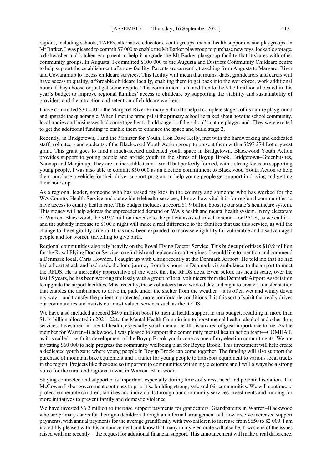regions, including schools, TAFEs, alternative educators, youth groups, mental health supporters and playgroups. In Mt Barker, I was pleased to commit \$7 000 to enable the Mt Barker playgroup to purchase new toys, lockable storage, a dishwasher and kitchen equipment to help it upgrade the Mt Barker playgroup facility that it shares with other community groups. In Augusta, I committed \$100 000 to the Augusta and Districts Community Childcare centre to help support the establishment of a new facility. Parents are currently travelling from Augusta to Margaret River and Cowaramup to access childcare services. This facility will mean that mums, dads, grandcarers and carers will have access to quality, affordable childcare locally, enabling them to get back into the workforce, work additional hours if they choose or just get some respite. This commitment is in addition to the \$4.74 million allocated in this year's budget to improve regional families' access to childcare by supporting the viability and sustainability of providers and the attraction and retention of childcare workers.

I have committed \$30 000 to the Margaret River Primary School to help it complete stage 2 of its nature playground and upgrade the quadrangle. When I met the principal at the primary school he talked about how the school community, local tradies and businesses had come together to build stage 1 of the school's nature playground. They were excited to get the additional funding to enable them to enhance the space and build stage 2.

Recently, in Bridgetown, I and the Minister for Youth, Hon Dave Kelly, met with the hardworking and dedicated staff, volunteers and students of the Blackwood Youth Action group to present them with a \$297 274 Lotterywest grant. This grant goes to fund a much-needed dedicated youth space in Bridgetown. Blackwood Youth Action provides support to young people and at-risk youth in the shires of Boyup Brook, Bridgetown–Greenbushes, Nannup and Manjimup. They are an incredible team—small but perfectly formed, with a strong focus on supporting young people. I was also able to commit \$50 000 as an election commitment to Blackwood Youth Action to help them purchase a vehicle for their driver support program to help young people get support in driving and getting their hours up.

As a regional leader, someone who has raised my kids in the country and someone who has worked for the WA Country Health Service and statewide telehealth services, I know how vital it is for regional communities to have access to quality health care. This budget includes a record \$1.9 billion boost to our state's healthcare system. This money will help address the unprecedented demand on WA's health and mental health system. In my electorate of Warren–Blackwood, the \$19.7 million increase to the patient assisted travel scheme—or PATS, as we call it and the subsidy increase to \$100 a night will make a real difference to the families that use this service, as will the change to the eligibility criteria. It has now been expanded to increase eligibility for vulnerable and disadvantaged people and for women travelling to give birth.

Regional communities also rely heavily on the Royal Flying Doctor Service. This budget prioritises \$10.9 million for the Royal Flying Doctor Service to refurbish and replace aircraft engines. I would like to mention and commend a Denmark local, Chris Howden. I caught up with Chris recently at the Denmark Airport. He told me that he had had a heart attack and had made the long journey from his home in Denmark via ambulance to the airport to meet the RFDS. He is incredibly appreciative of the work that the RFDS does. Even before his health scare, over the last 15 years, he has been working tirelessly with a group of local volunteers from the Denmark Airport Association to upgrade the airport facilities. Most recently, these volunteers have worked day and night to create a transfer station that enables the ambulance to drive in, park under the shelter from the weather—it is often wet and windy down my way—and transfer the patient in protected, more comfortable conditions. It is this sort of spirit that really drives our communities and assists our most valued services such as the RFDS.

We have also included a record \$495 million boost to mental health support in this budget, resulting in more than \$1.14 billion allocated in 2021–22 to the Mental Health Commission to boost mental health, alcohol and other drug services. Investment in mental health, especially youth mental health, is an area of great importance to me. As the member for Warren–Blackwood, I was pleased to support the community mental health action team—COMHAT, as it is called—with its development of the Boyup Brook youth zone as one of my election commitments. We are investing \$60 000 to help progress the community wellbeing plan for Boyup Brook. This investment will help create a dedicated youth zone where young people in Boyup Brook can come together. The funding will also support the purchase of mountain bike equipment and a trailer for young people to transport equipment to various local tracks in the region. Projects like these are so important to communities within my electorate and I will always be a strong voice for the rural and regional towns in Warren–Blackwood.

Staying connected and supported is important, especially during times of stress, need and potential isolation. The McGowan Labor government continues to prioritise building strong, safe and fair communities. We will continue to protect vulnerable children, families and individuals through our community services investments and funding for more initiatives to prevent family and domestic violence.

We have invested \$6.2 million to increase support payments for grandcarers. Grandparents in Warren–Blackwood who are primary carers for their grandchildren through an informal arrangement will now receive increased support payments, with annual payments for the average grandfamily with two children to increase from \$650 to \$2 000. I am incredibly pleased with this announcement and know that many in my electorate will also be. It was one of the issues raised with me recently—the request for additional financial support. This announcement will make a real difference.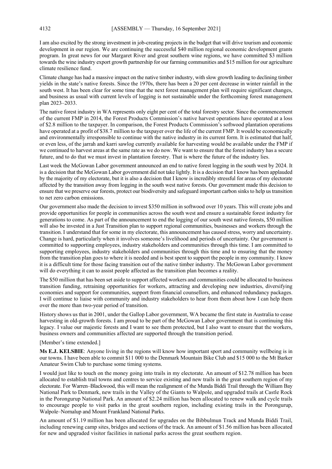I am also excited by the strong investment in job-creating projects in the budget that will drive tourism and economic development in our region. We are continuing the successful \$40 million regional economic development grants program. In great news for our Margaret River and great southern wine regions, we have committed \$3 million towards the wine industry export growth partnership for our farming communities and \$15 million for our agriculture climate resilience fund.

Climate change has had a massive impact on the native timber industry, with slow growth leading to declining timber yields in the state's native forests. Since the 1970s, there has been a 20 per cent decrease in winter rainfall in the south west. It has been clear for some time that the next forest management plan will require significant changes, and business as usual with current levels of logging is not sustainable under the forthcoming forest management plan 2023–2033.

The native forest industry in WA represents only eight per cent of the total forestry sector. Since the commencement of the current FMP in 2014, the Forest Products Commission's native harvest operations have operated at a loss of \$2.8 million to the taxpayer. In comparison, the Forest Products Commission's softwood plantation operations have operated at a profit of \$38.7 million to the taxpayer over the life of the current FMP. It would be economically and environmentally irresponsible to continue with the native industry in its current form. It is estimated that half, or even less, of the jarrah and karri sawlog currently available for harvesting would be available under the FMP if we continued to harvest areas at the same rate as we do now. We want to ensure that the forest industry has a secure future, and to do that we must invest in plantation forestry. That is where the future of the industry lies.

Last week the McGowan Labor government announced an end to native forest logging in the south west by 2024. It is a decision that the McGowan Labor government did not take lightly. It is a decision that I know has been applauded by the majority of my electorate, but it is also a decision that I know is incredibly stressful for areas of my electorate affected by the transition away from logging in the south west native forests. Our government made this decision to ensure that we preserve our forests, protect our biodiversity and safeguard important carbon sinks to help us transition to net zero carbon emissions.

Our government also made the decision to invest \$350 million in softwood over 10 years. This will create jobs and provide opportunities for people in communities across the south west and ensure a sustainable forest industry for generations to come. As part of the announcement to end the logging of our south west native forests, \$50 million will also be invested in a Just Transition plan to support regional communities, businesses and workers through the transition. I understand that for some in my electorate, this announcement has caused stress, worry and uncertainty. Change is hard, particularly when it involves someone's livelihood and periods of uncertainty. Our government is committed to supporting employees, industry stakeholders and communities through this time. I am committed to supporting employees, industry stakeholders and communities through this time and to ensuring that the money from the transition plan goes to where it is needed and is best spent to support the people in my community. I know it is a difficult time for those facing transition out of the native timber industry. The McGowan Labor government will do everything it can to assist people affected as the transition plan becomes a reality.

The \$50 million that has been set aside to support affected workers and communities could be allocated to business transition funding, retraining opportunities for workers, attracting and developing new industries, diversifying economies and support for communities, support from financial counsellors, and enhanced redundancy packages. I will continue to liaise with community and industry stakeholders to hear from them about how I can help them over the more than two-year period of transition.

History shows us that in 2001, under the Gallop Labor government, WA became the first state in Australia to cease harvesting in old-growth forests. I am proud to be part of the McGowan Labor government that is continuing this legacy. I value our majestic forests and I want to see them protected, but I also want to ensure that the workers, business owners and communities affected are supported through the transition period.

#### [Member's time extended.]

**Ms E.J. KELSBIE**: Anyone living in the regions will know how important sport and community wellbeing is in our towns. I have been able to commit \$11 000 to the Denmark Mountain Bike Club and \$15 000 to the Mt Barker Amateur Swim Club to purchase some timing systems.

I would just like to touch on the money going into trails in my electorate. An amount of \$12.78 million has been allocated to establish trail towns and centres to service existing and new trails in the great southern region of my electorate. For Warren–Blackwood, this will mean the realignment of the Munda Biddi Trail through the William Bay National Park to Denmark, new trails in the Valley of the Giants to Walpole, and upgraded trails at Castle Rock in the Porongurup National Park. An amount of \$2.24 million has been allocated to renew walk and cycle trails to encourage people to visit parks in the great southern region, including existing trails in the Porongurup, Walpole–Nornalup and Mount Frankland National Parks.

An amount of \$1.19 million has been allocated for upgrades on the Bibbulmun Track and Munda Biddi Trail, including renewing camp sites, bridges and sections of the track. An amount of \$1.56 million has been allocated for new and upgraded visitor facilities in national parks across the great southern region.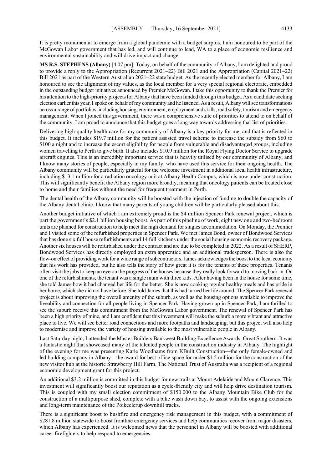It is pretty monumental to emerge from a global pandemic with a budget surplus. I am honoured to be part of the McGowan Labor government that has led, and will continue to lead, WA to a place of economic resilience and environmental sustainability and will drive impact and change.

**MS R.S. STEPHENS (Albany)** [4.07 pm]: Today, on behalf of the community of Albany, I am delighted and proud to provide a reply to the Appropriation (Recurrent 2021–22) Bill 2021 and the Appropriation (Capital 2021–22) Bill 2021 as part of the Western Australian 2021–22 state budget. As the recently elected member for Albany, I am honoured to see the alignment of my values, as the local member for a very special regional electorate, embedded in the outstanding budget initiatives announced by Premier McGowan. I take this opportunity to thank the Premier for his attention to the high-priority projects for Albany that have been funded through this budget. As a candidate seeking election earlier this year,I spoke on behalf of my community and he listened. As a result, Albany will see transformations across a range of portfolios, including housing, environment, employment and skills, road safety, tourism and emergency management. When I joined this government, there was a comprehensive suite of priorities to attend to on behalf of the community. I am proud to announce that this budget goes a long way towards addressing that list of priorities.

Delivering high-quality health care for my community of Albany is a key priority for me, and that is reflected in this budget. It includes \$19.7 million for the patient assisted travel scheme to increase the subsidy from \$60 to \$100 a night and to increase the escort eligibility for people from vulnerable and disadvantaged groups, including women travelling to Perth to give birth. It also includes \$10.9 million for the Royal Flying Doctor Service to upgrade aircraft engines. This is an incredibly important service that is heavily utilised by our community of Albany, and I know many stories of people, especially in my family, who have used this service for their ongoing health. The Albany community will be particularly grateful for the welcome investment in additional local health infrastructure, including \$13.1 million for a radiation oncology unit at Albany Health Campus, which is now under construction. This will significantly benefit the Albany region more broadly, meaning that oncology patients can be treated close to home and their families without the need for frequent treatment in Perth.

The dental health of the Albany community will be boosted with the injection of funding to double the capacity of the Albany dental clinic. I know that many parents of young children will be particularly pleased about this.

Another budget initiative of which I am extremely proud is the \$4 million Spencer Park renewal project, which is part the government's \$2.1 billion housing boost. As part of this pipeline of work, eight new one and two-bedroom units are planned for construction to help meet the high demand for singles accommodation. On Monday, the Premier and I visited some of the refurbished properties in Spencer Park. We met James Bond, owner of Bondwood Services that has done six full house refurbishments and 14 full kitchens under the social housing economic recovery package. Another six houses will be refurbished under the contract and are due to be completed in 2022. As a result of SHERP, Bondwood Services has directly employed an extra apprentice and an additional tradesperson. There is also the flow-on effect of providing work for a wide range of subcontractors. James acknowledges the boost to the local economy that his work has provided, but he also tells the story of how great it is for the tenants of these properties. Tenants often visit the jobs to keep an eye on the progress of the houses because they really look forward to moving back in. On one of the refurbishments, the tenant was a single mum with three kids. After having been in the house for some time, she told James how it had changed her life for the better. She is now cooking regular healthy meals and has pride in her home, which she did not have before. She told James that this had turned her life around. The Spencer Park renewal project is about improving the overall amenity of the suburb, as well as the housing options available to improve the liveability and connection for all people living in Spencer Park. Having grown up in Spencer Park, I am thrilled to see the suburb receive this commitment from the McGowan Labor government. The renewal of Spencer Park has been a high priority of mine, and I am confident that this investment will make the suburb a more vibrant and attractive place to live. We will see better road connections and more footpaths and landscaping, but this project will also help to modernise and improve the variety of housing available to the most vulnerable people in Albany.

Last Saturday night, I attended the Master Builders Bankwest Building Excellence Awards, Great Southern. It was a fantastic night that showcased many of the talented people in the construction industry in Albany. The highlight of the evening for me was presenting Katie Woodhams from KBuilt Construction—the only female-owned and led building company in Albany—the award for best office space for under \$1.5 million for the construction of the new visitor hub at the historic Strawberry Hill Farm. The National Trust of Australia was a recipient of a regional economic development grant for this project.

An additional \$3.2 million is committed in this budget for new trails at Mount Adelaide and Mount Clarence. This investment will significantly boost our reputation as a cycle-friendly city and will help drive destination tourism. This is coupled with my small election commitment of \$150 000 to the Albany Mountain Bike Club for the construction of a multipurpose shed, complete with a bike wash down bay, to assist with the ongoing extensions and long-term maintenance of the Poikeclerup downhill tracks.

There is a significant boost to bushfire and emergency risk management in this budget, with a commitment of \$281.8 million statewide to boost frontline emergency services and help communities recover from major disasters, which Albany has experienced. It is welcomed news that the personnel in Albany will be boosted with additional career firefighters to help respond to emergencies.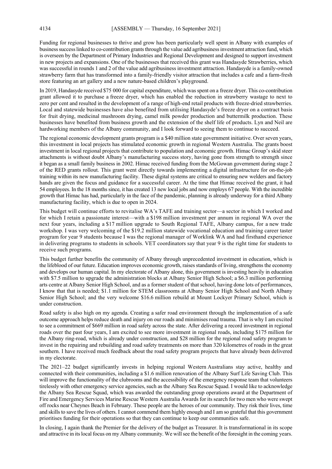Funding for regional businesses to thrive and grow has been particularly well spent in Albany with examples of business success linked to co-contribution grants through the value add agribusiness investment attraction fund, which is overseen by the Department of Primary Industries and Regional Development and designed to support investment in new projects and expansions. One of the businesses that received this grant was Handasyde Strawberries, which was successful in rounds 1 and 2 of the value add agribusiness investment attraction. Handasyde is a family-owned strawberry farm that has transformed into a family-friendly visitor attraction that includes a cafe and a farm-fresh store featuring an art gallery and a new nature-based children's playground.

In 2019, Handasyde received \$75 000 for capital expenditure, which was spent on a freeze dryer. This co-contribution grant allowed it to purchase a freeze dryer, which has enabled the reduction in strawberry wastage to next to zero per cent and resulted in the development of a range of high-end retail products with freeze-dried strawberries. Local and statewide businesses have also benefited from utilising Handasyde's freeze dryer on a contract basis for fruit drying, medicinal mushroom drying, camel milk powder production and buttermilk production. These businesses have benefited from business growth and the extension of the shelf life of products. Lyn and Neil are hardworking members of the Albany community, and I look forward to seeing them to continue to succeed.

The regional economic development grants program is a \$40 million state government initiative. Over seven years, this investment in local projects has stimulated economic growth in regional Western Australia. The grants boost investment in local regional projects that contribute to population and economic growth. Himac Group's skid steer attachments is without doubt Albany's manufacturing success story, having gone from strength to strength since it began as a small family business in 2002. Himac received funding from the McGowan government during stage 2 of the RED grants rollout. This grant went directly towards implementing a digital infrastructure for on-the-job training within its new manufacturing facility. These digital systems are critical to ensuring new welders and factory hands are given the focus and guidance for a successful career. At the time that Himac received the grant, it had 54 employees. In the 18 months since, it has created 13 new local jobs and now employs 67 people. With the incredible growth that Himac has had, particularly in the face of the pandemic, planning is already underway for a third Albany manufacturing facility, which is due to open in 2024.

This budget will continue efforts to revitalise WA's TAFE and training sector—a sector in which I worked and for which I retain a passionate interest—with a \$198 million investment per annum in regional WA over the next four years, including a \$17 million upgrade to South Regional TAFE, Albany campus, for a new trade workshop. I was very welcoming of the \$19.2 million statewide vocational education and training career taster program for year 9 students because I was the regional manager of Worklink WA and had firsthand experience in delivering programs to students in schools. VET coordinators say that year 9 is the right time for students to receive such programs.

This budget further benefits the community of Albany through unprecedented investment in education, which is the lifeblood of our future. Education improves economic growth, raises standards of living, strengthens the economy and develops our human capital. In my electorate of Albany alone, this government is investing heavily in education with \$7.5 million to upgrade the administration blocks at Albany Senior High School; a \$6.3 million performing arts centre at Albany Senior High School, and as a former student of that school, having done lots of performances, I know that that is needed; \$1.1 million for STEM classrooms at Albany Senior High School and North Albany Senior High School; and the very welcome \$16.6 million rebuild at Mount Lockyer Primary School, which is under construction.

Road safety is also high on my agenda. Creating a safer road environment through the implementation of a safe outcome approach helps reduce death and injury on our roads and minimises road trauma. That is why I am excited to see a commitment of \$669 million in road safety across the state. After delivering a record investment in regional roads over the past four years, I am excited to see more investment in regional roads, including \$175 million for the Albany ring-road, which is already under construction, and \$28 million for the regional road safety program to invest in the repairing and rebuilding and road safety treatments on more than 320 kilometres of roads in the great southern. I have received much feedback about the road safety program projects that have already been delivered in my electorate.

The 2021–22 budget significantly invests in helping regional Western Australians stay active, healthy and connected with their communities, including a \$1.6 million renovation of the Albany Surf Life Saving Club. This will improve the functionality of the clubrooms and the accessibility of the emergency response team that volunteers tirelessly with other emergency service agencies, such as the Albany Sea Rescue Squad. I would like to acknowledge the Albany Sea Rescue Squad, which was awarded the outstanding group operations award at the Department of Fire and Emergency Services Marine Rescue Western Australia Awards for its search for two men who were swept off rocks near Cheynes Beach in February. These people are the heroes of our community. They risk their lives, time and skills to save the lives of others. I cannot commend them highly enough and I am so grateful that this government prioritises funding for their operations so that they can continue to keep our communities safe.

In closing, I again thank the Premier for the delivery of the budget as Treasurer. It is transformational in its scope and attractive in its local focus on my Albany community. We will see the benefit of the foresight in the coming years.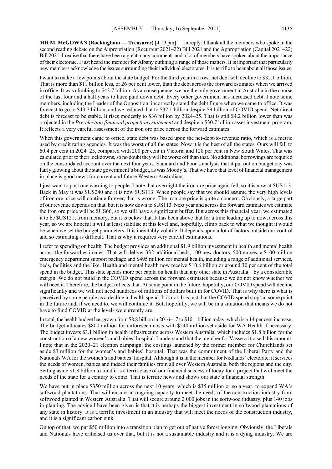**MR M. McGOWAN (Rockingham — Treasurer)** [4.19 pm] — in reply: I thank all the members who spoke in the second reading debate on the Appropriation (Recurrent 2021–22) Bill 2021 and the Appropriation (Capital 2021–22) Bill 2021. I realise that there have been a great many comments and a lot of members have spoken about the importance of their electorate. I just heard the member for Albany outlining a range of those matters. It is important that particularly new members acknowledge the issues surrounding their individual electorates. It is terrific to hear about all those issues.

I want to make a few points about the state budget. For the third year in a row, net debt will decline to \$32.1 billion. That is more than \$11 billion less, or 26 per cent lower, than the debt across the forward estimates when we arrived in office. It was climbing to \$43.7 billion. As a consequence, we are the only government in Australia in the course of the last four and a half years to have paid down debt. Every other government has increased debt. I note some members, including the Leader of the Opposition, incorrectly stated the debt figure when we came to office. It was forecast to go to \$43.7 billion, and we reduced that to \$32.1 billion despite \$9 billion of COVID spend. Net direct debt is forecast to be stable. It rises modestly to \$36 billion by 2024–25. That is still \$4.2 billion lower than was projected in the *Pre-election financial projections statement* and despite a \$30.7 billion asset investment program. It reflects a very careful assessment of the iron ore price across the forward estimates.

When this government came to office, state debt was based upon the net-debt-to-revenue ratio, which is a metric used by credit rating agencies. It was the worst of all the states. Now it is the best of all the states. Ours will fall to 60.4 per cent in 2024–25, compared with 200 per cent in Victoria and 128 per cent in New South Wales. That was calculated prior to their lockdowns, so no doubt they will be worse off than that. No additional borrowings are required on the consolidated account over the next four years. Standard and Poor's analysis that it put out on budget day was fairly glowing about the state government's budget, as was Moody's. That we have that level of financial management in place is good news for current and future Western Australians.

I just want to post one warning to people. I note that overnight the iron ore price again fell, so it is now at \$US113. Back in May it was \$US240 and it is now \$US113. When people say that we should assume the very high levels of iron ore price will continue forever, that is wrong. The iron ore price is quite a concern. Obviously, a large part of our revenue depends on that, but it is now down to \$US113. Next year and across the forward estimates we estimate the iron ore price will be \$US66, so we still have a significant buffer. But across this financial year, we estimated it to be \$US121, from memory, but it is below that. It has been above that for a time leading up to now, across this year, so we are hopeful it will at least stabilise at this level and, hopefully, climb back to what we thought it would be when we set the budget parameters. It is inevitably volatile. It depends upon a lot of factors outside our control and so estimating is difficult. That is why it requires very careful estimations.

I refer to spending on health. The budget provides an additional \$1.9 billion investment in health and mental health across the forward estimates. That will deliver 332 additional beds, 100 new doctors, 500 nurses, a \$100 million emergency department support package and \$495 million for mental health, including a range of additional services, beds, facilities and the like. Health and mental health now receive \$10.6 billion or around 30 per cent of the total spend in the budget. This state spends more per capita on health than any other state in Australia—by a considerable margin. We do not build in the COVID spend across the forward estimates because we do not know whether we will need it. Therefore, the budget reflects that. At some point in the future, hopefully, our COVID spend will decline significantly and we will not need hundreds of millions of dollars built in for COVID. That is why there is what is perceived by some people as a decline in health spend. It is not. It is just that the COVID spend stops at some point in the future and, if we need to, we will continue it. But, hopefully, we will be in a situation that means we do not have to fund COVID at the levels we currently are.

In total, the health budget has grown from \$8.8 billion in 2016–17 to \$10.1 billion today, which is a 14 per cent increase. The budget allocates \$800 million for unforeseen costs with \$240 million set aside for WA Health if necessary. The budget invests \$3.1 billion in health infrastructure across Western Australia, which includes \$1.8 billion for the construction of a new women's and babies' hospital. I understand that the member for Vasse criticised this amount. I note that in the 2020–21 election campaign, the costings launched by the former member for Churchlands set aside \$3 million for the women's and babies' hospital. That was the commitment of the Liberal Party and the Nationals WA for the women's and babies' hospital. Although it is in the member for Nedlands' electorate, it services the needs of women, babies and indeed their families from all over Western Australia, both the regions and the city. Setting aside \$1.8 billion to fund it is a terrific use of our financial success of today for a project that will meet the needs of the state for a century to come. That is terrific news and shows our state's financial strength.

We have put in place \$350 million across the next 10 years, which is \$35 million or so a year, to expand WA's softwood plantations. That will ensure an ongoing capacity to meet the needs of the construction industry from softwood planted in Western Australia. That will secure around 2 000 jobs in the softwood industry, plus 140 jobs in planting. The advice I have been given is that it is perhaps the biggest investment in softwood plantations of any state in history. It is a terrific investment in an industry that will meet the needs of the construction industry, and it is a significant carbon sink.

On top of that, we put \$50 million into a transition plan to get out of native forest logging. Obviously, the Liberals and Nationals have criticised us over that, but it is not a sustainable industry and it is a dying industry. We are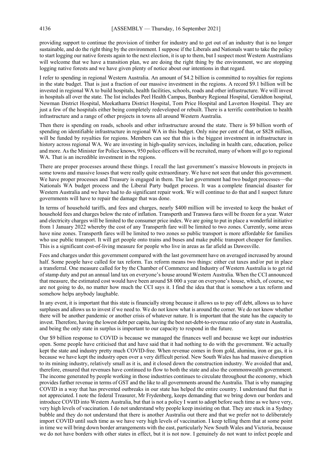providing support to continue the provision of timber for industry and to get out of an industry that is no longer sustainable, and do the right thing by the environment. I suppose if the Liberals and Nationals want to take the policy to start logging our native forests again to the next election, it is up to them, but I suspect most Western Australians will welcome that we have a transition plan, we are doing the right thing by the environment, we are stopping logging native forests and we have given plenty of notice about our intentions in that regard.

I refer to spending in regional Western Australia. An amount of \$4.2 billion is committed to royalties for regions in the state budget. That is just a fraction of our massive investment in the regions. A record \$9.1 billion will be invested in regional WA to build hospitals, health facilities, schools, roads and other infrastructure. We will invest in hospitals all over the state. The list includes Peel Health Campus, Bunbury Regional Hospital, Geraldton hospital, Newman District Hospital, Meekatharra District Hospital, Tom Price Hospital and Laverton Hospital. They are just a few of the hospitals either being completely redeveloped or rebuilt. There is a terrific contribution to health infrastructure and a range of other projects in towns all around Western Australia.

Then there is spending on roads, schools and other infrastructure around the state. There is \$9 billion worth of spending on identifiable infrastructure in regional WA in this budget. Only nine per cent of that, or \$828 million, will be funded by royalties for regions. Members can see that this is the biggest investment in infrastructure in history across regional WA. We are investing in high-quality services, including in health care, education, police and more. As the Minister for Police knows, 950 police officers will be recruited, many of whom will go to regional WA. That is an incredible investment in the regions.

There are proper processes around these things. I recall the last government's massive blowouts in projects in some towns and massive losses that were really quite extraordinary. We have not seen that under this government. We have proper processes and Treasury is engaged in them. The last government had two budget processes—the Nationals WA budget process and the Liberal Party budget process. It was a complete financial disaster for Western Australia and we have had to do significant repair work. We will continue to do that and I suspect future governments will have to repair the damage that was done.

In terms of household tariffs, and fees and charges, nearly \$400 million will be invested to keep the basket of household fees and charges below the rate of inflation. Transperth and Transwa fares will be frozen for a year. Water and electricity charges will be limited to the consumer price index. We are going to put in place a wonderful initiative from 1 January 2022 whereby the cost of any Transperth fare will be limited to two zones. Currently, some areas have nine zones. Transperth fares will be limited to two zones so public transport is more affordable for families who use public transport. It will get people onto trains and buses and make public transport cheaper for families. This is a significant cost-of-living measure for people who live in areas as far afield as Dawesville.

Fees and charges under this government compared with the last government have on averaged increased by around half. Some people have called for tax reform. Tax reform means two things: either cut taxes and/or put in place a transferral. One measure called for by the Chamber of Commerce and Industry of Western Australia is to get rid of stamp duty and put an annual land tax on everyone's house around Western Australia. When the CCI announced that measure, the estimated cost would have been around \$8 000 a year on everyone's house, which, of course, we are not going to do, no matter how much the CCI says it. I find the idea that that is somehow a tax reform and somehow helps anybody laughable.

In any event, it is important that this state is financially strong because it allows us to pay off debt, allows us to have surpluses and allows us to invest if we need to. We do not know what is around the corner. We do not know whether there will be another pandemic or another crisis of whatever nature. It is important that the state has the capacity to invest. Therefore, having the lowest debt per capita, having the best net-debt-to-revenue ratio of any state in Australia, and being the only state in surplus is important to our capacity to respond in the future.

Our \$9 billion response to COVID is because we managed the finances well and because we kept our industries open. Some people have criticised that and have said that it had nothing to do with the government. We actually kept the state and industry pretty much COVID-free. When revenue comes in from gold, alumina, iron or gas, it is because we have kept the industry open over a very difficult period. New South Wales has had massive disruption to its mining industry, relatively small as it is, and it closed down the construction industry. We avoided that and, therefore, ensured that revenues have continued to flow to both the state and also the commonwealth government. The income generated by people working in those industries continues to circulate throughout the economy, which provides further revenue in terms of GST and the like to all governments around the Australia. That is why managing COVID in a way that has prevented outbreaks in our state has helped the entire country. I understand that that is not appreciated. I note the federal Treasurer, Mr Frydenberg, keeps demanding that we bring down our borders and introduce COVID into Western Australia, but that is not a policy I want to adopt before such time as we have very, very high levels of vaccination. I do not understand why people keep insisting on that. They are stuck in a Sydney bubble and they do not understand that there is another Australia out there and that we prefer not to deliberately import COVID until such time as we have very high levels of vaccination. I keep telling them that at some point in time we will bring down border arrangements with the east, particularly New South Wales and Victoria, because we do not have borders with other states in effect, but it is not now. I genuinely do not want to infect people and